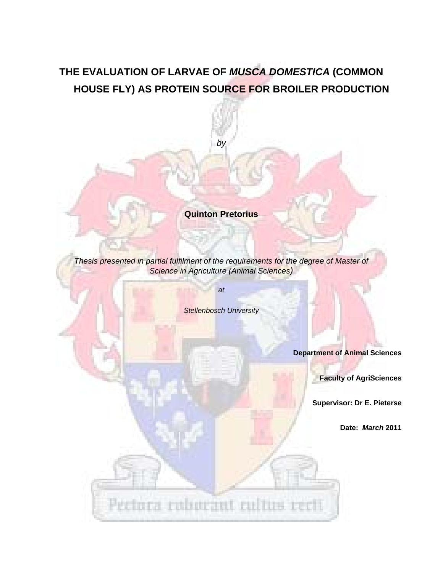# **THE EVALUATION OF LARVAE OF** *MUSCA DOMESTICA* **(COMMON HOUSE FLY) AS PROTEIN SOURCE FOR BROILER PRODUCTION**

*by* 

**Quinton Pretorius** 

*Thesis presented in partial fulfilment of the requirements for the degree of Master of Science in Agriculture (Animal Sciences)* 

*at* 

Pectora cobocant cultus certi

*Stellenbosch University* 

**Department of Animal Sciences** 

**Faculty of AgriSciences** 

**Supervisor: Dr E. Pieterse** 

**Date:** *March* **2011**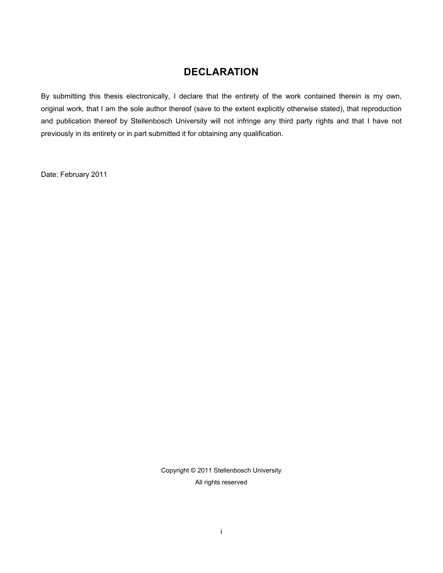### **DECLARATION**

By submitting this thesis electronically, I declare that the entirety of the work contained therein is my own, original work, that I am the sole author thereof (save to the extent explicitly otherwise stated), that reproduction and publication thereof by Stellenbosch University will not infringe any third party rights and that I have not previously in its entirety or in part submitted it for obtaining any qualification.

Date: February 2011

Copyright © 2011 Stellenbosch University All rights reserved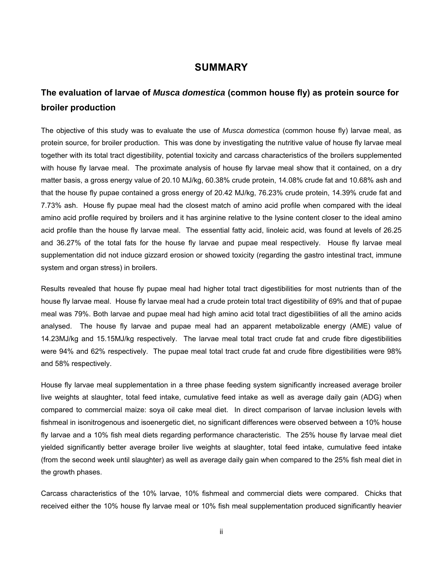#### **SUMMARY**

# **The evaluation of larvae of** *Musca domestica* **(common house fly) as protein source for broiler production**

The objective of this study was to evaluate the use of *Musca domestica* (common house fly) larvae meal, as protein source, for broiler production. This was done by investigating the nutritive value of house fly larvae meal together with its total tract digestibility, potential toxicity and carcass characteristics of the broilers supplemented with house fly larvae meal. The proximate analysis of house fly larvae meal show that it contained, on a dry matter basis, a gross energy value of 20.10 MJ/kg, 60.38% crude protein, 14.08% crude fat and 10.68% ash and that the house fly pupae contained a gross energy of 20.42 MJ/kg, 76.23% crude protein, 14.39% crude fat and 7.73% ash. House fly pupae meal had the closest match of amino acid profile when compared with the ideal amino acid profile required by broilers and it has arginine relative to the lysine content closer to the ideal amino acid profile than the house fly larvae meal. The essential fatty acid, linoleic acid, was found at levels of 26.25 and 36.27% of the total fats for the house fly larvae and pupae meal respectively. House fly larvae meal supplementation did not induce gizzard erosion or showed toxicity (regarding the gastro intestinal tract, immune system and organ stress) in broilers.

Results revealed that house fly pupae meal had higher total tract digestibilities for most nutrients than of the house fly larvae meal. House fly larvae meal had a crude protein total tract digestibility of 69% and that of pupae meal was 79%. Both larvae and pupae meal had high amino acid total tract digestibilities of all the amino acids analysed. The house fly larvae and pupae meal had an apparent metabolizable energy (AME) value of 14.23MJ/kg and 15.15MJ/kg respectively. The larvae meal total tract crude fat and crude fibre digestibilities were 94% and 62% respectively. The pupae meal total tract crude fat and crude fibre digestibilities were 98% and 58% respectively.

House fly larvae meal supplementation in a three phase feeding system significantly increased average broiler live weights at slaughter, total feed intake, cumulative feed intake as well as average daily gain (ADG) when compared to commercial maize: soya oil cake meal diet. In direct comparison of larvae inclusion levels with fishmeal in isonitrogenous and isoenergetic diet, no significant differences were observed between a 10% house fly larvae and a 10% fish meal diets regarding performance characteristic. The 25% house fly larvae meal diet yielded significantly better average broiler live weights at slaughter, total feed intake, cumulative feed intake (from the second week until slaughter) as well as average daily gain when compared to the 25% fish meal diet in the growth phases.

Carcass characteristics of the 10% larvae, 10% fishmeal and commercial diets were compared. Chicks that received either the 10% house fly larvae meal or 10% fish meal supplementation produced significantly heavier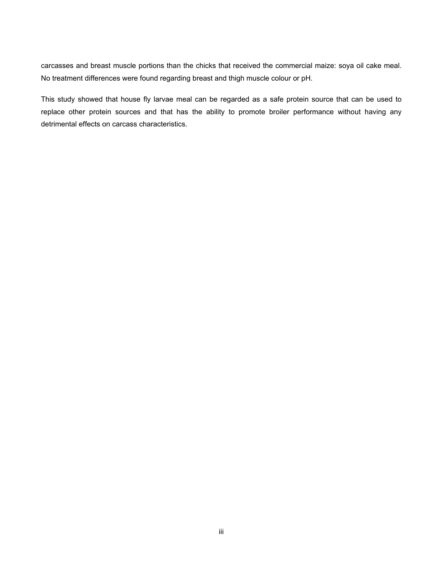carcasses and breast muscle portions than the chicks that received the commercial maize: soya oil cake meal. No treatment differences were found regarding breast and thigh muscle colour or pH.

This study showed that house fly larvae meal can be regarded as a safe protein source that can be used to replace other protein sources and that has the ability to promote broiler performance without having any detrimental effects on carcass characteristics.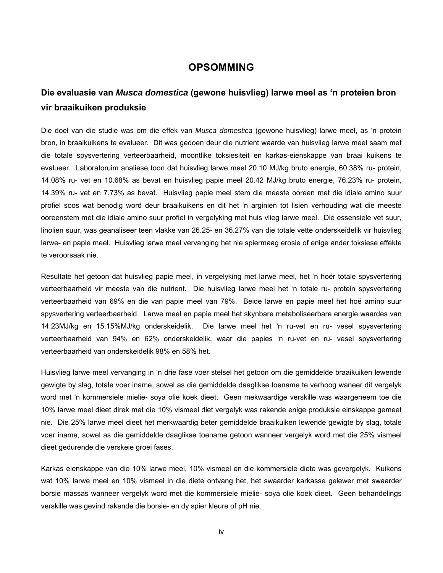#### **OPSOMMING**

## **Die evaluasie van** *Musca domestica* **(gewone huisvlieg) larwe meel as 'n proteien bron vir braaikuiken produksie**

Die doel van die studie was om die effek van *Musca domestica* (gewone huisvlieg) larwe meel, as 'n protein bron, in braaikuikens te evalueer. Dit was gedoen deur die nutrient waarde van huisvlieg larwe meel saam met die totale spysvertering verteerbaarheid, moontlike toksiesiteit en karkas-eienskappe van braai kuikens te evalueer. Laboratoruim analiese toon dat huisvlieg larwe meel 20.10 MJ/kg bruto energie, 60.38% ru- protein, 14.08% ru- vet en 10.68% as bevat en huisvlieg papie meel 20.42 MJ/kg bruto energie, 76.23% ru- protein, 14.39% ru- vet en 7.73% as bevat. Huisvlieg papie meel stem die meeste ooreen met die idiale amino suur profiel soos wat benodig word deur braaikuikens en dit het 'n arginien tot lisien verhouding wat die meeste ooreenstem met die idiale amino suur profiel in vergelyking met huis vlieg larwe meel. Die essensiele vet suur, linolien suur, was geanaliseer teen vlakke van 26.25- en 36.27% van die totale vette onderskeidelik vir huisvlieg larwe- en papie meel. Huisvlieg larwe meel vervanging het nie spiermaag erosie of enige ander toksiese effekte te veroorsaak nie.

Resultate het getoon dat huisvlieg papie meel, in vergelyking met larwe meel, het 'n hoër totale spysvertering verteerbaarheid vir meeste van die nutrient. Die huisvlieg larwe meel het 'n totale ru- protein spysvertering verteerbaarheid van 69% en die van papie meel van 79%. Beide larwe en papie meel het hoë amino suur spysvertering verteerbaarheid. Larwe meel en papie meel het skynbare metaboliseerbare energie waardes van 14.23MJ/kg en 15.15%MJ/kg onderskeidelik. Die larwe meel het 'n ru-vet en ru- vesel spysvertering verteerbaarheid van 94% en 62% onderskeidelik, waar die papies 'n ru-vet en ru- vesel spysvertering verteerbaarheid van onderskeidelik 98% en 58% het.

Huisvlieg larwe meel vervanging in 'n drie fase voer stelsel het getoon om die gemiddelde braaikuiken lewende gewigte by slag, totale voer iname, sowel as die gemiddelde daaglikse toename te verhoog waneer dit vergelyk word met 'n kommersiele mielie- soya olie koek dieet. Geen mekwaardige verskille was waargeneem toe die 10% larwe meel dieet direk met die 10% vismeel diet vergelyk was rakende enige produksie einskappe gemeet nie. Die 25% larwe meel dieet het merkwaardig beter gemiddelde braaikuiken lewende gewigte by slag, totale voer iname, sowel as die gemiddelde daaglikse toename getoon wanneer vergelyk word met die 25% vismeel dieet gedurende die verskeie groei fases.

Karkas eienskappe van die 10% larwe meel, 10% vismeel en die kommersiele diete was gevergelyk. Kuikens wat 10% larwe meel en 10% vismeel in die diete ontvang het, het swaarder karkasse gelewer met swaarder borsie massas wanneer vergelyk word met die kommersiele mielie- soya olie koek dieet. Geen behandelings verskille was gevind rakende die borsie- en dy spier kleure of pH nie.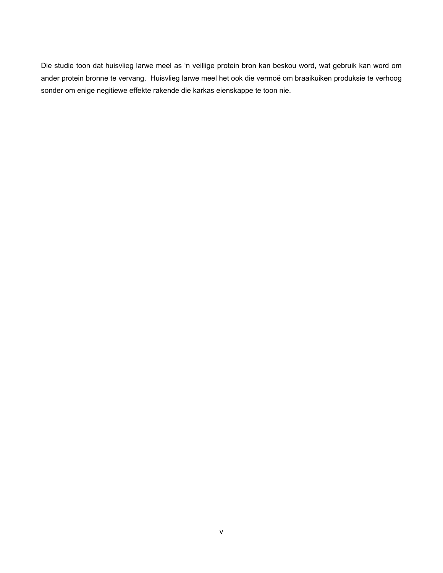Die studie toon dat huisvlieg larwe meel as 'n veillige protein bron kan beskou word, wat gebruik kan word om ander protein bronne te vervang. Huisvlieg larwe meel het ook die vermoë om braaikuiken produksie te verhoog sonder om enige negitiewe effekte rakende die karkas eienskappe te toon nie.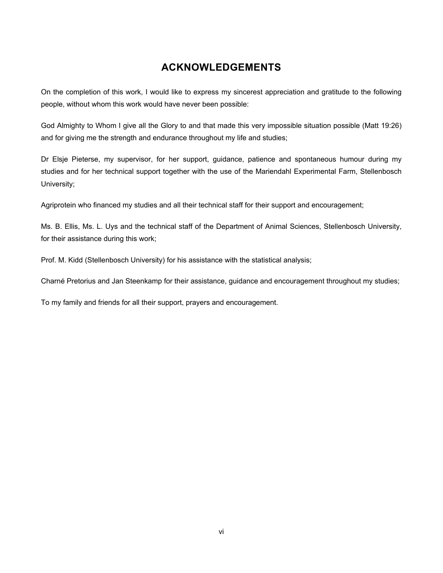# **ACKNOWLEDGEMENTS**

On the completion of this work, I would like to express my sincerest appreciation and gratitude to the following people, without whom this work would have never been possible:

God Almighty to Whom I give all the Glory to and that made this very impossible situation possible (Matt 19:26) and for giving me the strength and endurance throughout my life and studies;

Dr Elsje Pieterse, my supervisor, for her support, guidance, patience and spontaneous humour during my studies and for her technical support together with the use of the Mariendahl Experimental Farm, Stellenbosch University;

Agriprotein who financed my studies and all their technical staff for their support and encouragement;

Ms. B. Ellis, Ms. L. Uys and the technical staff of the Department of Animal Sciences, Stellenbosch University, for their assistance during this work;

Prof. M. Kidd (Stellenbosch University) for his assistance with the statistical analysis;

Charné Pretorius and Jan Steenkamp for their assistance, guidance and encouragement throughout my studies;

To my family and friends for all their support, prayers and encouragement.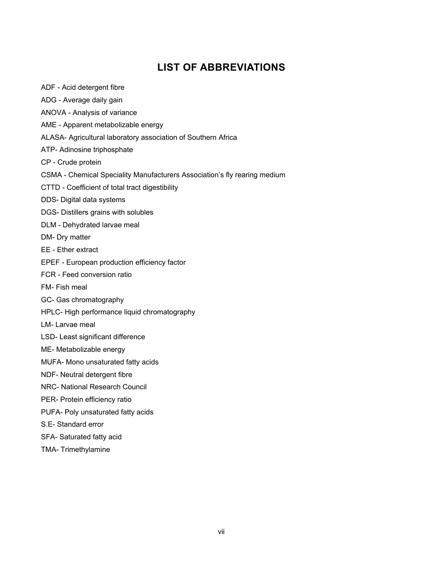# **LIST OF ABBREVIATIONS**

- ADF Acid detergent fibre
- ADG Average daily gain
- ANOVA Analysis of variance
- AME Apparent metabolizable energy
- ALASA- Agricultural laboratory association of Southern Africa
- ATP- Adinosine triphosphate
- CP Crude protein
- CSMA Chemical Speciality Manufacturers Association's fly rearing medium
- CTTD Coefficient of total tract digestibility
- DDS- Digital data systems
- DGS- Distillers grains with solubles
- DLM Dehydrated larvae meal
- DM- Dry matter
- EE Ether extract
- EPEF European production efficiency factor
- FCR Feed conversion ratio
- FM- Fish meal
- GC- Gas chromatography
- HPLC- High performance liquid chromatography
- LM- Larvae meal
- LSD- Least significant difference
- ME- Metabolizable energy
- MUFA- Mono unsaturated fatty acids
- NDF- Neutral detergent fibre
- NRC- National Research Council
- PER- Protein efficiency ratio
- PUFA- Poly unsaturated fatty acids
- S.E- Standard error
- SFA- Saturated fatty acid
- TMA- Trimethylamine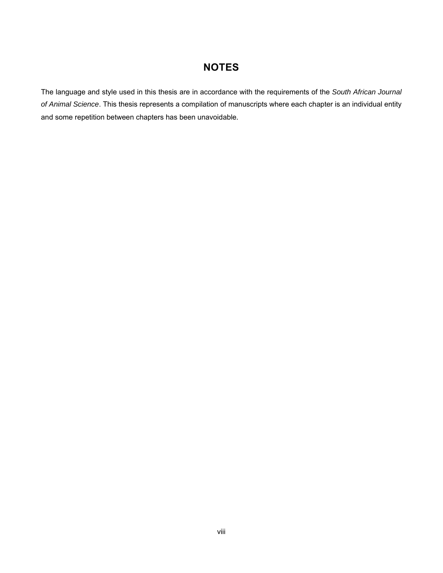# **NOTES**

The language and style used in this thesis are in accordance with the requirements of the *South African Journal of Animal Science*. This thesis represents a compilation of manuscripts where each chapter is an individual entity and some repetition between chapters has been unavoidable.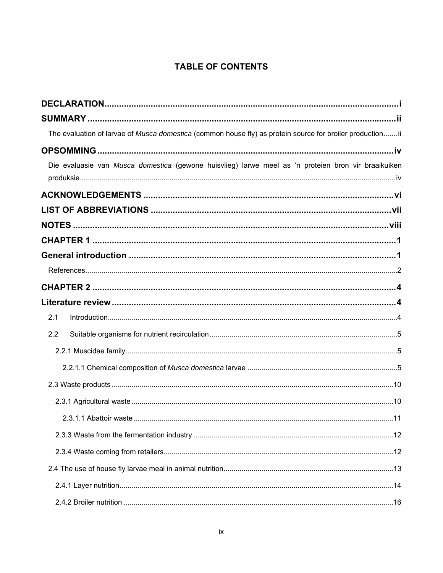### **TABLE OF CONTENTS**

| The evaluation of larvae of Musca domestica (common house fly) as protein source for broiler productionii |  |
|-----------------------------------------------------------------------------------------------------------|--|
|                                                                                                           |  |
| Die evaluasie van Musca domestica (gewone huisvlieg) larwe meel as 'n proteien bron vir braaikuiken       |  |
|                                                                                                           |  |
|                                                                                                           |  |
|                                                                                                           |  |
|                                                                                                           |  |
|                                                                                                           |  |
|                                                                                                           |  |
|                                                                                                           |  |
|                                                                                                           |  |
| 2.1                                                                                                       |  |
| 2.2                                                                                                       |  |
|                                                                                                           |  |
|                                                                                                           |  |
|                                                                                                           |  |
|                                                                                                           |  |
|                                                                                                           |  |
|                                                                                                           |  |
|                                                                                                           |  |
|                                                                                                           |  |
|                                                                                                           |  |
|                                                                                                           |  |
|                                                                                                           |  |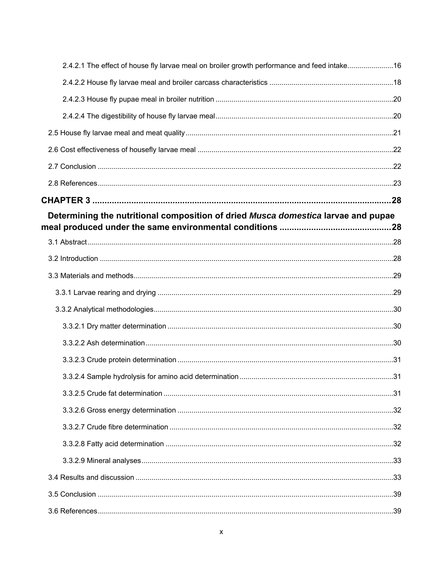| 2.4.2.1 The effect of house fly larvae meal on broiler growth performance and feed intake16 |  |
|---------------------------------------------------------------------------------------------|--|
|                                                                                             |  |
|                                                                                             |  |
|                                                                                             |  |
|                                                                                             |  |
|                                                                                             |  |
|                                                                                             |  |
|                                                                                             |  |
|                                                                                             |  |
| Determining the nutritional composition of dried Musca domestica larvae and pupae           |  |
|                                                                                             |  |
|                                                                                             |  |
|                                                                                             |  |
|                                                                                             |  |
|                                                                                             |  |
|                                                                                             |  |
|                                                                                             |  |
|                                                                                             |  |
|                                                                                             |  |
|                                                                                             |  |
|                                                                                             |  |
|                                                                                             |  |
|                                                                                             |  |
|                                                                                             |  |
|                                                                                             |  |
|                                                                                             |  |
|                                                                                             |  |
|                                                                                             |  |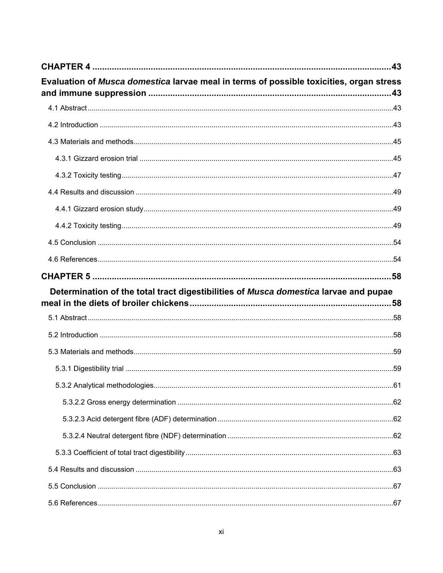| Evaluation of Musca domestica larvae meal in terms of possible toxicities, organ stress |  |
|-----------------------------------------------------------------------------------------|--|
|                                                                                         |  |
|                                                                                         |  |
|                                                                                         |  |
|                                                                                         |  |
|                                                                                         |  |
|                                                                                         |  |
|                                                                                         |  |
|                                                                                         |  |
|                                                                                         |  |
|                                                                                         |  |
|                                                                                         |  |
|                                                                                         |  |
|                                                                                         |  |
| Determination of the total tract digestibilities of Musca domestica larvae and pupae    |  |
|                                                                                         |  |
|                                                                                         |  |
|                                                                                         |  |
|                                                                                         |  |
|                                                                                         |  |
|                                                                                         |  |
|                                                                                         |  |
|                                                                                         |  |
|                                                                                         |  |
|                                                                                         |  |
|                                                                                         |  |
|                                                                                         |  |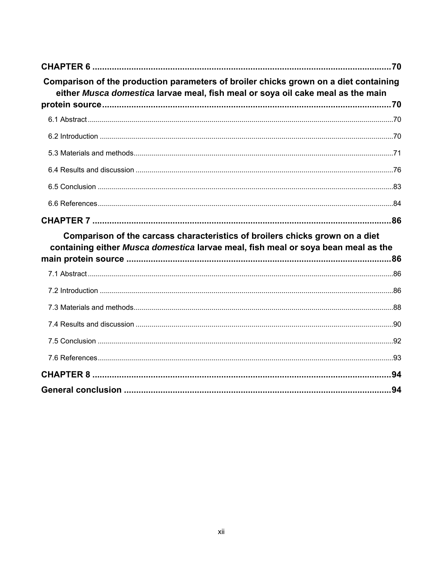| Comparison of the production parameters of broiler chicks grown on a diet containing<br>either Musca domestica larvae meal, fish meal or soya oil cake meal as the main |      |
|-------------------------------------------------------------------------------------------------------------------------------------------------------------------------|------|
|                                                                                                                                                                         |      |
|                                                                                                                                                                         |      |
|                                                                                                                                                                         |      |
|                                                                                                                                                                         |      |
|                                                                                                                                                                         |      |
|                                                                                                                                                                         |      |
|                                                                                                                                                                         |      |
|                                                                                                                                                                         |      |
| Comparison of the carcass characteristics of broilers chicks grown on a diet<br>containing either Musca domestica larvae meal, fish meal or soya bean meal as the       |      |
|                                                                                                                                                                         |      |
|                                                                                                                                                                         |      |
|                                                                                                                                                                         |      |
|                                                                                                                                                                         |      |
|                                                                                                                                                                         |      |
|                                                                                                                                                                         |      |
|                                                                                                                                                                         |      |
|                                                                                                                                                                         |      |
|                                                                                                                                                                         | . 94 |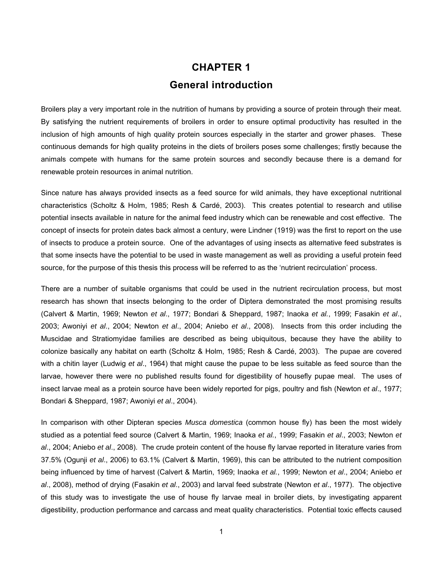# **CHAPTER 1 General introduction**

Broilers play a very important role in the nutrition of humans by providing a source of protein through their meat. By satisfying the nutrient requirements of broilers in order to ensure optimal productivity has resulted in the inclusion of high amounts of high quality protein sources especially in the starter and grower phases. These continuous demands for high quality proteins in the diets of broilers poses some challenges; firstly because the animals compete with humans for the same protein sources and secondly because there is a demand for renewable protein resources in animal nutrition.

Since nature has always provided insects as a feed source for wild animals, they have exceptional nutritional characteristics (Scholtz & Holm, 1985; Resh & Cardé, 2003). This creates potential to research and utilise potential insects available in nature for the animal feed industry which can be renewable and cost effective. The concept of insects for protein dates back almost a century, were Lindner (1919) was the first to report on the use of insects to produce a protein source. One of the advantages of using insects as alternative feed substrates is that some insects have the potential to be used in waste management as well as providing a useful protein feed source, for the purpose of this thesis this process will be referred to as the 'nutrient recirculation' process.

There are a number of suitable organisms that could be used in the nutrient recirculation process, but most research has shown that insects belonging to the order of Diptera demonstrated the most promising results (Calvert & Martin, 1969; Newton *et al*., 1977; Bondari & Sheppard, 1987; Inaoka *et al.*, 1999; Fasakin *et al*., 2003; Awoniyi *et al*., 2004; Newton *et al*., 2004; Aniebo *et al*., 2008). Insects from this order including the Muscidae and Stratiomyidae families are described as being ubiquitous, because they have the ability to colonize basically any habitat on earth (Scholtz & Holm, 1985; Resh & Cardé, 2003). The pupae are covered with a chitin layer (Ludwig *et al*., 1964) that might cause the pupae to be less suitable as feed source than the larvae, however there were no published results found for digestibility of housefly pupae meal. The uses of insect larvae meal as a protein source have been widely reported for pigs, poultry and fish (Newton *et al*., 1977; Bondari & Sheppard, 1987; Awoniyi *et al*., 2004).

In comparison with other Dipteran species *Musca domestica* (common house fly) has been the most widely studied as a potential feed source (Calvert & Martin, 1969; Inaoka *et al.*, 1999; Fasakin *et al*., 2003; Newton *et al*., 2004; Aniebo *et al*., 2008). The crude protein content of the house fly larvae reported in literature varies from 37.5% (Ogunji *et al*., 2006) to 63.1% (Calvert & Martin, 1969), this can be attributed to the nutrient composition being influenced by time of harvest (Calvert & Martin, 1969; Inaoka *et al.*, 1999; Newton *et al*., 2004; Aniebo *et al*., 2008), method of drying (Fasakin *et al*., 2003) and larval feed substrate (Newton *et al*., 1977). The objective of this study was to investigate the use of house fly larvae meal in broiler diets, by investigating apparent digestibility, production performance and carcass and meat quality characteristics. Potential toxic effects caused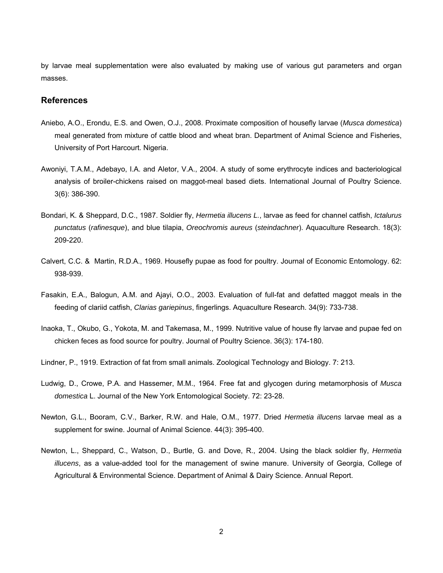by larvae meal supplementation were also evaluated by making use of various gut parameters and organ masses.

#### **References**

- Aniebo, A.O., Erondu, E.S. and Owen, O.J., 2008. Proximate composition of housefly larvae (*Musca domestica*) meal generated from mixture of cattle blood and wheat bran. Department of Animal Science and Fisheries, University of Port Harcourt. Nigeria.
- Awoniyi, T.A.M., Adebayo, I.A. and Aletor, V.A., 2004. A study of some erythrocyte indices and bacteriological analysis of broiler-chickens raised on maggot-meal based diets. International Journal of Poultry Science. 3(6): 386-390.
- Bondari, K. & Sheppard, D.C., 1987. Soldier fly, *Hermetia illucens L.*, larvae as feed for channel catfish, *Ictalurus punctatus* (*rafinesque*), and blue tilapia, *Oreochromis aureus* (*steindachner*). Aquaculture Research. 18(3): 209-220.
- Calvert, C.C. & Martin, R.D.A., 1969. Housefly pupae as food for poultry. Journal of Economic Entomology. 62: 938-939.
- Fasakin, E.A., Balogun, A.M. and Ajayi, O.O., 2003. Evaluation of full-fat and defatted maggot meals in the feeding of clariid catfish, *Clarias gariepinus*, fingerlings. Aquaculture Research. 34(9): 733-738.
- Inaoka, T., Okubo, G., Yokota, M. and Takemasa, M., 1999. Nutritive value of house fly larvae and pupae fed on chicken feces as food source for poultry. Journal of Poultry Science. 36(3): 174-180.
- Lindner, P., 1919. Extraction of fat from small animals. Zoological Technology and Biology. 7: 213.
- Ludwig, D., Crowe, P.A. and Hassemer, M.M., 1964. Free fat and glycogen during metamorphosis of *Musca domestica* L. Journal of the New York Entomological Society. 72: 23-28.
- Newton, G.L., Booram, C.V., Barker, R.W. and Hale, O.M., 1977. Dried *Hermetia illucens* larvae meal as a supplement for swine. Journal of Animal Science. 44(3): 395-400.
- Newton, L., Sheppard, C., Watson, D., Burtle, G. and Dove, R., 2004. Using the black soldier fly, *Hermetia illucens*, as a value-added tool for the management of swine manure. University of Georgia, College of Agricultural & Environmental Science. Department of Animal & Dairy Science. Annual Report.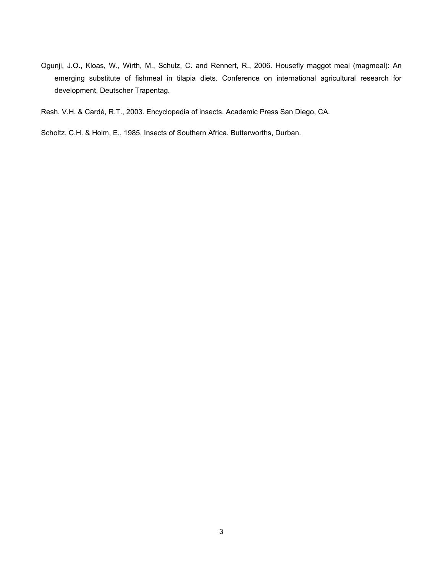Ogunji, J.O., Kloas, W., Wirth, M., Schulz, C. and Rennert, R., 2006. Housefly maggot meal (magmeal): An emerging substitute of fishmeal in tilapia diets. Conference on international agricultural research for development, Deutscher Trapentag.

Resh, V.H. & Cardé, R.T., 2003. Encyclopedia of insects. Academic Press San Diego, CA.

Scholtz, C.H. & Holm, E., 1985. Insects of Southern Africa. Butterworths, Durban.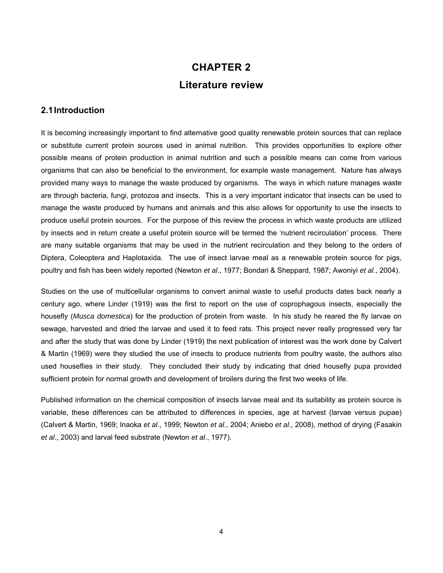# **CHAPTER 2 Literature review**

#### **2.1 Introduction**

It is becoming increasingly important to find alternative good quality renewable protein sources that can replace or substitute current protein sources used in animal nutrition. This provides opportunities to explore other possible means of protein production in animal nutrition and such a possible means can come from various organisms that can also be beneficial to the environment, for example waste management. Nature has always provided many ways to manage the waste produced by organisms. The ways in which nature manages waste are through bacteria, fungi, protozoa and insects. This is a very important indicator that insects can be used to manage the waste produced by humans and animals and this also allows for opportunity to use the insects to produce useful protein sources. For the purpose of this review the process in which waste products are utilized by insects and in return create a useful protein source will be termed the 'nutrient recirculation' process. There are many suitable organisms that may be used in the nutrient recirculation and they belong to the orders of Diptera, Coleoptera and Haplotaxida. The use of insect larvae meal as a renewable protein source for pigs, poultry and fish has been widely reported (Newton *et al*., 1977; Bondari & Sheppard, 1987; Awoniyi *et al*., 2004).

Studies on the use of multicellular organisms to convert animal waste to useful products dates back nearly a century ago, where Linder (1919) was the first to report on the use of coprophagous insects, especially the housefly (*Musca domestica*) for the production of protein from waste. In his study he reared the fly larvae on sewage, harvested and dried the larvae and used it to feed rats. This project never really progressed very far and after the study that was done by Linder (1919) the next publication of interest was the work done by Calvert & Martin (1969) were they studied the use of insects to produce nutrients from poultry waste, the authors also used houseflies in their study. They concluded their study by indicating that dried housefly pupa provided sufficient protein for normal growth and development of broilers during the first two weeks of life.

Published information on the chemical composition of insects larvae meal and its suitability as protein source is variable, these differences can be attributed to differences in species, age at harvest (larvae versus pupae) (Calvert & Martin, 1969; Inaoka *et al*., 1999; Newton *et al*., 2004; Aniebo *et al*., 2008), method of drying (Fasakin *et al*., 2003) and larval feed substrate (Newton *et al*., 1977).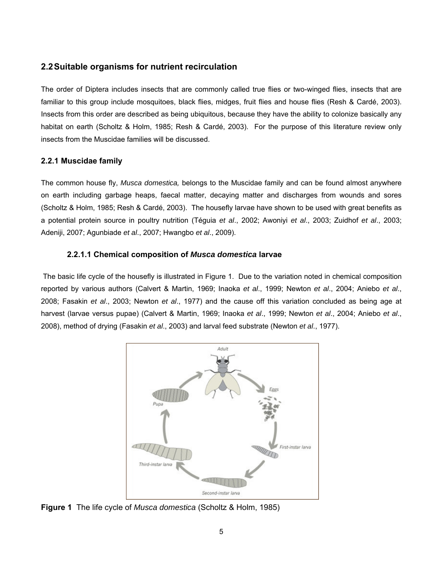#### **2.2 Suitable organisms for nutrient recirculation**

The order of Diptera includes insects that are commonly called true flies or two-winged flies, insects that are familiar to this group include mosquitoes, black flies, midges, fruit flies and house flies (Resh & Cardé, 2003). Insects from this order are described as being ubiquitous, because they have the ability to colonize basically any habitat on earth (Scholtz & Holm, 1985; Resh & Cardé, 2003). For the purpose of this literature review only insects from the Muscidae families will be discussed.

#### **2.2.1 Muscidae family**

The common house fly, *Musca domestica,* belongs to the Muscidae family and can be found almost anywhere on earth including garbage heaps, faecal matter, decaying matter and discharges from wounds and sores (Scholtz & Holm, 1985; Resh & Cardé, 2003). The housefly larvae have shown to be used with great benefits as a potential protein source in poultry nutrition (Téguia *et al*., 2002; Awoniyi *et al*., 2003; Zuidhof *et al*., 2003; Adeniji, 2007; Agunbiade *et al*., 2007; Hwangbo *et al*., 2009).

#### **2.2.1.1 Chemical composition of** *Musca domestica* **larvae**

 The basic life cycle of the housefly is illustrated in Figure 1. Due to the variation noted in chemical composition reported by various authors (Calvert & Martin, 1969; Inaoka *et al*., 1999; Newton *et al*., 2004; Aniebo *et al*., 2008; Fasakin *et al*., 2003; Newton *et al*., 1977) and the cause off this variation concluded as being age at harvest (larvae versus pupae) (Calvert & Martin, 1969; Inaoka *et al*., 1999; Newton *et al*., 2004; Aniebo *et al*., 2008), method of drying (Fasakin *et al*., 2003) and larval feed substrate (Newton *et al*., 1977).



**Figure 1** The life cycle of *Musca domestica* (Scholtz & Holm, 1985)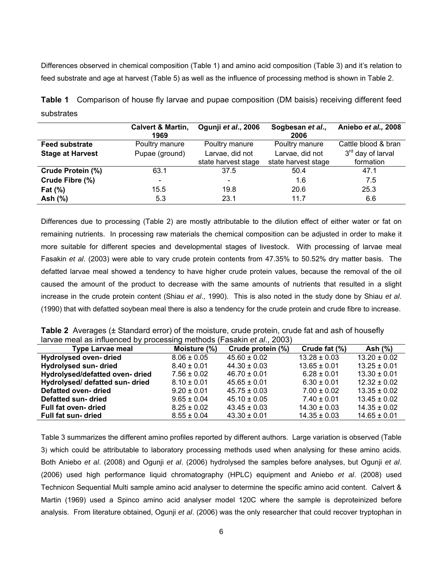Differences observed in chemical composition (Table 1) and amino acid composition (Table 3) and it's relation to feed substrate and age at harvest (Table 5) as well as the influence of processing method is shown in Table 2.

|            | <b>Table 1</b> Comparison of house fly larvae and pupae composition (DM baisis) receiving different feed |  |  |  |  |  |
|------------|----------------------------------------------------------------------------------------------------------|--|--|--|--|--|
| substrates |                                                                                                          |  |  |  |  |  |

|                         | Calvert & Martin,<br>1969 | Ogunji et al., 2006 | Sogbesan et al.,<br>2006 | Aniebo et al., 2008           |
|-------------------------|---------------------------|---------------------|--------------------------|-------------------------------|
| <b>Feed substrate</b>   | Poultry manure            | Poultry manure      | Poultry manure           | Cattle blood & bran           |
| <b>Stage at Harvest</b> | Pupae (ground)            | Larvae, did not     | Larvae, did not          | 3 <sup>rd</sup> day of larval |
|                         |                           | state harvest stage | state harvest stage      | formation                     |
| Crude Protein (%)       | 63.1                      | 37.5                | 50.4                     | 47.1                          |
| Crude Fibre (%)         |                           |                     | 1.6                      | 7.5                           |
| Fat $(\%)$              | 15.5                      | 19.8                | 20.6                     | 25.3                          |
| Ash $(%)$               | 5.3                       | 23.1                | 11.7                     | 6.6                           |

Differences due to processing (Table 2) are mostly attributable to the dilution effect of either water or fat on remaining nutrients. In processing raw materials the chemical composition can be adjusted in order to make it more suitable for different species and developmental stages of livestock. With processing of larvae meal Fasakin *et al*. (2003) were able to vary crude protein contents from 47.35% to 50.52% dry matter basis. The defatted larvae meal showed a tendency to have higher crude protein values, because the removal of the oil caused the amount of the product to decrease with the same amounts of nutrients that resulted in a slight increase in the crude protein content (Shiau *et al*., 1990). This is also noted in the study done by Shiau *et al*. (1990) that with defatted soybean meal there is also a tendency for the crude protein and crude fibre to increase.

**Table 2** Averages (± Standard error) of the moisture, crude protein, crude fat and ash of housefly larvae meal as influenced by processing methods (Fasakin *et al*., 2003)

| <b>Type Larvae meal</b>         | Moisture (%)    | Crude protein (%) | Crude fat (%)    | Ash $(%)$        |
|---------------------------------|-----------------|-------------------|------------------|------------------|
| <b>Hydrolysed oven-dried</b>    | $8.06 \pm 0.05$ | $45.60 \pm 0.02$  | $13.28 \pm 0.03$ | $13.20 \pm 0.02$ |
| <b>Hydrolysed sun- dried</b>    | $8.40 \pm 0.01$ | $44.30 \pm 0.03$  | $13.65 \pm 0.01$ | $13.25 \pm 0.01$ |
| Hydrolysed/defatted oven-dried  | $7.56 \pm 0.02$ | $46.70 \pm 0.01$  | $6.28 \pm 0.01$  | $13.30 \pm 0.01$ |
| Hydrolysed/ defatted sun- dried | $8.10 \pm 0.01$ | $45.65 \pm 0.01$  | $6.30 \pm 0.01$  | $12.32 \pm 0.02$ |
| <b>Defatted oven-dried</b>      | $9.20 \pm 0.01$ | $45.75 \pm 0.03$  | $7.00 \pm 0.02$  | $13.35 \pm 0.02$ |
| Defatted sun-dried              | $9.65 \pm 0.04$ | $45.10 \pm 0.05$  | $7.40 \pm 0.01$  | $13.45 \pm 0.02$ |
| Full fat oven-dried             | $8.25 \pm 0.02$ | $43.45 \pm 0.03$  | $14.30 \pm 0.03$ | $14.35 \pm 0.02$ |
| <b>Full fat sun- dried</b>      | $8.55 \pm 0.04$ | $43.30 \pm 0.01$  | $14.35 \pm 0.03$ | $14.65 \pm 0.01$ |

Table 3 summarizes the different amino profiles reported by different authors. Large variation is observed (Table 3) which could be attributable to laboratory processing methods used when analysing for these amino acids. Both Aniebo *et al*. (2008) and Ogunji *et al*. (2006) hydrolysed the samples before analyses, but Ogunji *et al*. (2006) used high performance liquid chromatography (HPLC) equipment and Aniebo *et al*. (2008) used Technicon Sequential Multi sample amino acid analyser to determine the specific amino acid content. Calvert & Martin (1969) used a Spinco amino acid analyser model 120C where the sample is deproteinized before analysis. From literature obtained, Ogunji *et al*. (2006) was the only researcher that could recover tryptophan in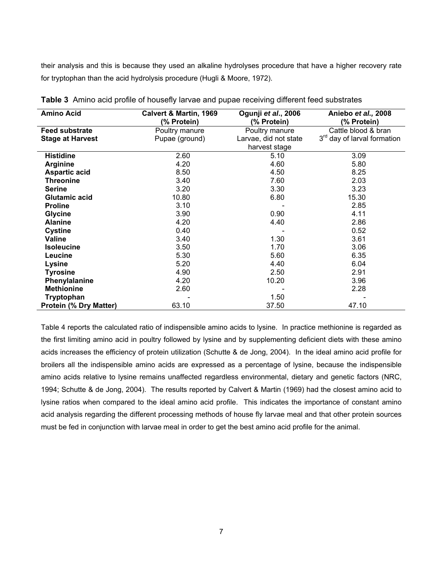their analysis and this is because they used an alkaline hydrolyses procedure that have a higher recovery rate for tryptophan than the acid hydrolysis procedure (Hugli & Moore, 1972).

| <b>Amino Acid</b>             | Calvert & Martin, 1969<br>(% Protein) | Ogunji et al., 2006<br>(% Protein) | Aniebo et al., 2008<br>(% Protein)      |
|-------------------------------|---------------------------------------|------------------------------------|-----------------------------------------|
| <b>Feed substrate</b>         | Poultry manure                        | Poultry manure                     | Cattle blood & bran                     |
| <b>Stage at Harvest</b>       | Pupae (ground)                        | Larvae, did not state              | 3 <sup>rd</sup> day of larval formation |
|                               |                                       | harvest stage                      |                                         |
| <b>Histidine</b>              | 2.60                                  | 5.10                               | 3.09                                    |
| <b>Arginine</b>               | 4.20                                  | 4.60                               | 5.80                                    |
| <b>Aspartic acid</b>          | 8.50                                  | 4.50                               | 8.25                                    |
| <b>Threonine</b>              | 3.40                                  | 7.60                               | 2.03                                    |
| <b>Serine</b>                 | 3.20                                  | 3.30                               | 3.23                                    |
| <b>Glutamic acid</b>          | 10.80                                 | 6.80                               | 15.30                                   |
| <b>Proline</b>                | 3.10                                  |                                    | 2.85                                    |
| <b>Glycine</b>                | 3.90                                  | 0.90                               | 4.11                                    |
| <b>Alanine</b>                | 4.20                                  | 4.40                               | 2.86                                    |
| <b>Cystine</b>                | 0.40                                  |                                    | 0.52                                    |
| Valine                        | 3.40                                  | 1.30                               | 3.61                                    |
| <b>Isoleucine</b>             | 3.50                                  | 1.70                               | 3.06                                    |
| Leucine                       | 5.30                                  | 5.60                               | 6.35                                    |
| Lysine                        | 5.20                                  | 4.40                               | 6.04                                    |
| <b>Tyrosine</b>               | 4.90                                  | 2.50                               | 2.91                                    |
| Phenylalanine                 | 4.20                                  | 10.20                              | 3.96                                    |
| <b>Methionine</b>             | 2.60                                  |                                    | 2.28                                    |
| Tryptophan                    |                                       | 1.50                               |                                         |
| <b>Protein (% Dry Matter)</b> | 63.10                                 | 37.50                              | 47.10                                   |

**Table 3** Amino acid profile of housefly larvae and pupae receiving different feed substrates

Table 4 reports the calculated ratio of indispensible amino acids to lysine. In practice methionine is regarded as the first limiting amino acid in poultry followed by lysine and by supplementing deficient diets with these amino acids increases the efficiency of protein utilization (Schutte & de Jong, 2004). In the ideal amino acid profile for broilers all the indispensible amino acids are expressed as a percentage of lysine, because the indispensible amino acids relative to lysine remains unaffected regardless environmental, dietary and genetic factors (NRC, 1994; Schutte & de Jong, 2004). The results reported by Calvert & Martin (1969) had the closest amino acid to lysine ratios when compared to the ideal amino acid profile. This indicates the importance of constant amino acid analysis regarding the different processing methods of house fly larvae meal and that other protein sources must be fed in conjunction with larvae meal in order to get the best amino acid profile for the animal.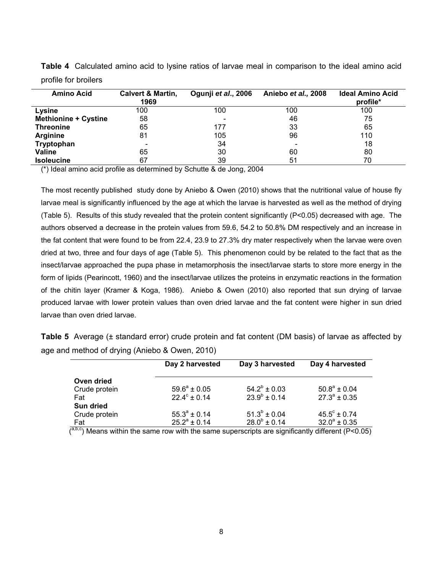| <b>Amino Acid</b>           | Calvert & Martin,<br>1969 | Ogunji et al., 2006 | Aniebo et al., 2008 | <b>Ideal Amino Acid</b><br>profile* |
|-----------------------------|---------------------------|---------------------|---------------------|-------------------------------------|
| Lysine                      | 100                       | 100                 | 100                 | 100                                 |
| <b>Methionine + Cystine</b> | 58                        | $\qquad \qquad$     | 46                  | 75                                  |
| <b>Threonine</b>            | 65                        | 177                 | 33                  | 65                                  |
| <b>Arginine</b>             | 81                        | 105                 | 96                  | 110                                 |
| Tryptophan                  |                           | 34                  |                     | 18                                  |
| <b>Valine</b>               | 65                        | 30                  | 60                  | 80                                  |
| <b>Isoleucine</b>           | 67                        | 39                  | 51                  | 70                                  |

**Table 4** Calculated amino acid to lysine ratios of larvae meal in comparison to the ideal amino acid profile for broilers

(\*) Ideal amino acid profile as determined by Schutte & de Jong, 2004

The most recently published study done by Aniebo & Owen (2010) shows that the nutritional value of house fly larvae meal is significantly influenced by the age at which the larvae is harvested as well as the method of drying (Table 5). Results of this study revealed that the protein content significantly (P<0.05) decreased with age. The authors observed a decrease in the protein values from 59.6, 54.2 to 50.8% DM respectively and an increase in the fat content that were found to be from 22.4, 23.9 to 27.3% dry mater respectively when the larvae were oven dried at two, three and four days of age (Table 5). This phenomenon could by be related to the fact that as the insect/larvae approached the pupa phase in metamorphosis the insect/larvae starts to store more energy in the form of lipids (Pearincott, 1960) and the insect/larvae utilizes the proteins in enzymatic reactions in the formation of the chitin layer (Kramer & Koga, 1986). Aniebo & Owen (2010) also reported that sun drying of larvae produced larvae with lower protein values than oven dried larvae and the fat content were higher in sun dried larvae than oven dried larvae.

**Table 5** Average (± standard error) crude protein and fat content (DM basis) of larvae as affected by age and method of drying (Aniebo & Owen, 2010)

|                             | Day 2 harvested                              | Day 3 harvested   | Day 4 harvested         |
|-----------------------------|----------------------------------------------|-------------------|-------------------------|
| Oven dried<br>Crude protein | $59.6^a \pm 0.05$                            | $54.2^b \pm 0.03$ | $50.8^a \pm 0.04$       |
| Fat                         | $22.4^{\circ}$ ± 0.14                        | $23.9^b \pm 0.14$ | $27.3^{\circ} \pm 0.35$ |
| <b>Sun dried</b>            |                                              | $51.3^b \pm 0.04$ | $45.5^{\circ} \pm 0.74$ |
| Crude protein<br>Fat        | $55.3^{\circ} \pm 0.14$<br>$25.2^a \pm 0.14$ | $28.0^b \pm 0.14$ | $32.0^a \pm 0.35$       |

 $\overline{(^{a,b,c})}$  Means within the same row with the same superscripts are significantly different (P<0.05)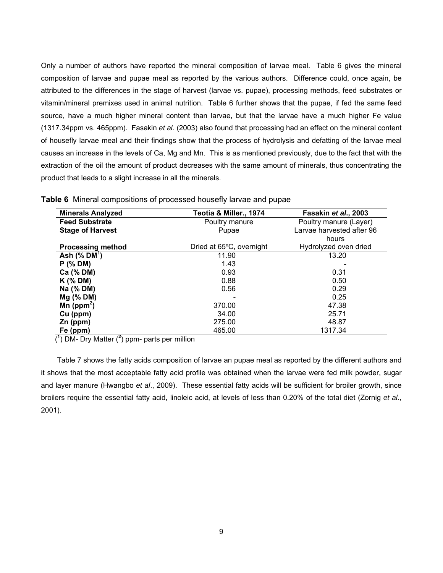Only a number of authors have reported the mineral composition of larvae meal. Table 6 gives the mineral composition of larvae and pupae meal as reported by the various authors. Difference could, once again, be attributed to the differences in the stage of harvest (larvae vs. pupae), processing methods, feed substrates or vitamin/mineral premixes used in animal nutrition. Table 6 further shows that the pupae, if fed the same feed source, have a much higher mineral content than larvae, but that the larvae have a much higher Fe value (1317.34ppm vs. 465ppm). Fasakin *et al*. (2003) also found that processing had an effect on the mineral content of housefly larvae meal and their findings show that the process of hydrolysis and defatting of the larvae meal causes an increase in the levels of Ca, Mg and Mn. This is as mentioned previously, due to the fact that with the extraction of the oil the amount of product decreases with the same amount of minerals, thus concentrating the product that leads to a slight increase in all the minerals.

| <b>Minerals Analyzed</b> | Teotia & Miller., 1974   | Fasakin et al., 2003      |
|--------------------------|--------------------------|---------------------------|
| <b>Feed Substrate</b>    | Poultry manure           | Poultry manure (Layer)    |
| <b>Stage of Harvest</b>  | Pupae                    | Larvae harvested after 96 |
|                          |                          | hours                     |
| <b>Processing method</b> | Dried at 65°C, overnight | Hydrolyzed oven dried     |
| Ash $(\%$ DM $')$        | 11.90                    | 13.20                     |
| $P$ (% DM)               | 1.43                     |                           |
| Ca (% DM)                | 0.93                     | 0.31                      |
| $K$ (% DM)               | 0.88                     | 0.50                      |
| Na (% DM)                | 0.56                     | 0.29                      |
| $Mg$ (% DM)              |                          | 0.25                      |
| Mn ( $ppm^2$ )           | 370.00                   | 47.38                     |
| Cu (ppm)                 | 34.00                    | 25.71                     |
| $Zn$ (ppm)               | 275.00                   | 48.87                     |
| Fe (ppm)                 | 465.00                   | 1317.34                   |

**Table 6** Mineral compositions of processed housefly larvae and pupae

(**<sup>1</sup>** ) DM- Dry Matter (**<sup>2</sup>** ) ppm- parts per million

 Table 7 shows the fatty acids composition of larvae an pupae meal as reported by the different authors and it shows that the most acceptable fatty acid profile was obtained when the larvae were fed milk powder, sugar and layer manure (Hwangbo *et al*., 2009). These essential fatty acids will be sufficient for broiler growth, since broilers require the essential fatty acid, linoleic acid, at levels of less than 0.20% of the total diet (Zornig *et al*., 2001).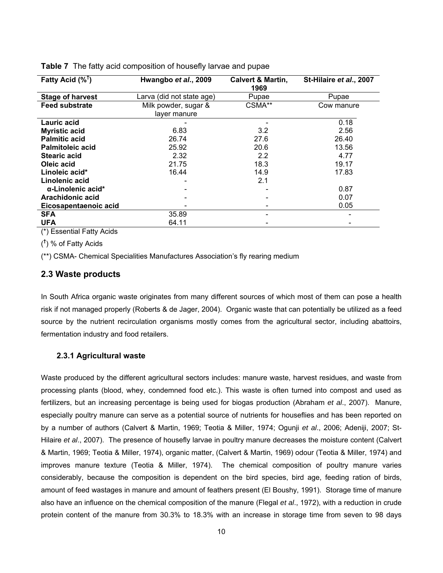| Fatty Acid $(\%^{\dagger})$ | Hwangbo et al., 2009      | <b>Calvert &amp; Martin,</b><br>1969 | St-Hilaire et al., 2007 |
|-----------------------------|---------------------------|--------------------------------------|-------------------------|
| <b>Stage of harvest</b>     | Larva (did not state age) | Pupae                                | Pupae                   |
| <b>Feed substrate</b>       | Milk powder, sugar &      | CSMA**                               | Cow manure              |
|                             | layer manure              |                                      |                         |
| Lauric acid                 |                           |                                      | 0.18                    |
| <b>Myristic acid</b>        | 6.83                      | 3.2                                  | 2.56                    |
| <b>Palmitic acid</b>        | 26.74                     | 27.6                                 | 26.40                   |
| <b>Palmitoleic acid</b>     | 25.92                     | 20.6                                 | 13.56                   |
| <b>Stearic acid</b>         | 2.32                      | 2.2                                  | 4.77                    |
| Oleic acid                  | 21.75                     | 18.3                                 | 19.17                   |
| Linoleic acid*              | 16.44                     | 14.9                                 | 17.83                   |
| Linolenic acid              |                           | 2.1                                  |                         |
| $\alpha$ -Linolenic acid*   |                           |                                      | 0.87                    |
| Arachidonic acid            |                           |                                      | 0.07                    |
| Eicosapentaenoic acid       |                           |                                      | 0.05                    |
| <b>SFA</b>                  | 35.89                     |                                      |                         |
| <b>UFA</b>                  | 64.11                     |                                      |                         |

**Table 7** The fatty acid composition of housefly larvae and pupae

(\*) Essential Fatty Acids

( **†** ) % of Fatty Acids

(\*\*) CSMA- Chemical Specialities Manufactures Association's fly rearing medium

#### **2.3 Waste products**

In South Africa organic waste originates from many different sources of which most of them can pose a health risk if not managed properly (Roberts & de Jager, 2004). Organic waste that can potentially be utilized as a feed source by the nutrient recirculation organisms mostly comes from the agricultural sector, including abattoirs, fermentation industry and food retailers.

#### **2.3.1 Agricultural waste**

Waste produced by the different agricultural sectors includes: manure waste, harvest residues, and waste from processing plants (blood, whey, condemned food etc.). This waste is often turned into compost and used as fertilizers, but an increasing percentage is being used for biogas production (Abraham *et al*., 2007). Manure, especially poultry manure can serve as a potential source of nutrients for houseflies and has been reported on by a number of authors (Calvert & Martin, 1969; Teotia & Miller, 1974; Ogunji *et al*., 2006; Adeniji, 2007; St-Hilaire *et al*., 2007). The presence of housefly larvae in poultry manure decreases the moisture content (Calvert & Martin, 1969; Teotia & Miller, 1974), organic matter, (Calvert & Martin, 1969) odour (Teotia & Miller, 1974) and improves manure texture (Teotia & Miller, 1974). The chemical composition of poultry manure varies considerably, because the composition is dependent on the bird species, bird age, feeding ration of birds, amount of feed wastages in manure and amount of feathers present (El Boushy, 1991). Storage time of manure also have an influence on the chemical composition of the manure (Flegal *et al*., 1972), with a reduction in crude protein content of the manure from 30.3% to 18.3% with an increase in storage time from seven to 98 days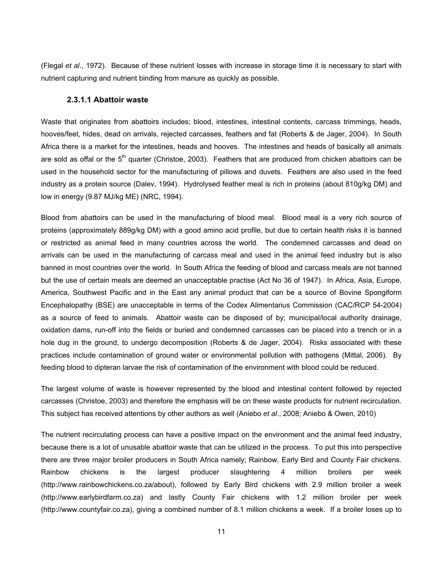(Flegal *et al*., 1972). Because of these nutrient losses with increase in storage time it is necessary to start with nutrient capturing and nutrient binding from manure as quickly as possible.

#### **2.3.1.1 Abattoir waste**

Waste that originates from abattoirs includes; blood, intestines, intestinal contents, carcass trimmings, heads, hooves/feet, hides, dead on arrivals, rejected carcasses, feathers and fat (Roberts & de Jager, 2004). In South Africa there is a market for the intestines, heads and hooves. The intestines and heads of basically all animals are sold as offal or the  $5<sup>th</sup>$  quarter (Christoe, 2003). Feathers that are produced from chicken abattoirs can be used in the household sector for the manufacturing of pillows and duvets. Feathers are also used in the feed industry as a protein source (Dalev, 1994). Hydrolysed feather meal is rich in proteins (about 810g/kg DM) and low in energy (9.87 MJ/kg ME) (NRC, 1994).

Blood from abattoirs can be used in the manufacturing of blood meal. Blood meal is a very rich source of proteins (approximately 889g/kg DM) with a good amino acid profile, but due to certain health risks it is banned or restricted as animal feed in many countries across the world. The condemned carcasses and dead on arrivals can be used in the manufacturing of carcass meal and used in the animal feed industry but is also banned in most countries over the world. In South Africa the feeding of blood and carcass meals are not banned but the use of certain meals are deemed an unacceptable practise (Act No 36 of 1947). In Africa, Asia, Europe, America, Southwest Pacific and in the East any animal product that can be a source of Bovine Spongiform Encephalopathy (BSE) are unacceptable in terms of the Codex Alimentarius Commission (CAC/RCP 54-2004) as a source of feed to animals. Abattoir waste can be disposed of by; municipal/local authority drainage, oxidation dams, run-off into the fields or buried and condemned carcasses can be placed into a trench or in a hole dug in the ground, to undergo decomposition (Roberts & de Jager, 2004). Risks associated with these practices include contamination of ground water or environmental pollution with pathogens (Mittal, 2006). By feeding blood to dipteran larvae the risk of contamination of the environment with blood could be reduced.

The largest volume of waste is however represented by the blood and intestinal content followed by rejected carcasses (Christoe, 2003) and therefore the emphasis will be on these waste products for nutrient recirculation. This subject has received attentions by other authors as well (Aniebo *et al*., 2008; Aniebo & Owen, 2010)

The nutrient recirculating process can have a positive impact on the environment and the animal feed industry, because there is a lot of unusable abattoir waste that can be utilized in the process. To put this into perspective there are three major broiler producers in South Africa namely; Rainbow, Early Bird and County Fair chickens. Rainbow chickens is the largest producer slaughtering 4 million broilers per week (http://www.rainbowchickens.co.za/about), followed by Early Bird chickens with 2.9 million broiler a week (http://www.earlybirdfarm.co.za) and lastly County Fair chickens with 1.2 million broiler per week (http://www.countyfair.co.za), giving a combined number of 8.1 million chickens a week. If a broiler loses up to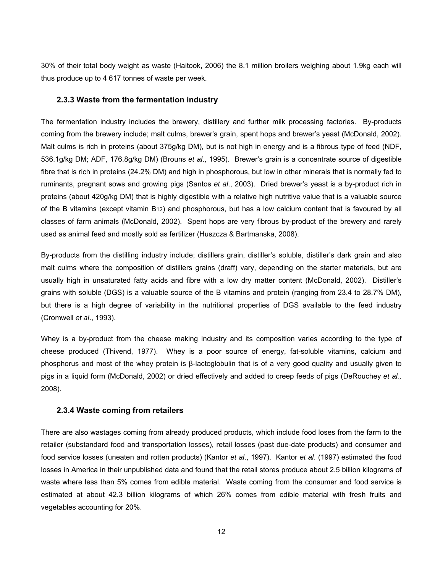30% of their total body weight as waste (Haitook, 2006) the 8.1 million broilers weighing about 1.9kg each will thus produce up to 4 617 tonnes of waste per week.

#### **2.3.3 Waste from the fermentation industry**

The fermentation industry includes the brewery, distillery and further milk processing factories. By-products coming from the brewery include; malt culms, brewer's grain, spent hops and brewer's yeast (McDonald, 2002). Malt culms is rich in proteins (about 375g/kg DM), but is not high in energy and is a fibrous type of feed (NDF, 536.1g/kg DM; ADF, 176.8g/kg DM) (Brouns *et al*., 1995). Brewer's grain is a concentrate source of digestible fibre that is rich in proteins (24.2% DM) and high in phosphorous, but low in other minerals that is normally fed to ruminants, pregnant sows and growing pigs (Santos *et al*., 2003). Dried brewer's yeast is a by-product rich in proteins (about 420g/kg DM) that is highly digestible with a relative high nutritive value that is a valuable source of the B vitamins (except vitamin B12) and phosphorous, but has a low calcium content that is favoured by all classes of farm animals (McDonald, 2002). Spent hops are very fibrous by-product of the brewery and rarely used as animal feed and mostly sold as fertilizer (Huszcza & Bartmanska, 2008).

By-products from the distilling industry include; distillers grain, distiller's soluble, distiller's dark grain and also malt culms where the composition of distillers grains (draff) vary, depending on the starter materials, but are usually high in unsaturated fatty acids and fibre with a low dry matter content (McDonald, 2002). Distiller's grains with soluble (DGS) is a valuable source of the B vitamins and protein (ranging from 23.4 to 28.7% DM), but there is a high degree of variability in the nutritional properties of DGS available to the feed industry (Cromwell *et al*., 1993).

Whey is a by-product from the cheese making industry and its composition varies according to the type of cheese produced (Thivend, 1977). Whey is a poor source of energy, fat-soluble vitamins, calcium and phosphorus and most of the whey protein is β-lactoglobulin that is of a very good quality and usually given to pigs in a liquid form (McDonald, 2002) or dried effectively and added to creep feeds of pigs (DeRouchey *et al.,*  2008).

#### **2.3.4 Waste coming from retailers**

There are also wastages coming from already produced products, which include food loses from the farm to the retailer (substandard food and transportation losses), retail losses (past due-date products) and consumer and food service losses (uneaten and rotten products) (Kantor *et al*., 1997). Kantor *et al*. (1997) estimated the food losses in America in their unpublished data and found that the retail stores produce about 2.5 billion kilograms of waste where less than 5% comes from edible material. Waste coming from the consumer and food service is estimated at about 42.3 billion kilograms of which 26% comes from edible material with fresh fruits and vegetables accounting for 20%.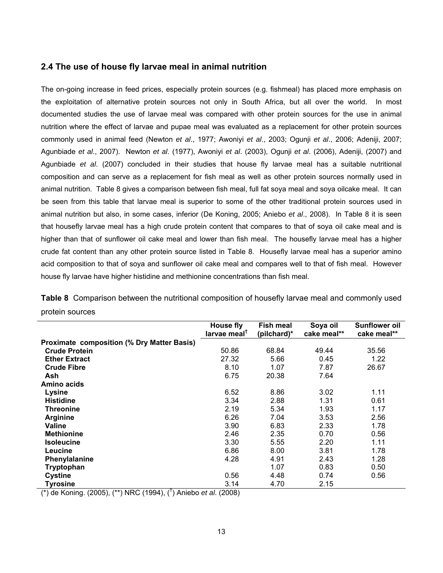#### **2.4 The use of house fly larvae meal in animal nutrition**

The on-going increase in feed prices, especially protein sources (e.g. fishmeal) has placed more emphasis on the exploitation of alternative protein sources not only in South Africa, but all over the world. In most documented studies the use of larvae meal was compared with other protein sources for the use in animal nutrition where the effect of larvae and pupae meal was evaluated as a replacement for other protein sources commonly used in animal feed (Newton *et al*., 1977; Awoniyi *et al*., 2003; Ogunji *et al*., 2006; Adeniji, 2007; Agunbiade *et al*., 2007). Newton *et al*. (1977), Awoniyi *et al*. (2003), Ogunji *et al*. (2006), Adeniji, (2007) and Agunbiade *et al*. (2007) concluded in their studies that house fly larvae meal has a suitable nutritional composition and can serve as a replacement for fish meal as well as other protein sources normally used in animal nutrition. Table 8 gives a comparison between fish meal, full fat soya meal and soya oilcake meal. It can be seen from this table that larvae meal is superior to some of the other traditional protein sources used in animal nutrition but also, in some cases, inferior (De Koning, 2005; Aniebo *et al*., 2008). In Table 8 it is seen that housefly larvae meal has a high crude protein content that compares to that of soya oil cake meal and is higher than that of sunflower oil cake meal and lower than fish meal. The housefly larvae meal has a higher crude fat content than any other protein source listed in Table 8. Housefly larvae meal has a superior amino acid composition to that of soya and sunflower oil cake meal and compares well to that of fish meal. However house fly larvae have higher histidine and methionine concentrations than fish meal.

|                                                   | House fly<br>larvae meal <sup>T</sup> | <b>Fish meal</b><br>(pilchard)* | Soya oil<br>cake meal** | <b>Sunflower oil</b><br>cake meal** |
|---------------------------------------------------|---------------------------------------|---------------------------------|-------------------------|-------------------------------------|
| <b>Proximate composition (% Dry Matter Basis)</b> |                                       |                                 |                         |                                     |
| <b>Crude Protein</b>                              | 50.86                                 | 68.84                           | 49.44                   | 35.56                               |
| <b>Ether Extract</b>                              | 27.32                                 | 5.66                            | 0.45                    | 1.22                                |
| <b>Crude Fibre</b>                                | 8.10                                  | 1.07                            | 7.87                    | 26.67                               |
| Ash                                               | 6.75                                  | 20.38                           | 7.64                    |                                     |
| Amino acids                                       |                                       |                                 |                         |                                     |
| <b>Lysine</b>                                     | 6.52                                  | 8.86                            | 3.02                    | 1.11                                |
| <b>Histidine</b>                                  | 3.34                                  | 2.88                            | 1.31                    | 0.61                                |
| <b>Threonine</b>                                  | 2.19                                  | 5.34                            | 1.93                    | 1.17                                |
| <b>Arginine</b>                                   | 6.26                                  | 7.04                            | 3.53                    | 2.56                                |
| Valine                                            | 3.90                                  | 6.83                            | 2.33                    | 1.78                                |
| <b>Methionine</b>                                 | 2.46                                  | 2.35                            | 0.70                    | 0.56                                |
| <b>Isoleucine</b>                                 | 3.30                                  | 5.55                            | 2.20                    | 1.11                                |
| <b>Leucine</b>                                    | 6.86                                  | 8.00                            | 3.81                    | 1.78                                |
| Phenylalanine                                     | 4.28                                  | 4.91                            | 2.43                    | 1.28                                |
| Tryptophan                                        |                                       | 1.07                            | 0.83                    | 0.50                                |
| <b>Cystine</b>                                    | 0.56                                  | 4.48                            | 0.74                    | 0.56                                |
| <b>Tyrosine</b><br>.+.                            | 3.14                                  | 4.70                            | 2.15                    |                                     |

**Table 8** Comparison between the nutritional composition of housefly larvae meal and commonly used protein sources

(\*) de Koning. (2005), (\*\*) NRC (1994), († ) Aniebo *et al*. (2008)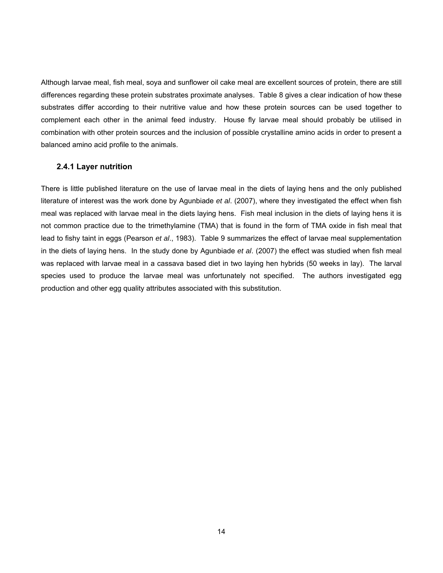Although larvae meal, fish meal, soya and sunflower oil cake meal are excellent sources of protein, there are still differences regarding these protein substrates proximate analyses. Table 8 gives a clear indication of how these substrates differ according to their nutritive value and how these protein sources can be used together to complement each other in the animal feed industry. House fly larvae meal should probably be utilised in combination with other protein sources and the inclusion of possible crystalline amino acids in order to present a balanced amino acid profile to the animals.

#### **2.4.1 Layer nutrition**

There is little published literature on the use of larvae meal in the diets of laying hens and the only published literature of interest was the work done by Agunbiade *et al*. (2007), where they investigated the effect when fish meal was replaced with larvae meal in the diets laying hens. Fish meal inclusion in the diets of laying hens it is not common practice due to the trimethylamine (TMA) that is found in the form of TMA oxide in fish meal that lead to fishy taint in eggs (Pearson *et al*., 1983). Table 9 summarizes the effect of larvae meal supplementation in the diets of laying hens. In the study done by Agunbiade *et al*. (2007) the effect was studied when fish meal was replaced with larvae meal in a cassava based diet in two laying hen hybrids (50 weeks in lay). The larval species used to produce the larvae meal was unfortunately not specified. The authors investigated egg production and other egg quality attributes associated with this substitution.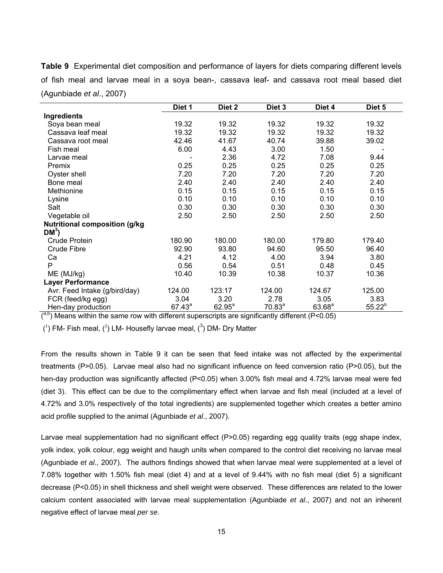**Table 9** Experimental diet composition and performance of layers for diets comparing different levels of fish meal and larvae meal in a soya bean-, cassava leaf- and cassava root meal based diet (Agunbiade *et al*., 2007)

|                                       | Diet 1    | Diet 2    | Diet 3    | Diet 4      | Diet 5      |
|---------------------------------------|-----------|-----------|-----------|-------------|-------------|
| Ingredients                           |           |           |           |             |             |
| Soya bean meal                        | 19.32     | 19.32     | 19.32     | 19.32       | 19.32       |
| Cassava leaf meal                     | 19.32     | 19.32     | 19.32     | 19.32       | 19.32       |
| Cassava root meal                     | 42.46     | 41.67     | 40.74     | 39.88       | 39.02       |
| Fish meal                             | 6.00      | 4.43      | 3.00      | 1.50        |             |
| Larvae meal                           |           | 2.36      | 4.72      | 7.08        | 9.44        |
| Premix                                | 0.25      | 0.25      | 0.25      | 0.25        | 0.25        |
| Oyster shell                          | 7.20      | 7.20      | 7.20      | 7.20        | 7.20        |
| Bone meal                             | 2.40      | 2.40      | 2.40      | 2.40        | 2.40        |
| Methionine                            | 0.15      | 0.15      | 0.15      | 0.15        | 0.15        |
| Lysine                                | 0.10      | 0.10      | 0.10      | 0.10        | 0.10        |
| Salt                                  | 0.30      | 0.30      | 0.30      | 0.30        | 0.30        |
| Vegetable oil                         | 2.50      | 2.50      | 2.50      | 2.50        | 2.50        |
| <b>Nutritional composition (g/kg)</b> |           |           |           |             |             |
| $DM3$ )                               |           |           |           |             |             |
| Crude Protein                         | 180.90    | 180.00    | 180.00    | 179.80      | 179.40      |
| Crude Fibre                           | 92.90     | 93.80     | 94.60     | 95.50       | 96.40       |
| Ca                                    | 4.21      | 4.12      | 4.00      | 3.94        | 3.80        |
| P                                     | 0.56      | 0.54      | 0.51      | 0.48        | 0.45        |
| ME (MJ/kg)                            | 10.40     | 10.39     | 10.38     | 10.37       | 10.36       |
| <b>Layer Performance</b>              |           |           |           |             |             |
| Avr. Feed Intake (g/bird/day)         | 124.00    | 123.17    | 124.00    | 124.67      | 125.00      |
| FCR (feed/kg egg)                     | 3.04      | 3.20      | 2.78      | 3.05        | 3.83        |
| Hen-day production<br>$.9h.$ .        | $67.43^a$ | $62.95^a$ | $70.83^a$ | $63.68^{a}$ | $55.22^{b}$ |

 $\binom{a,b}{b}$  Means within the same row with different superscripts are significantly different (P<0.05)

 $(1)$  FM- Fish meal,  $(2)$  LM- Housefly larvae meal,  $(3)$  DM- Dry Matter

From the results shown in Table 9 it can be seen that feed intake was not affected by the experimental treatments (P>0.05). Larvae meal also had no significant influence on feed conversion ratio (P>0.05), but the hen-day production was significantly affected (P<0.05) when 3.00% fish meal and 4.72% larvae meal were fed (diet 3). This effect can be due to the complimentary effect when larvae and fish meal (included at a level of 4.72% and 3.0% respectively of the total ingredients) are supplemented together which creates a better amino acid profile supplied to the animal (Agunbiade *et al*., 2007).

Larvae meal supplementation had no significant effect (P>0.05) regarding egg quality traits (egg shape index, yolk index, yolk colour, egg weight and haugh units when compared to the control diet receiving no larvae meal (Agunbiade *et al*., 2007). The authors findings showed that when larvae meal were supplemented at a level of 7.08% together with 1.50% fish meal (diet 4) and at a level of 9.44% with no fish meal (diet 5) a significant decrease (P<0.05) in shell thickness and shell weight were observed. These differences are related to the lower calcium content associated with larvae meal supplementation (Agunbiade *et al*., 2007) and not an inherent negative effect of larvae meal *per se*.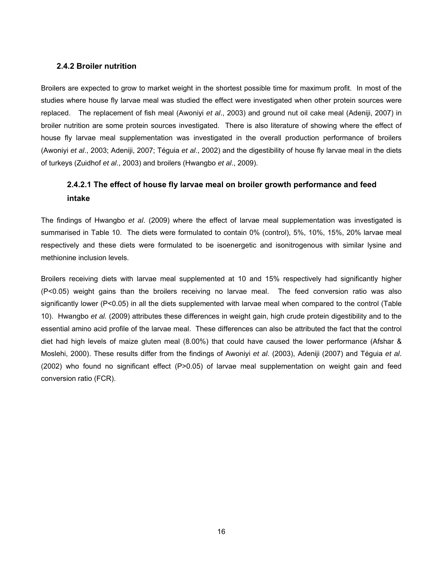#### **2.4.2 Broiler nutrition**

Broilers are expected to grow to market weight in the shortest possible time for maximum profit. In most of the studies where house fly larvae meal was studied the effect were investigated when other protein sources were replaced. The replacement of fish meal (Awoniyi *et al*., 2003) and ground nut oil cake meal (Adeniji, 2007) in broiler nutrition are some protein sources investigated. There is also literature of showing where the effect of house fly larvae meal supplementation was investigated in the overall production performance of broilers (Awoniyi *et al*., 2003; Adeniji, 2007; Téguia *et al*., 2002) and the digestibility of house fly larvae meal in the diets of turkeys (Zuidhof *et al*., 2003) and broilers (Hwangbo *et al*., 2009).

### **2.4.2.1 The effect of house fly larvae meal on broiler growth performance and feed intake**

The findings of Hwangbo *et al*. (2009) where the effect of larvae meal supplementation was investigated is summarised in Table 10. The diets were formulated to contain 0% (control), 5%, 10%, 15%, 20% larvae meal respectively and these diets were formulated to be isoenergetic and isonitrogenous with similar lysine and methionine inclusion levels.

Broilers receiving diets with larvae meal supplemented at 10 and 15% respectively had significantly higher (P<0.05) weight gains than the broilers receiving no larvae meal. The feed conversion ratio was also significantly lower (P<0.05) in all the diets supplemented with larvae meal when compared to the control (Table 10). Hwangbo *et al.* (2009) attributes these differences in weight gain, high crude protein digestibility and to the essential amino acid profile of the larvae meal. These differences can also be attributed the fact that the control diet had high levels of maize gluten meal (8.00%) that could have caused the lower performance (Afshar & Moslehi, 2000). These results differ from the findings of Awoniyi *et al*. (2003), Adeniji (2007) and Téguia *et al*. (2002) who found no significant effect (P>0.05) of larvae meal supplementation on weight gain and feed conversion ratio (FCR).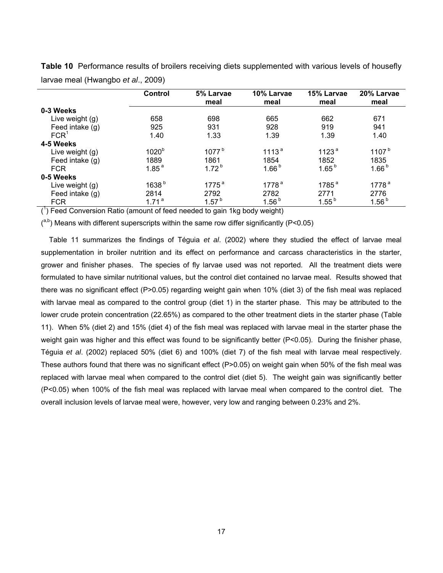|                  | <b>Control</b>    | 5% Larvae<br>meal | 10% Larvae<br>meal | 15% Larvae<br>meal | 20% Larvae<br>meal |
|------------------|-------------------|-------------------|--------------------|--------------------|--------------------|
| 0-3 Weeks        |                   |                   |                    |                    |                    |
| Live weight (g)  | 658               | 698               | 665                | 662                | 671                |
| Feed intake (g)  | 925               | 931               | 928                | 919                | 941                |
| FCR <sup>1</sup> | 1.40              | 1.33              | 1.39               | 1.39               | 1.40               |
| 4-5 Weeks        |                   |                   |                    |                    |                    |
| Live weight (g)  | 1020 <sup>b</sup> | 1077 <sup>b</sup> | 1113 <sup>a</sup>  | 1123 <sup>a</sup>  | 1107 <sup>b</sup>  |
| Feed intake (g)  | 1889              | 1861              | 1854               | 1852               | 1835               |
| <b>FCR</b>       | 1.85 <sup>a</sup> | $1.72^{b}$        | 1.66 <sup>b</sup>  | $1.65^{b}$         | 1.66 <sup>b</sup>  |
| 0-5 Weeks        |                   |                   |                    |                    |                    |
| Live weight (g)  | 1638 <sup>b</sup> | $1775^{\text{a}}$ | 1778 <sup>a</sup>  | $1785^{\text{a}}$  | 1778 <sup>a</sup>  |
| Feed intake (g)  | 2814              | 2792              | 2782               | 2771               | 2776               |
| <b>FCR</b>       | 1.71 <sup>a</sup> | 1.57 <sup>b</sup> | 1.56 <sup>b</sup>  | $1.55^{b}$         | 1.56 <sup>b</sup>  |

**Table 10** Performance results of broilers receiving diets supplemented with various levels of housefly larvae meal (Hwangbo *et al*., 2009)

 $(1)$  Feed Conversion Ratio (amount of feed needed to gain 1kg body weight)

 $($ <sup>a,b</sup>) Means with different superscripts within the same row differ significantly (P<0.05)

 Table 11 summarizes the findings of Téguia *et al*. (2002) where they studied the effect of larvae meal supplementation in broiler nutrition and its effect on performance and carcass characteristics in the starter, grower and finisher phases. The species of fly larvae used was not reported. All the treatment diets were formulated to have similar nutritional values, but the control diet contained no larvae meal. Results showed that there was no significant effect (P>0.05) regarding weight gain when 10% (diet 3) of the fish meal was replaced with larvae meal as compared to the control group (diet 1) in the starter phase. This may be attributed to the lower crude protein concentration (22.65%) as compared to the other treatment diets in the starter phase (Table 11). When 5% (diet 2) and 15% (diet 4) of the fish meal was replaced with larvae meal in the starter phase the weight gain was higher and this effect was found to be significantly better (P<0.05). During the finisher phase, Téguia *et al*. (2002) replaced 50% (diet 6) and 100% (diet 7) of the fish meal with larvae meal respectively. These authors found that there was no significant effect (P>0.05) on weight gain when 50% of the fish meal was replaced with larvae meal when compared to the control diet (diet 5). The weight gain was significantly better (P<0.05) when 100% of the fish meal was replaced with larvae meal when compared to the control diet. The overall inclusion levels of larvae meal were, however, very low and ranging between 0.23% and 2%.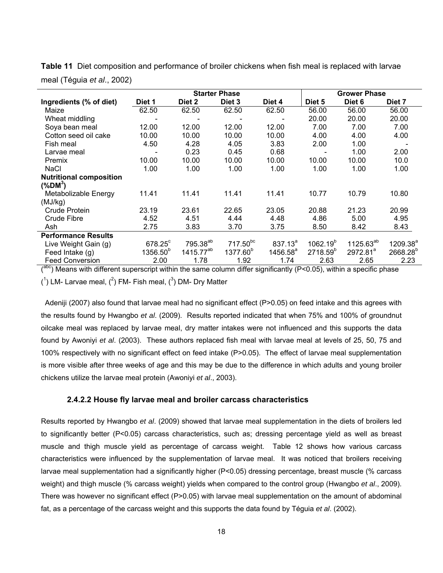|                                | <b>Starter Phase</b> |                       |                      |              | <b>Grower Phase</b>  |                       |                      |  |
|--------------------------------|----------------------|-----------------------|----------------------|--------------|----------------------|-----------------------|----------------------|--|
| Ingredients (% of diet)        | Diet 1               | Diet 2                | Diet 3               | Diet 4       | Diet 5               | Diet <sub>6</sub>     | Diet 7               |  |
| Maize                          | 62.50                | 62.50                 | 62.50                | 62.50        | 56.00                | 56.00                 | 56.00                |  |
| Wheat middling                 |                      |                       |                      |              | 20.00                | 20.00                 | 20.00                |  |
| Soya bean meal                 | 12.00                | 12.00                 | 12.00                | 12.00        | 7.00                 | 7.00                  | 7.00                 |  |
| Cotton seed oil cake           | 10.00                | 10.00                 | 10.00                | 10.00        | 4.00                 | 4.00                  | 4.00                 |  |
| Fish meal                      | 4.50                 | 4.28                  | 4.05                 | 3.83         | 2.00                 | 1.00                  |                      |  |
| Larvae meal                    |                      | 0.23                  | 0.45                 | 0.68         |                      | 1.00                  | 2.00                 |  |
| Premix                         | 10.00                | 10.00                 | 10.00                | 10.00        | 10.00                | 10.00                 | 10.0                 |  |
| <b>NaCl</b>                    | 1.00                 | 1.00                  | 1.00                 | 1.00         | 1.00                 | 1.00                  | 1.00                 |  |
| <b>Nutritional composition</b> |                      |                       |                      |              |                      |                       |                      |  |
| $(\%DM^3)$                     |                      |                       |                      |              |                      |                       |                      |  |
| Metabolizable Energy           | 11.41                | 11.41                 | 11.41                | 11.41        | 10.77                | 10.79                 | 10.80                |  |
| (MJ/kg)                        |                      |                       |                      |              |                      |                       |                      |  |
| Crude Protein                  | 23.19                | 23.61                 | 22.65                | 23.05        | 20.88                | 21.23                 | 20.99                |  |
| Crude Fibre                    | 4.52                 | 4.51                  | 4.44                 | 4.48         | 4.86                 | 5.00                  | 4.95                 |  |
| Ash                            | 2.75                 | 3.83                  | 3.70                 | 3.75         | 8.50                 | 8.42                  | 8.43                 |  |
| <b>Performance Results</b>     |                      |                       |                      |              |                      |                       |                      |  |
| Live Weight Gain (g)           | $678.25^{\circ}$     | 795.38 <sup>ab</sup>  | 717.50 <sup>bc</sup> | $837.13^{a}$ | $1062.19^{b}$        | 1125.63 <sup>ab</sup> | $1209.38^{a}$        |  |
| Feed Intake (g)                | 1356.50 <sup>b</sup> | 1415.77 <sup>ab</sup> | 1377.60 <sup>b</sup> | $1456.58^a$  | 2718.59 <sup>b</sup> | 2972.81 <sup>a</sup>  | 2668.28 <sup>b</sup> |  |
| <b>Feed Conversion</b>         | 2.00                 | 1.78                  | 1.92                 | 1.74         | 2.63                 | 2.65                  | 2.23                 |  |

**Table 11** Diet composition and performance of broiler chickens when fish meal is replaced with larvae meal (Téguia *et al*., 2002)

 $(100)$  Means with different superscript within the same column differ significantly (P<0.05), within a specific phase

 $(1)$  LM- Larvae meal,  $(2)$  FM- Fish meal,  $(3)$  DM- Dry Matter

Adeniji (2007) also found that larvae meal had no significant effect (P>0.05) on feed intake and this agrees with the results found by Hwangbo *et al*. (2009). Results reported indicated that when 75% and 100% of groundnut oilcake meal was replaced by larvae meal, dry matter intakes were not influenced and this supports the data found by Awoniyi *et al*. (2003). These authors replaced fish meal with larvae meal at levels of 25, 50, 75 and 100% respectively with no significant effect on feed intake (P>0.05). The effect of larvae meal supplementation is more visible after three weeks of age and this may be due to the difference in which adults and young broiler chickens utilize the larvae meal protein (Awoniyi *et al*., 2003).

#### **2.4.2.2 House fly larvae meal and broiler carcass characteristics**

Results reported by Hwangbo *et al*. (2009) showed that larvae meal supplementation in the diets of broilers led to significantly better (P<0.05) carcass characteristics, such as; dressing percentage yield as well as breast muscle and thigh muscle yield as percentage of carcass weight. Table 12 shows how various carcass characteristics were influenced by the supplementation of larvae meal. It was noticed that broilers receiving larvae meal supplementation had a significantly higher (P<0.05) dressing percentage, breast muscle (% carcass weight) and thigh muscle (% carcass weight) yields when compared to the control group (Hwangbo *et al*., 2009). There was however no significant effect (P>0.05) with larvae meal supplementation on the amount of abdominal fat, as a percentage of the carcass weight and this supports the data found by Téguia *et al*. (2002).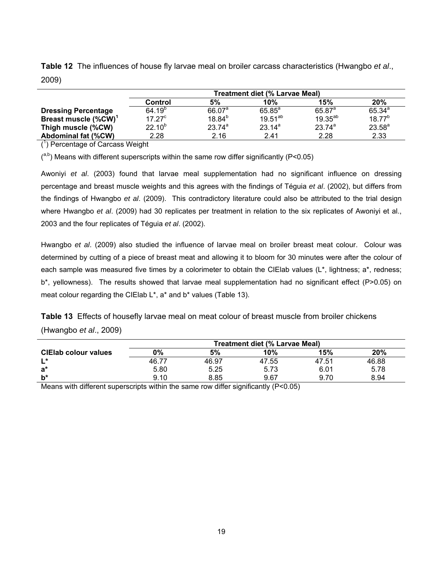| ----                             |                                       |                    |              |              |             |  |  |  |
|----------------------------------|---------------------------------------|--------------------|--------------|--------------|-------------|--|--|--|
|                                  | <b>Treatment diet (% Larvae Meal)</b> |                    |              |              |             |  |  |  |
|                                  | <b>Control</b>                        | 5%                 | 10%          | 15%          | 20%         |  |  |  |
| <b>Dressing Percentage</b>       | $64.19^{p}$                           | 66.07 <sup>a</sup> | $65.85^a$    | $65.87^{a}$  | $65.34^{a}$ |  |  |  |
| Breast muscle (%CW) <sup>1</sup> | 17.27 <sup>c</sup>                    | $18.84^{b}$        | $19.51^{ab}$ | $19.35^{ab}$ | $18.77^{b}$ |  |  |  |
| Thigh muscle (%CW)               | $22.10^{b}$                           | $23.74^{a}$        | $23.14^a$    | $23.74^{a}$  | $23.58^{a}$ |  |  |  |
| <b>Abdominal fat (%CW)</b>       | 2.28                                  | 2.16               | 2.41         | 2.28         | 2.33        |  |  |  |

**Table 12** The influences of house fly larvae meal on broiler carcass characteristics (Hwangbo *et al*., 2009)

( 1 ) Percentage of Carcass Weight

 $($ <sup>a,b</sup>) Means with different superscripts within the same row differ significantly (P<0.05)

Awoniyi *et al*. (2003) found that larvae meal supplementation had no significant influence on dressing percentage and breast muscle weights and this agrees with the findings of Téguia *et al*. (2002), but differs from the findings of Hwangbo *et al*. (2009). This contradictory literature could also be attributed to the trial design where Hwangbo *et al*. (2009) had 30 replicates per treatment in relation to the six replicates of Awoniyi et al., 2003 and the four replicates of Téguia *et al*. (2002).

Hwangbo *et al*. (2009) also studied the influence of larvae meal on broiler breast meat colour. Colour was determined by cutting of a piece of breast meat and allowing it to bloom for 30 minutes were after the colour of each sample was measured five times by a colorimeter to obtain the CIElab values (L\*, lightness; a\*, redness; b\*, yellowness). The results showed that larvae meal supplementation had no significant effect (P>0.05) on meat colour regarding the CIElab L\*, a\* and b\* values (Table 13).

**Table 13** Effects of housefly larvae meal on meat colour of breast muscle from broiler chickens (Hwangbo *et al*., 2009)

|                                                                                                                     | <b>Treatment diet (% Larvae Meal)</b> |       |       |       |       |  |  |
|---------------------------------------------------------------------------------------------------------------------|---------------------------------------|-------|-------|-------|-------|--|--|
| <b>CIEIab colour values</b>                                                                                         | О%                                    | 5%    | 10%   | 15%   | 20%   |  |  |
| l *                                                                                                                 | 46.77                                 | 46.97 | 47.55 | 47.51 | 46.88 |  |  |
| a*                                                                                                                  | 5.80                                  | 5.25  | 5.73  | 6.01  | 5.78  |  |  |
| $b^*$                                                                                                               | 9.10                                  | 8.85  | 9.67  | 9.70  | 8.94  |  |  |
| $M_{\text{e}}$ and with different concernate within the concerner different indifferent $\sim$ (D $\sim$ O D $\sim$ |                                       |       |       |       |       |  |  |

Means with different superscripts within the same row differ significantly (P<0.05)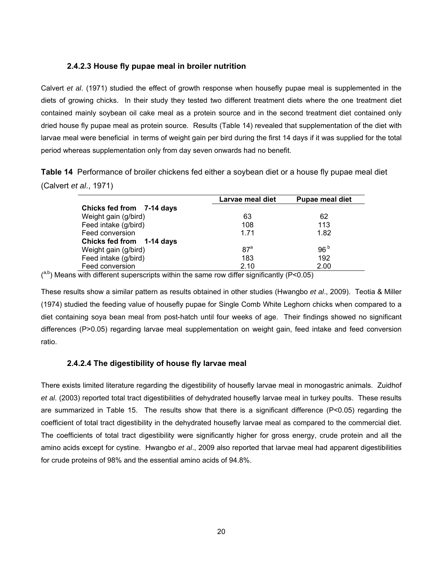#### **2.4.2.3 House fly pupae meal in broiler nutrition**

Calvert *et al*. (1971) studied the effect of growth response when housefly pupae meal is supplemented in the diets of growing chicks. In their study they tested two different treatment diets where the one treatment diet contained mainly soybean oil cake meal as a protein source and in the second treatment diet contained only dried house fly pupae meal as protein source. Results (Table 14) revealed that supplementation of the diet with larvae meal were beneficial in terms of weight gain per bird during the first 14 days if it was supplied for the total period whereas supplementation only from day seven onwards had no benefit.

**Table 14** Performance of broiler chickens fed either a soybean diet or a house fly pupae meal diet (Calvert *et al*., 1971)

|                           | Larvae meal diet | <b>Pupae meal diet</b> |
|---------------------------|------------------|------------------------|
| Chicks fed from 7-14 days |                  |                        |
| Weight gain (g/bird)      | 63               | 62                     |
| Feed intake (g/bird)      | 108              | 113                    |
| Feed conversion           | 1.71             | 1.82                   |
| Chicks fed from 1-14 days |                  |                        |
| Weight gain (g/bird)      | $87^a$           | 96 <sup>b</sup>        |
| Feed intake (g/bird)      | 183              | 192                    |
| Feed conversion           | 2.10             | 2.00                   |

 $($ <sup>a,b</sup>) Means with different superscripts within the same row differ significantly (P<0.05)

These results show a similar pattern as results obtained in other studies (Hwangbo *et al*., 2009). Teotia & Miller (1974) studied the feeding value of housefly pupae for Single Comb White Leghorn chicks when compared to a diet containing soya bean meal from post-hatch until four weeks of age. Their findings showed no significant differences (P>0.05) regarding larvae meal supplementation on weight gain, feed intake and feed conversion ratio.

#### **2.4.2.4 The digestibility of house fly larvae meal**

There exists limited literature regarding the digestibility of housefly larvae meal in monogastric animals. Zuidhof *et al*. (2003) reported total tract digestibilities of dehydrated housefly larvae meal in turkey poults. These results are summarized in Table 15. The results show that there is a significant difference (P<0.05) regarding the coefficient of total tract digestibility in the dehydrated housefly larvae meal as compared to the commercial diet. The coefficients of total tract digestibility were significantly higher for gross energy, crude protein and all the amino acids except for cystine. Hwangbo *et al*., 2009 also reported that larvae meal had apparent digestibilities for crude proteins of 98% and the essential amino acids of 94.8%.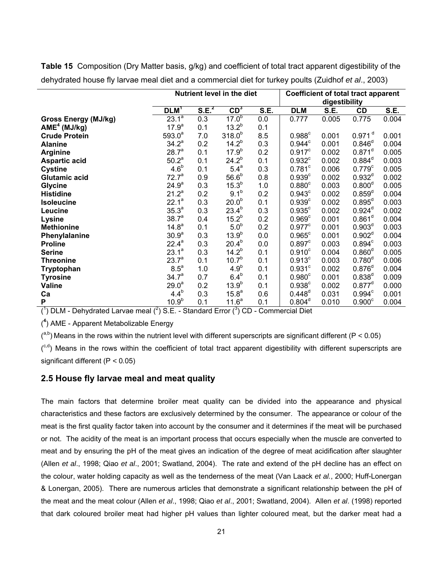|                             | Nutrient level in the diet |                   |                   |      | <b>Coefficient of total tract apparent</b> |               |                      |       |  |
|-----------------------------|----------------------------|-------------------|-------------------|------|--------------------------------------------|---------------|----------------------|-------|--|
|                             |                            |                   |                   |      |                                            | digestibility |                      |       |  |
|                             | DLM <sup>T</sup>           | S.E. <sup>2</sup> | $CD^3$            | S.E. | <b>DLM</b>                                 | S.E.          | CD                   | S.E.  |  |
| <b>Gross Energy (MJ/kg)</b> | $23.\overline{1}^{a}$      | 0.3               | $17.0^{b}$        | 0.0  | 0.777                                      | 0.005         | 0.775                | 0.004 |  |
| AME <sup>4</sup> (MJ/kg)    | 17.9 <sup>a</sup>          | 0.1               | $13.2^{b}$        | 0.1  |                                            |               |                      |       |  |
| <b>Crude Protein</b>        | $593.0^a$                  | 7.0               | $318.0^{b}$       | 8.5  | $0.988$ <sup>c</sup>                       | 0.001         | $0.971$ <sup>d</sup> | 0.001 |  |
| <b>Alanine</b>              | $34.2^{a}$                 | 0.2               | $14.2^{b}$        | 0.3  | $0.944^c$                                  | 0.001         | $0.846^{\circ}$      | 0.004 |  |
| <b>Arginine</b>             | 28.7 <sup>a</sup>          | 0.1               | $17.9^{b}$        | 0.2  | $0.917^c$                                  | 0.002         | $0.871$ <sup>d</sup> | 0.005 |  |
| <b>Aspartic acid</b>        | 50.2 <sup>a</sup>          | 0.1               | $24.2^{b}$        | 0.1  | $0.932$ <sup>c</sup>                       | 0.002         | $0.884^d$            | 0.003 |  |
| <b>Cystine</b>              | 4.6 <sup>b</sup>           | 0.1               | $5.4^a$           | 0.3  | $0.781$ <sup>c</sup>                       | 0.006         | $0.779$ <sup>c</sup> | 0.005 |  |
| Glutamic acid               | 72.7 <sup>a</sup>          | 0.9               | 56.6 <sup>b</sup> | 0.8  | 0.939 <sup>c</sup>                         | 0.002         | $0.932^{d}$          | 0.002 |  |
| <b>Glycine</b>              | $24.9^{a}$                 | 0.3               | $15.3^{b}$        | 1.0  | 0.880 <sup>c</sup>                         | 0.003         | $0.800^d$            | 0.005 |  |
| <b>Histidine</b>            | $21.2^a$                   | 0.2               | 9.1 <sup>b</sup>  | 0.2  | $0.943^c$                                  | 0.002         | $0.859^d$            | 0.004 |  |
| <b>Isoleucine</b>           | $22.1^a$                   | 0.3               | 20.0 <sup>b</sup> | 0.1  | 0.939 <sup>c</sup>                         | 0.002         | $0.895^d$            | 0.003 |  |
| Leucine                     | 35.3 <sup>a</sup>          | 0.3               | $23.4^{b}$        | 0.3  | $0.935$ <sup>c</sup>                       | 0.002         | $0.924^d$            | 0.002 |  |
| Lysine                      | 38.7 <sup>a</sup>          | 0.4               | $15.2^{b}$        | 0.2  | 0.969 <sup>c</sup>                         | 0.001         | 0.861 <sup>d</sup>   | 0.004 |  |
| <b>Methionine</b>           | 14.8 <sup>a</sup>          | 0.1               | 5.0 <sup>b</sup>  | 0.2  | $0.977$ <sup>c</sup>                       | 0.001         | 0.903 <sup>d</sup>   | 0.003 |  |
| Phenylalanine               | 30.9 <sup>a</sup>          | 0.3               | $13.9^{b}$        | 0.0  | $0.965^{\circ}$                            | 0.001         | 0.902 <sup>d</sup>   | 0.004 |  |
| <b>Proline</b>              | $22.4^a$                   | 0.3               | $20.4^{b}$        | 0.0  | 0.897 <sup>c</sup>                         | 0.003         | 0.894 <sup>c</sup>   | 0.003 |  |
| <b>Serine</b>               | $23.1^a$                   | 0.3               | $14.2^{b}$        | 0.1  | 0.910 <sup>c</sup>                         | 0.004         | $0.860^d$            | 0.005 |  |
| <b>Threonine</b>            | $23.7^{a}$                 | 0.1               | 10.7 <sup>b</sup> | 0.1  | 0.913 <sup>c</sup>                         | 0.003         | $0.780^{d}$          | 0.006 |  |
| Tryptophan                  | $8.5^a$                    | 1.0               | 4.9 <sup>b</sup>  | 0.1  | $0.931$ <sup>c</sup>                       | 0.002         | $0.876^{\circ}$      | 0.004 |  |
| <b>Tyrosine</b>             | 34.7 <sup>a</sup>          | 0.7               | 6.4 <sup>b</sup>  | 0.1  | 0.980 <sup>c</sup>                         | 0.001         | $0.838^{d}$          | 0.009 |  |
| <b>Valine</b>               | 29.0 <sup>a</sup>          | 0.2               | $13.9^{b}$        | 0.1  | $0.938$ <sup>c</sup>                       | 0.002         | $0.877^d$            | 0.000 |  |
| Ca                          | 4.4 <sup>b</sup>           | 0.3               | $15.8^{a}$        | 0.6  | $0.448^d$                                  | 0.031         | $0.994^c$            | 0.001 |  |
| P                           | $10.9^{b}$                 | 0.1               | 11.6 <sup>a</sup> | 0.1  | $0.804^d$                                  | 0.010         | 0.900 <sup>c</sup>   | 0.004 |  |

**Table 15** Composition (Dry Matter basis, g/kg) and coefficient of total tract apparent digestibility of the dehydrated house fly larvae meal diet and a commercial diet for turkey poults (Zuidhof *et al*., 2003)

 $(1)$  DLM - Dehydrated Larvae meal  $(2)$  S.E. - Standard Error  $(3)$  CD - Commercial Diet

( **4** ) AME - Apparent Metabolizable Energy

( a,b) Means in the rows within the nutrient level with different superscripts are significant different (P *<* 0*.*05)

(<sup>c,d</sup>) Means in the rows within the coefficient of total tract apparent digestibility with different superscripts are significant different (P *<* 0*.*05)

#### **2.5 House fly larvae meal and meat quality**

The main factors that determine broiler meat quality can be divided into the appearance and physical characteristics and these factors are exclusively determined by the consumer. The appearance or colour of the meat is the first quality factor taken into account by the consumer and it determines if the meat will be purchased or not. The acidity of the meat is an important process that occurs especially when the muscle are converted to meat and by ensuring the pH of the meat gives an indication of the degree of meat acidification after slaughter (Allen *et al*., 1998; Qiao *et al*., 2001; Swatland, 2004). The rate and extend of the pH decline has an effect on the colour, water holding capacity as well as the tenderness of the meat (Van Laack *et al.*, 2000; Huff-Lonergan & Lonergan, 2005). There are numerous articles that demonstrate a significant relationship between the pH of the meat and the meat colour (Allen *et al*., 1998; Qiao *et al*., 2001; Swatland, 2004). Allen *et al*. (1998) reported that dark coloured broiler meat had higher pH values than lighter coloured meat, but the darker meat had a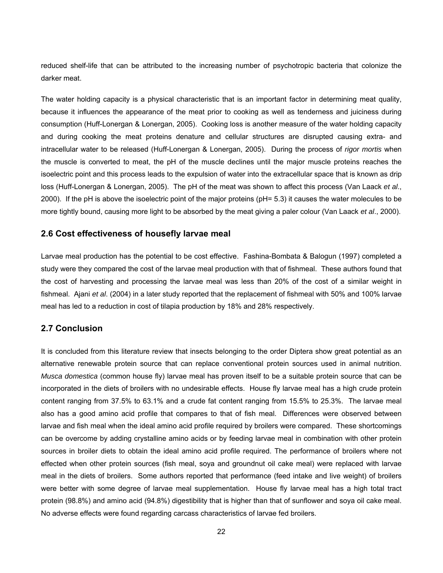reduced shelf-life that can be attributed to the increasing number of psychotropic bacteria that colonize the darker meat.

The water holding capacity is a physical characteristic that is an important factor in determining meat quality, because it influences the appearance of the meat prior to cooking as well as tenderness and juiciness during consumption (Huff-Lonergan & Lonergan, 2005). Cooking loss is another measure of the water holding capacity and during cooking the meat proteins denature and cellular structures are disrupted causing extra- and intracellular water to be released (Huff-Lonergan & Lonergan, 2005). During the process of *rigor mortis* when the muscle is converted to meat, the pH of the muscle declines until the major muscle proteins reaches the isoelectric point and this process leads to the expulsion of water into the extracellular space that is known as drip loss (Huff-Lonergan & Lonergan, 2005). The pH of the meat was shown to affect this process (Van Laack *et al*., 2000). If the pH is above the isoelectric point of the major proteins (pH= 5.3) it causes the water molecules to be more tightly bound, causing more light to be absorbed by the meat giving a paler colour (Van Laack *et al*., 2000).

#### **2.6 Cost effectiveness of housefly larvae meal**

Larvae meal production has the potential to be cost effective. Fashina-Bombata & Balogun (1997) completed a study were they compared the cost of the larvae meal production with that of fishmeal. These authors found that the cost of harvesting and processing the larvae meal was less than 20% of the cost of a similar weight in fishmeal. Ajani *et al*. (2004) in a later study reported that the replacement of fishmeal with 50% and 100% larvae meal has led to a reduction in cost of tilapia production by 18% and 28% respectively.

#### **2.7 Conclusion**

It is concluded from this literature review that insects belonging to the order Diptera show great potential as an alternative renewable protein source that can replace conventional protein sources used in animal nutrition. *Musca domestica* (common house fly) larvae meal has proven itself to be a suitable protein source that can be incorporated in the diets of broilers with no undesirable effects. House fly larvae meal has a high crude protein content ranging from 37.5% to 63.1% and a crude fat content ranging from 15.5% to 25.3%. The larvae meal also has a good amino acid profile that compares to that of fish meal. Differences were observed between larvae and fish meal when the ideal amino acid profile required by broilers were compared. These shortcomings can be overcome by adding crystalline amino acids or by feeding larvae meal in combination with other protein sources in broiler diets to obtain the ideal amino acid profile required. The performance of broilers where not effected when other protein sources (fish meal, soya and groundnut oil cake meal) were replaced with larvae meal in the diets of broilers. Some authors reported that performance (feed intake and live weight) of broilers were better with some degree of larvae meal supplementation. House fly larvae meal has a high total tract protein (98.8%) and amino acid (94.8%) digestibility that is higher than that of sunflower and soya oil cake meal. No adverse effects were found regarding carcass characteristics of larvae fed broilers.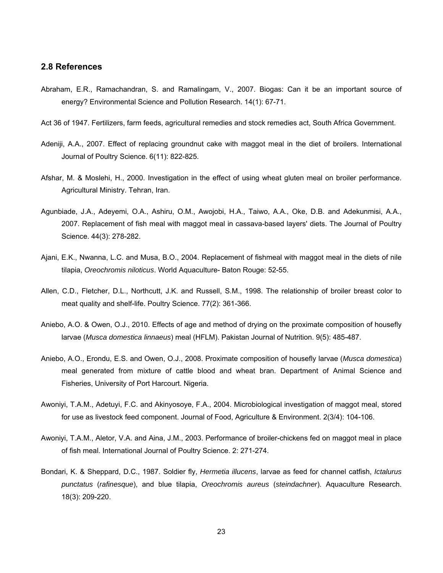#### **2.8 References**

- Abraham, E.R., Ramachandran, S. and Ramalingam, V., 2007. Biogas: Can it be an important source of energy? Environmental Science and Pollution Research. 14(1): 67-71.
- Act 36 of 1947. Fertilizers, farm feeds, agricultural remedies and stock remedies act, South Africa Government.
- Adeniji, A.A., 2007. Effect of replacing groundnut cake with maggot meal in the diet of broilers. International Journal of Poultry Science. 6(11): 822-825.
- Afshar, M. & Moslehi, H., 2000. Investigation in the effect of using wheat gluten meal on broiler performance. Agricultural Ministry. Tehran, Iran.
- Agunbiade, J.A., Adeyemi, O.A., Ashiru, O.M., Awojobi, H.A., Taiwo, A.A., Oke, D.B. and Adekunmisi, A.A., 2007. Replacement of fish meal with maggot meal in cassava-based layers' diets. The Journal of Poultry Science. 44(3): 278-282.
- Ajani, E.K., Nwanna, L.C. and Musa, B.O., 2004. Replacement of fishmeal with maggot meal in the diets of nile tilapia, *Oreochromis niloticus*. World Aquaculture- Baton Rouge: 52-55.
- Allen, C.D., Fletcher, D.L., Northcutt, J.K. and Russell, S.M., 1998. The relationship of broiler breast color to meat quality and shelf-life. Poultry Science. 77(2): 361-366.
- Aniebo, A.O. & Owen, O.J., 2010. Effects of age and method of drying on the proximate composition of housefly larvae (*Musca domestica linnaeus*) meal (HFLM). Pakistan Journal of Nutrition. 9(5): 485-487.
- Aniebo, A.O., Erondu, E.S. and Owen, O.J., 2008. Proximate composition of housefly larvae (*Musca domestica*) meal generated from mixture of cattle blood and wheat bran. Department of Animal Science and Fisheries, University of Port Harcourt. Nigeria.
- Awoniyi, T.A.M., Adetuyi, F.C. and Akinyosoye, F.A., 2004. Microbiological investigation of maggot meal, stored for use as livestock feed component. Journal of Food, Agriculture & Environment. 2(3/4): 104-106.
- Awoniyi, T.A.M., Aletor, V.A. and Aina, J.M., 2003. Performance of broiler-chickens fed on maggot meal in place of fish meal. International Journal of Poultry Science. 2: 271-274.
- Bondari, K. & Sheppard, D.C., 1987. Soldier fly, *Hermetia illucens*, larvae as feed for channel catfish, *Ictalurus punctatus* (*rafinesque*), and blue tilapia, *Oreochromis aureus* (*steindachner*). Aquaculture Research. 18(3): 209-220.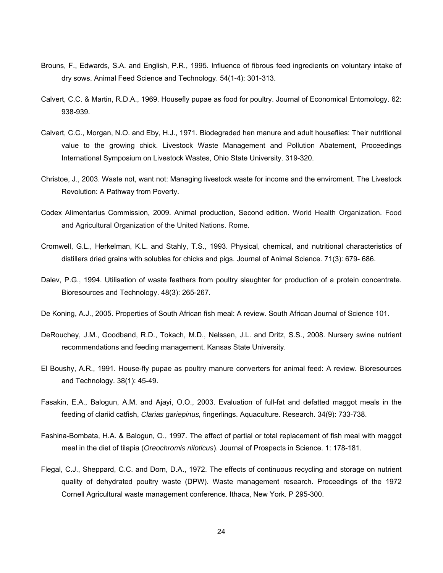- Brouns, F., Edwards, S.A. and English, P.R., 1995. Influence of fibrous feed ingredients on voluntary intake of dry sows. Animal Feed Science and Technology. 54(1-4): 301-313.
- Calvert, C.C. & Martin, R.D.A., 1969. Housefly pupae as food for poultry. Journal of Economical Entomology. 62: 938-939.
- Calvert, C.C., Morgan, N.O. and Eby, H.J., 1971. Biodegraded hen manure and adult houseflies: Their nutritional value to the growing chick. Livestock Waste Management and Pollution Abatement, Proceedings International Symposium on Livestock Wastes, Ohio State University. 319-320.
- Christoe, J., 2003. Waste not, want not: Managing livestock waste for income and the enviroment. The Livestock Revolution: A Pathway from Poverty.
- Codex Alimentarius Commission, 2009. Animal production, Second edition. World Health Organization. Food and Agricultural Organization of the United Nations. Rome.
- Cromwell, G.L., Herkelman, K.L. and Stahly, T.S., 1993. Physical, chemical, and nutritional characteristics of distillers dried grains with solubles for chicks and pigs. Journal of Animal Science. 71(3): 679- 686.
- Dalev, P.G., 1994. Utilisation of waste feathers from poultry slaughter for production of a protein concentrate. Bioresources and Technology. 48(3): 265-267.
- De Koning, A.J., 2005. Properties of South African fish meal: A review. South African Journal of Science 101.
- DeRouchey, J.M., Goodband, R.D., Tokach, M.D., Nelssen, J.L. and Dritz, S.S., 2008. Nursery swine nutrient recommendations and feeding management. Kansas State University.
- El Boushy, A.R., 1991. House-fly pupae as poultry manure converters for animal feed: A review. Bioresources and Technology. 38(1): 45-49.
- Fasakin, E.A., Balogun, A.M. and Ajayi, O.O., 2003. Evaluation of full-fat and defatted maggot meals in the feeding of clariid catfish, *Clarias gariepinus,* fingerlings. Aquaculture. Research. 34(9): 733-738.
- Fashina-Bombata, H.A. & Balogun, O., 1997. The effect of partial or total replacement of fish meal with maggot meal in the diet of tilapia (*Oreochromis niloticus*). Journal of Prospects in Science. 1: 178-181.
- Flegal, C.J., Sheppard, C.C. and Dorn, D.A., 1972. The effects of continuous recycling and storage on nutrient quality of dehydrated poultry waste (DPW). Waste management research. Proceedings of the 1972 Cornell Agricultural waste management conference. Ithaca, New York. P 295-300.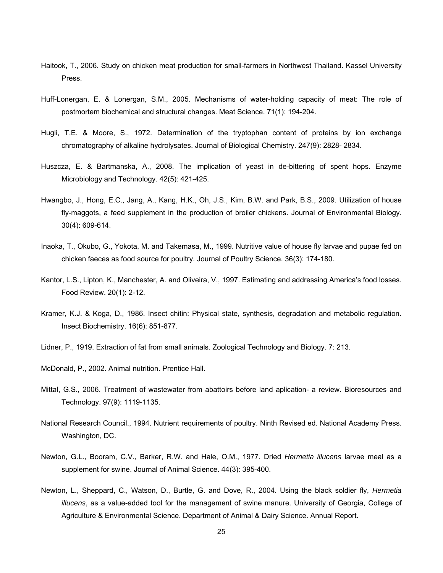- Haitook, T., 2006. Study on chicken meat production for small-farmers in Northwest Thailand. Kassel University Press.
- Huff-Lonergan, E. & Lonergan, S.M., 2005. Mechanisms of water-holding capacity of meat: The role of postmortem biochemical and structural changes. Meat Science. 71(1): 194-204.
- Hugli, T.E. & Moore, S., 1972. Determination of the tryptophan content of proteins by ion exchange chromatography of alkaline hydrolysates. Journal of Biological Chemistry. 247(9): 2828- 2834.
- Huszcza, E. & Bartmanska, A., 2008. The implication of yeast in de-bittering of spent hops. Enzyme Microbiology and Technology. 42(5): 421-425.
- Hwangbo, J., Hong, E.C., Jang, A., Kang, H.K., Oh, J.S., Kim, B.W. and Park, B.S., 2009. Utilization of house fly-maggots, a feed supplement in the production of broiler chickens. Journal of Environmental Biology. 30(4): 609-614.
- Inaoka, T., Okubo, G., Yokota, M. and Takemasa, M., 1999. Nutritive value of house fly larvae and pupae fed on chicken faeces as food source for poultry. Journal of Poultry Science. 36(3): 174-180.
- Kantor, L.S., Lipton, K., Manchester, A. and Oliveira, V., 1997. Estimating and addressing America's food losses. Food Review. 20(1): 2-12.
- Kramer, K.J. & Koga, D., 1986. Insect chitin: Physical state, synthesis, degradation and metabolic regulation. Insect Biochemistry. 16(6): 851-877.
- Lidner, P., 1919. Extraction of fat from small animals. Zoological Technology and Biology. 7: 213.
- McDonald, P., 2002. Animal nutrition. Prentice Hall.
- Mittal, G.S., 2006. Treatment of wastewater from abattoirs before land aplication- a review. Bioresources and Technology. 97(9): 1119-1135.
- National Research Council., 1994. Nutrient requirements of poultry. Ninth Revised ed. National Academy Press. Washington, DC.
- Newton, G.L., Booram, C.V., Barker, R.W. and Hale, O.M., 1977. Dried *Hermetia illucens* larvae meal as a supplement for swine. Journal of Animal Science. 44(3): 395-400.
- Newton, L., Sheppard, C., Watson, D., Burtle, G. and Dove, R., 2004. Using the black soldier fly, *Hermetia illucens*, as a value-added tool for the management of swine manure. University of Georgia, College of Agriculture & Environmental Science. Department of Animal & Dairy Science. Annual Report.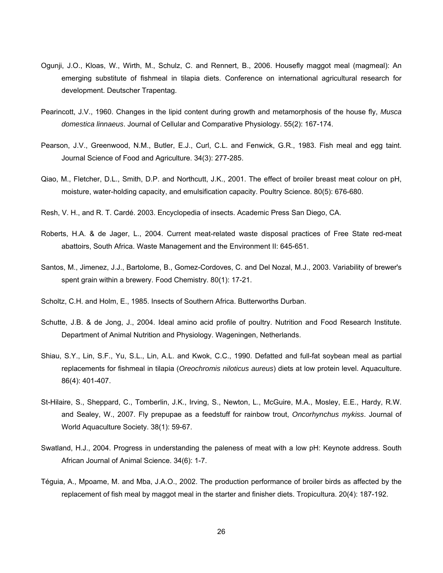- Ogunji, J.O., Kloas, W., Wirth, M., Schulz, C. and Rennert, B., 2006. Housefly maggot meal (magmeal): An emerging substitute of fishmeal in tilapia diets. Conference on international agricultural research for development. Deutscher Trapentag.
- Pearincott, J.V., 1960. Changes in the lipid content during growth and metamorphosis of the house fly, *Musca domestica linnaeus*. Journal of Cellular and Comparative Physiology. 55(2): 167-174.
- Pearson, J.V., Greenwood, N.M., Butler, E.J., Curl, C.L. and Fenwick, G.R., 1983. Fish meal and egg taint. Journal Science of Food and Agriculture. 34(3): 277-285.
- Qiao, M., Fletcher, D.L., Smith, D.P. and Northcutt, J.K., 2001. The effect of broiler breast meat colour on pH, moisture, water-holding capacity, and emulsification capacity. Poultry Science. 80(5): 676-680.
- Resh, V. H., and R. T. Cardé. 2003. Encyclopedia of insects. Academic Press San Diego, CA.
- Roberts, H.A. & de Jager, L., 2004. Current meat-related waste disposal practices of Free State red-meat abattoirs, South Africa. Waste Management and the Environment II: 645-651.
- Santos, M., Jimenez, J.J., Bartolome, B., Gomez-Cordoves, C. and Del Nozal, M.J., 2003. Variability of brewer's spent grain within a brewery. Food Chemistry. 80(1): 17-21.
- Scholtz, C.H. and Holm, E., 1985. Insects of Southern Africa. Butterworths Durban.
- Schutte, J.B. & de Jong, J., 2004. Ideal amino acid profile of poultry. Nutrition and Food Research Institute. Department of Animal Nutrition and Physiology. Wageningen, Netherlands.
- Shiau, S.Y., Lin, S.F., Yu, S.L., Lin, A.L. and Kwok, C.C., 1990. Defatted and full-fat soybean meal as partial replacements for fishmeal in tilapia (*Oreochromis niloticus aureus*) diets at low protein level. Aquaculture. 86(4): 401-407.
- St-Hilaire, S., Sheppard, C., Tomberlin, J.K., Irving, S., Newton, L., McGuire, M.A., Mosley, E.E., Hardy, R.W. and Sealey, W., 2007. Fly prepupae as a feedstuff for rainbow trout, *Oncorhynchus mykiss*. Journal of World Aquaculture Society. 38(1): 59-67.
- Swatland, H.J., 2004. Progress in understanding the paleness of meat with a low pH: Keynote address. South African Journal of Animal Science. 34(6): 1-7.
- Téguia, A., Mpoame, M. and Mba, J.A.O., 2002. The production performance of broiler birds as affected by the replacement of fish meal by maggot meal in the starter and finisher diets. Tropicultura. 20(4): 187-192.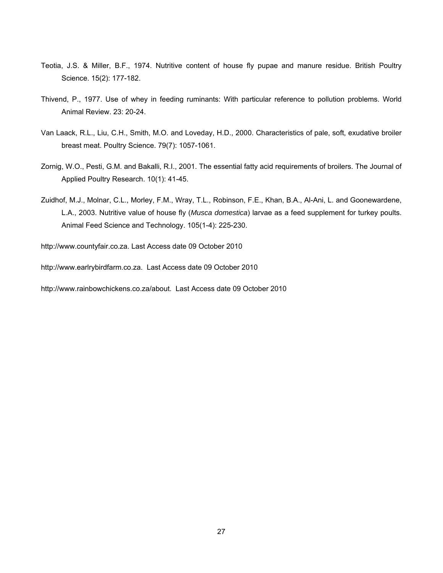- Teotia, J.S. & Miller, B.F., 1974. Nutritive content of house fly pupae and manure residue. British Poultry Science. 15(2): 177-182.
- Thivend, P., 1977. Use of whey in feeding ruminants: With particular reference to pollution problems. World Animal Review. 23: 20-24.
- Van Laack, R.L., Liu, C.H., Smith, M.O. and Loveday, H.D., 2000. Characteristics of pale, soft, exudative broiler breast meat. Poultry Science. 79(7): 1057-1061.
- Zornig, W.O., Pesti, G.M. and Bakalli, R.I., 2001. The essential fatty acid requirements of broilers. The Journal of Applied Poultry Research. 10(1): 41-45.
- Zuidhof, M.J., Molnar, C.L., Morley, F.M., Wray, T.L., Robinson, F.E., Khan, B.A., Al-Ani, L. and Goonewardene, L.A., 2003. Nutritive value of house fly (*Musca domestica*) larvae as a feed supplement for turkey poults. Animal Feed Science and Technology. 105(1-4): 225-230.

http://www.countyfair.co.za. Last Access date 09 October 2010

http://www.earlrybirdfarm.co.za. Last Access date 09 October 2010

http://www.rainbowchickens.co.za/about. Last Access date 09 October 2010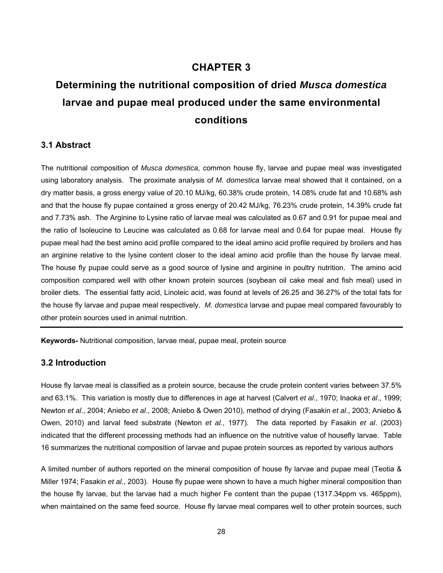# **CHAPTER 3**

# **Determining the nutritional composition of dried** *Musca domestica* **larvae and pupae meal produced under the same environmental conditions**

# **3.1 Abstract**

The nutritional composition of *Musca domestica*, common house fly, larvae and pupae meal was investigated using laboratory analysis. The proximate analysis of *M. domestica* larvae meal showed that it contained, on a dry matter basis, a gross energy value of 20.10 MJ/kg, 60.38% crude protein, 14.08% crude fat and 10.68% ash and that the house fly pupae contained a gross energy of 20.42 MJ/kg, 76.23% crude protein, 14.39% crude fat and 7.73% ash. The Arginine to Lysine ratio of larvae meal was calculated as 0.67 and 0.91 for pupae meal and the ratio of Isoleucine to Leucine was calculated as 0.68 for larvae meal and 0.64 for pupae meal. House fly pupae meal had the best amino acid profile compared to the ideal amino acid profile required by broilers and has an arginine relative to the lysine content closer to the ideal amino acid profile than the house fly larvae meal. The house fly pupae could serve as a good source of lysine and arginine in poultry nutrition. The amino acid composition compared well with other known protein sources (soybean oil cake meal and fish meal) used in broiler diets. The essential fatty acid, Linoleic acid, was found at levels of 26.25 and 36.27% of the total fats for the house fly larvae and pupae meal respectively. *M. domestica* larvae and pupae meal compared favourably to other protein sources used in animal nutrition.

**Keywords-** Nutritional composition, larvae meal, pupae meal, protein source

# **3.2 Introduction**

House fly larvae meal is classified as a protein source, because the crude protein content varies between 37.5% and 63.1%. This variation is mostly due to differences in age at harvest (Calvert *et al*., 1970; Inaoka *et al*., 1999; Newton *et al*., 2004; Aniebo *et al*., 2008; Aniebo & Owen 2010), method of drying (Fasakin *et al*., 2003; Aniebo & Owen, 2010) and larval feed substrate (Newton *et al.*, 1977). The data reported by Fasakin *et al*. (2003) indicated that the different processing methods had an influence on the nutritive value of housefly larvae. Table 16 summarizes the nutritional composition of larvae and pupae protein sources as reported by various authors

A limited number of authors reported on the mineral composition of house fly larvae and pupae meal (Teotia & Miller 1974; Fasakin *et al*., 2003). House fly pupae were shown to have a much higher mineral composition than the house fly larvae, but the larvae had a much higher Fe content than the pupae (1317.34ppm vs. 465ppm), when maintained on the same feed source. House fly larvae meal compares well to other protein sources, such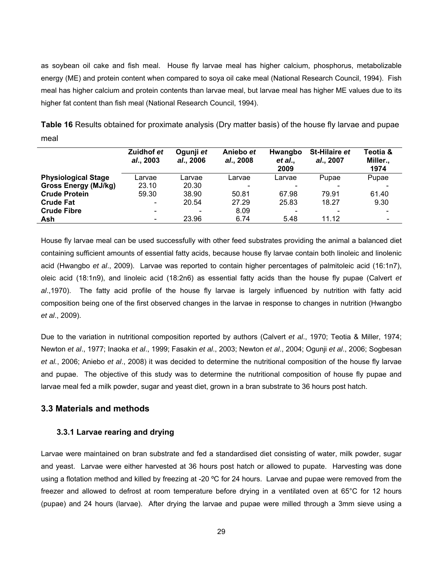as soybean oil cake and fish meal. House fly larvae meal has higher calcium, phosphorus, metabolizable energy (ME) and protein content when compared to soya oil cake meal (National Research Council, 1994). Fish meal has higher calcium and protein contents than larvae meal, but larvae meal has higher ME values due to its higher fat content than fish meal (National Research Council, 1994).

|                             | Zuidhof et<br>al., 2003      | Ogunji et<br><i>al.</i> , 2006 | Aniebo et<br>al., 2008 | Hwangbo<br>et al.,<br>2009 | <b>St-Hilaire et</b><br>al., 2007 | Teotia &<br>Miller.,<br>1974 |
|-----------------------------|------------------------------|--------------------------------|------------------------|----------------------------|-----------------------------------|------------------------------|
| <b>Physiological Stage</b>  | _arvae                       | Larvae                         | Larvae                 | Larvae                     | Pupae                             | Pupae                        |
| <b>Gross Energy (MJ/kg)</b> | 23.10                        | 20.30                          |                        |                            |                                   |                              |
| <b>Crude Protein</b>        | 59.30                        | 38.90                          | 50.81                  | 67.98                      | 79.91                             | 61.40                        |
| <b>Crude Fat</b>            | $\overline{\phantom{0}}$     | 20.54                          | 27.29                  | 25.83                      | 18.27                             | 9.30                         |
| <b>Crude Fibre</b>          |                              |                                | 8.09                   |                            |                                   |                              |
| Ash                         | $\qquad \qquad \blacksquare$ | 23.96                          | 6.74                   | 5.48                       | 11.12                             |                              |

**Table 16** Results obtained for proximate analysis (Dry matter basis) of the house fly larvae and pupae meal

House fly larvae meal can be used successfully with other feed substrates providing the animal a balanced diet containing sufficient amounts of essential fatty acids, because house fly larvae contain both linoleic and linolenic acid (Hwangbo *et al*., 2009). Larvae was reported to contain higher percentages of palmitoleic acid (16:1n7), oleic acid (18:1n9), and linoleic acid (18:2n6) as essential fatty acids than the house fly pupae (Calvert *et al*.,1970). The fatty acid profile of the house fly larvae is largely influenced by nutrition with fatty acid composition being one of the first observed changes in the larvae in response to changes in nutrition (Hwangbo *et al*., 2009).

Due to the variation in nutritional composition reported by authors (Calvert *et al*., 1970; Teotia & Miller, 1974; Newton *et al*., 1977; Inaoka *et al*., 1999; Fasakin *et al*., 2003; Newton *et al*., 2004; Ogunji *et al*., 2006; Sogbesan *et al.*, 2006; Aniebo *et al*., 2008) it was decided to determine the nutritional composition of the house fly larvae and pupae. The objective of this study was to determine the nutritional composition of house fly pupae and larvae meal fed a milk powder, sugar and yeast diet, grown in a bran substrate to 36 hours post hatch.

# **3.3 Materials and methods**

# **3.3.1 Larvae rearing and drying**

Larvae were maintained on bran substrate and fed a standardised diet consisting of water, milk powder, sugar and yeast. Larvae were either harvested at 36 hours post hatch or allowed to pupate. Harvesting was done using a flotation method and killed by freezing at -20 °C for 24 hours. Larvae and pupae were removed from the freezer and allowed to defrost at room temperature before drying in a ventilated oven at 65°C for 12 hours (pupae) and 24 hours (larvae). After drying the larvae and pupae were milled through a 3mm sieve using a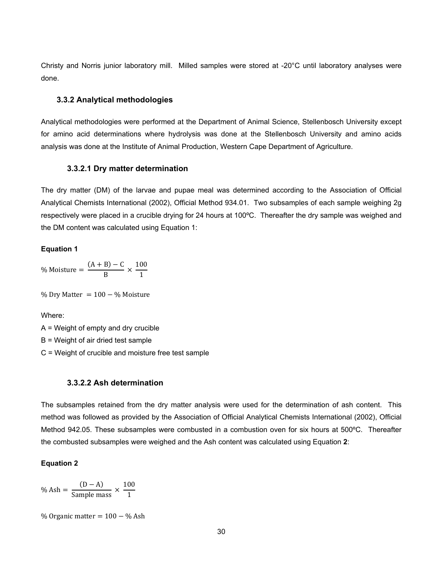Christy and Norris junior laboratory mill. Milled samples were stored at -20°C until laboratory analyses were done.

## **3.3.2 Analytical methodologies**

Analytical methodologies were performed at the Department of Animal Science, Stellenbosch University except for amino acid determinations where hydrolysis was done at the Stellenbosch University and amino acids analysis was done at the Institute of Animal Production, Western Cape Department of Agriculture.

#### **3.3.2.1 Dry matter determination**

The dry matter (DM) of the larvae and pupae meal was determined according to the Association of Official Analytical Chemists International (2002), Official Method 934.01. Two subsamples of each sample weighing 2g respectively were placed in a crucible drying for 24 hours at 100ºC. Thereafter the dry sample was weighed and the DM content was calculated using Equation 1:

#### **Equation 1**

% Moisture  $=\frac{(A+B)-C}{B} \times \frac{100}{1}$ 1

% Dry Matter =  $100 - %$  Moisture

Where:

A = Weight of empty and dry crucible B = Weight of air dried test sample C = Weight of crucible and moisture free test sample

#### **3.3.2.2 Ash determination**

The subsamples retained from the dry matter analysis were used for the determination of ash content. This method was followed as provided by the Association of Official Analytical Chemists International (2002), Official Method 942.05. These subsamples were combusted in a combustion oven for six hours at 500ºC. Thereafter the combusted subsamples were weighed and the Ash content was calculated using Equation **2**:

#### **Equation 2**

$$
\% \text{ Ash} = \frac{(D - A)}{\text{Sample mass}} \times \frac{100}{1}
$$

% Organic matter  $= 100 - %$  Ash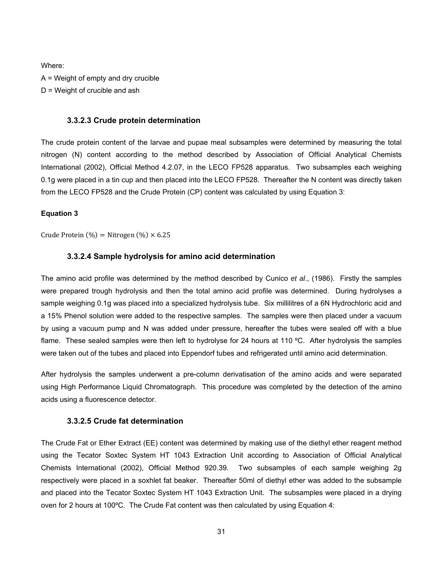Where:

A = Weight of empty and dry crucible D = Weight of crucible and ash

#### **3.3.2.3 Crude protein determination**

The crude protein content of the larvae and pupae meal subsamples were determined by measuring the total nitrogen (N) content according to the method described by Association of Official Analytical Chemists International (2002), Official Method 4.2.07, in the LECO FP528 apparatus. Two subsamples each weighing 0.1g were placed in a tin cup and then placed into the LECO FP528. Thereafter the N content was directly taken from the LECO FP528 and the Crude Protein (CP) content was calculated by using Equation 3:

#### **Equation 3**

Crude Protein  $(\% )$  = Nitrogen  $(\% ) \times 6.25$ 

#### **3.3.2.4 Sample hydrolysis for amino acid determination**

The amino acid profile was determined by the method described by Cunico *et al*., (1986). Firstly the samples were prepared trough hydrolysis and then the total amino acid profile was determined. During hydrolyses a sample weighing 0.1g was placed into a specialized hydrolysis tube. Six millilitres of a 6N Hydrochloric acid and a 15% Phenol solution were added to the respective samples. The samples were then placed under a vacuum by using a vacuum pump and N was added under pressure, hereafter the tubes were sealed off with a blue flame. These sealed samples were then left to hydrolyse for 24 hours at 110 ºC. After hydrolysis the samples were taken out of the tubes and placed into Eppendorf tubes and refrigerated until amino acid determination.

After hydrolysis the samples underwent a pre-column derivatisation of the amino acids and were separated using High Performance Liquid Chromatograph. This procedure was completed by the detection of the amino acids using a fluorescence detector.

# **3.3.2.5 Crude fat determination**

The Crude Fat or Ether Extract (EE) content was determined by making use of the diethyl ether reagent method using the Tecator Soxtec System HT 1043 Extraction Unit according to Association of Official Analytical Chemists International (2002), Official Method 920.39. Two subsamples of each sample weighing 2g respectively were placed in a soxhlet fat beaker. Thereafter 50ml of diethyl ether was added to the subsample and placed into the Tecator Soxtec System HT 1043 Extraction Unit. The subsamples were placed in a drying oven for 2 hours at 100ºC. The Crude Fat content was then calculated by using Equation 4: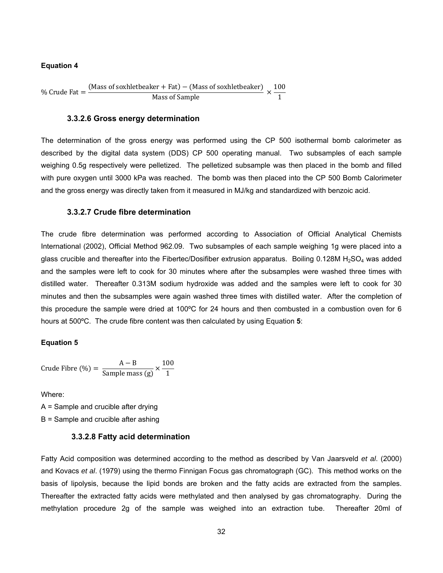#### **Equation 4**

% Crude Fat  $=$   $\frac{\text{(Mass of}}{\text{Maxs of}} + \text{Fat} - \text{(Mass of}}{\text{Maxs of}}) \times \frac{100}{1}$ 1

#### **3.3.2.6 Gross energy determination**

The determination of the gross energy was performed using the CP 500 isothermal bomb calorimeter as described by the digital data system (DDS) CP 500 operating manual. Two subsamples of each sample weighing 0.5g respectively were pelletized. The pelletized subsample was then placed in the bomb and filled with pure oxygen until 3000 kPa was reached. The bomb was then placed into the CP 500 Bomb Calorimeter and the gross energy was directly taken from it measured in MJ/kg and standardized with benzoic acid.

#### **3.3.2.7 Crude fibre determination**

The crude fibre determination was performed according to Association of Official Analytical Chemists International (2002), Official Method 962.09. Two subsamples of each sample weighing 1g were placed into a glass crucible and thereafter into the Fibertec/Dosifiber extrusion apparatus. Boiling 0.128M  $H<sub>2</sub>SO<sub>4</sub>$  was added and the samples were left to cook for 30 minutes where after the subsamples were washed three times with distilled water. Thereafter 0.313M sodium hydroxide was added and the samples were left to cook for 30 minutes and then the subsamples were again washed three times with distilled water. After the completion of this procedure the sample were dried at 100ºC for 24 hours and then combusted in a combustion oven for 6 hours at 500ºC. The crude fibre content was then calculated by using Equation **5**:

#### **Equation 5**

Crude Fibre (%) = 
$$
\frac{A - B}{\text{Sample mass (g)}} \times \frac{100}{1}
$$

Where:

A = Sample and crucible after drying B = Sample and crucible after ashing

#### **3.3.2.8 Fatty acid determination**

Fatty Acid composition was determined according to the method as described by Van Jaarsveld *et al*. (2000) and Kovacs *et al*. (1979) using the thermo Finnigan Focus gas chromatograph (GC). This method works on the basis of lipolysis, because the lipid bonds are broken and the fatty acids are extracted from the samples. Thereafter the extracted fatty acids were methylated and then analysed by gas chromatography. During the methylation procedure 2g of the sample was weighed into an extraction tube. Thereafter 20ml of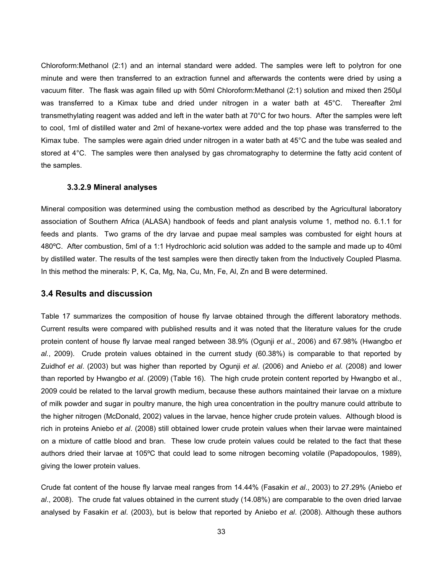Chloroform:Methanol (2:1) and an internal standard were added. The samples were left to polytron for one minute and were then transferred to an extraction funnel and afterwards the contents were dried by using a vacuum filter. The flask was again filled up with 50ml Chloroform:Methanol (2:1) solution and mixed then 250µl was transferred to a Kimax tube and dried under nitrogen in a water bath at 45°C. Thereafter 2ml transmethylating reagent was added and left in the water bath at 70°C for two hours. After the samples were left to cool, 1ml of distilled water and 2ml of hexane-vortex were added and the top phase was transferred to the Kimax tube. The samples were again dried under nitrogen in a water bath at 45°C and the tube was sealed and stored at 4°C. The samples were then analysed by gas chromatography to determine the fatty acid content of the samples.

### **3.3.2.9 Mineral analyses**

Mineral composition was determined using the combustion method as described by the Agricultural laboratory association of Southern Africa (ALASA) handbook of feeds and plant analysis volume 1, method no. 6.1.1 for feeds and plants. Two grams of the dry larvae and pupae meal samples was combusted for eight hours at 480ºC. After combustion, 5ml of a 1:1 Hydrochloric acid solution was added to the sample and made up to 40ml by distilled water. The results of the test samples were then directly taken from the Inductively Coupled Plasma. In this method the minerals: P, K, Ca, Mg, Na, Cu, Mn, Fe, Al, Zn and B were determined.

#### **3.4 Results and discussion**

Table 17 summarizes the composition of house fly larvae obtained through the different laboratory methods. Current results were compared with published results and it was noted that the literature values for the crude protein content of house fly larvae meal ranged between 38.9% (Ogunji *et al*., 2006) and 67.98% (Hwangbo *et al.*, 2009). Crude protein values obtained in the current study (60.38%) is comparable to that reported by Zuidhof *et al*. (2003) but was higher than reported by Ogunji *et al*. (2006) and Aniebo *et al.* (2008) and lower than reported by Hwangbo *et al*. (2009) (Table 16). The high crude protein content reported by Hwangbo et al., 2009 could be related to the larval growth medium, because these authors maintained their larvae on a mixture of milk powder and sugar in poultry manure, the high urea concentration in the poultry manure could attribute to the higher nitrogen (McDonald, 2002) values in the larvae, hence higher crude protein values. Although blood is rich in proteins Aniebo *et al*. (2008) still obtained lower crude protein values when their larvae were maintained on a mixture of cattle blood and bran. These low crude protein values could be related to the fact that these authors dried their larvae at 105ºC that could lead to some nitrogen becoming volatile (Papadopoulos, 1989), giving the lower protein values.

Crude fat content of the house fly larvae meal ranges from 14.44% (Fasakin *et al*., 2003) to 27.29% (Aniebo *et al*., 2008). The crude fat values obtained in the current study (14.08%) are comparable to the oven dried larvae analysed by Fasakin *et al*. (2003), but is below that reported by Aniebo *et al*. (2008). Although these authors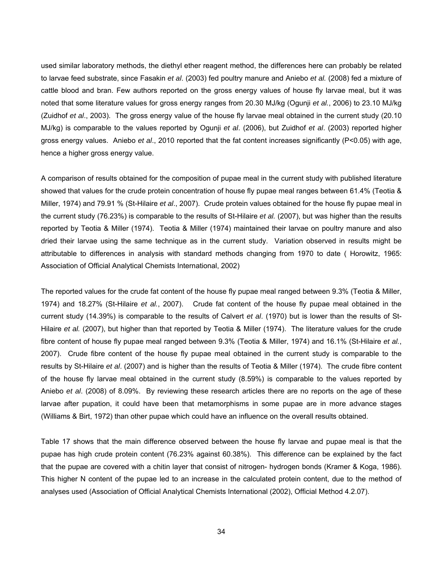used similar laboratory methods, the diethyl ether reagent method, the differences here can probably be related to larvae feed substrate, since Fasakin *et al*. (2003) fed poultry manure and Aniebo *et al.* (2008) fed a mixture of cattle blood and bran. Few authors reported on the gross energy values of house fly larvae meal, but it was noted that some literature values for gross energy ranges from 20.30 MJ/kg (Ogunji *et al.*, 2006) to 23.10 MJ/kg (Zuidhof *et al*., 2003). The gross energy value of the house fly larvae meal obtained in the current study (20.10 MJ/kg) is comparable to the values reported by Ogunji *et al*. (2006), but Zuidhof *et al*. (2003) reported higher gross energy values. Aniebo *et al*., 2010 reported that the fat content increases significantly (P<0.05) with age, hence a higher gross energy value.

A comparison of results obtained for the composition of pupae meal in the current study with published literature showed that values for the crude protein concentration of house fly pupae meal ranges between 61.4% (Teotia & Miller, 1974) and 79.91 % (St-Hilaire *et al*., 2007). Crude protein values obtained for the house fly pupae meal in the current study (76.23%) is comparable to the results of St-Hilaire *et al.* (2007), but was higher than the results reported by Teotia & Miller (1974). Teotia & Miller (1974) maintained their larvae on poultry manure and also dried their larvae using the same technique as in the current study. Variation observed in results might be attributable to differences in analysis with standard methods changing from 1970 to date ( Horowitz, 1965: Association of Official Analytical Chemists International, 2002)

The reported values for the crude fat content of the house fly pupae meal ranged between 9.3% (Teotia & Miller, 1974) and 18.27% (St-Hilaire *et al.*, 2007). Crude fat content of the house fly pupae meal obtained in the current study (14.39%) is comparable to the results of Calvert *et al*. (1970) but is lower than the results of St-Hilaire *et al.* (2007), but higher than that reported by Teotia & Miller (1974). The literature values for the crude fibre content of house fly pupae meal ranged between 9.3% (Teotia & Miller, 1974) and 16.1% (St-Hilaire *et al.*, 2007). Crude fibre content of the house fly pupae meal obtained in the current study is comparable to the results by St-Hilaire *et al*. (2007) and is higher than the results of Teotia & Miller (1974). The crude fibre content of the house fly larvae meal obtained in the current study (8.59%) is comparable to the values reported by Aniebo *et al*. (2008) of 8.09%. By reviewing these research articles there are no reports on the age of these larvae after pupation, it could have been that metamorphisms in some pupae are in more advance stages (Williams & Birt, 1972) than other pupae which could have an influence on the overall results obtained.

Table 17 shows that the main difference observed between the house fly larvae and pupae meal is that the pupae has high crude protein content (76.23% against 60.38%). This difference can be explained by the fact that the pupae are covered with a chitin layer that consist of nitrogen- hydrogen bonds (Kramer & Koga, 1986). This higher N content of the pupae led to an increase in the calculated protein content, due to the method of analyses used (Association of Official Analytical Chemists International (2002), Official Method 4.2.07).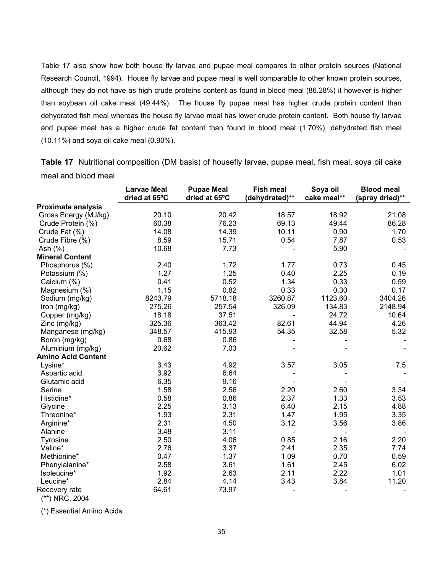Table 17 also show how both house fly larvae and pupae meal compares to other protein sources (National Research Council, 1994). House fly larvae and pupae meal is well comparable to other known protein sources, although they do not have as high crude proteins content as found in blood meal (86.28%) it however is higher than soybean oil cake meal (49.44%). The house fly pupae meal has higher crude protein content than dehydrated fish meal whereas the house fly larvae meal has lower crude protein content. Both house fly larvae and pupae meal has a higher crude fat content than found in blood meal (1.70%), dehydrated fish meal (10.11%) and soya oil cake meal (0.90%).

**Table 17** Nutritional composition (DM basis) of housefly larvae, pupae meal, fish meal, soya oil cake meal and blood meal

|                           | <b>Larvae Meal</b> | <b>Pupae Meal</b> | Fish meal      | Soya oil    | <b>Blood meal</b> |
|---------------------------|--------------------|-------------------|----------------|-------------|-------------------|
|                           | dried at 65°C      | dried at 65°C     | (dehydrated)** | cake meal** | (spray dried)**   |
| <b>Proximate analysis</b> |                    |                   |                |             |                   |
| Gross Energy (MJ/kg)      | 20.10              | 20.42             | 18.57          | 18.92       | 21.08             |
| Crude Protein (%)         | 60.38              | 76.23             | 69.13          | 49.44       | 86.28             |
| Crude Fat (%)             | 14.08              | 14.39             | 10.11          | 0.90        | 1.70              |
| Crude Fibre (%)           | 8.59               | 15.71             | 0.54           | 7.87        | 0.53              |
| Ash $(%)$                 | 10.68              | 7.73              |                | 5.90        |                   |
| <b>Mineral Content</b>    |                    |                   |                |             |                   |
| Phosphorus (%)            | 2.40               | 1.72              | 1.77           | 0.73        | 0.45              |
| Potassium (%)             | 1.27               | 1.25              | 0.40           | 2.25        | 0.19              |
| Calcium (%)               | 0.41               | 0.52              | 1.34           | 0.33        | 0.59              |
| Magnesium (%)             | 1.15               | 0.82              | 0.33           | 0.30        | 0.17              |
| Sodium (mg/kg)            | 8243.79            | 5718.18           | 3260.87        | 1123.60     | 3404.26           |
| Iron (mg/kg)              | 275.26             | 257.54            | 326.09         | 134.83      | 2148.94           |
| Copper (mg/kg)            | 18.18              | 37.51             |                | 24.72       | 10.64             |
| Zinc (mg/kg)              | 325.36             | 363.42            | 82.61          | 44.94       | 4.26              |
| Manganese (mg/kg)         | 348.57             | 415.93            | 54.35          | 32.58       | 5.32              |
| Boron (mg/kg)             | 0.68               | 0.86              |                |             |                   |
| Aluminium (mg/kg)         | 20.62              | 7.03              |                |             |                   |
| <b>Amino Acid Content</b> |                    |                   |                |             |                   |
| Lysine*                   | 3.43               | 4.92              | 3.57           | 3.05        | 7.5               |
| Aspartic acid             | 3.92               | 6.64              |                |             |                   |
| Glutamic acid             | 6.35               | 9.16              |                |             |                   |
| Serine                    | 1.58               | 2.56              | 2.20           | 2.60        | 3.34              |
| Histidine*                | 0.58               | 0.86              | 2.37           | 1.33        | 3.53              |
| Glycine                   | 2.25               | 3.13              | 6.40           | 2.15        | 4.88              |
| Threonine*                | 1.93               | 2.31              | 1.47           | 1.95        | 3.35              |
| Arginine*                 | 2.31               | 4.50              | 3.12           | 3.56        | 3.86              |
| Alanine                   | 3.48               | 3.11              |                |             |                   |
| Tyrosine                  | 2.50               | 4.06              | 0.85           | 2.16        | 2.20              |
| Valine*                   | 2.76               | 3.37              | 2.41           | 2.35        | 7.74              |
| Methionine*               | 0.47               | 1.37              | 1.09           | 0.70        | 0.59              |
| Phenylalanine*            | 2.58               | 3.61              | 1.61           | 2.45        | 6.02              |
| Isoleucine*               | 1.92               | 2.63              | 2.11           | 2.22        | 1.01              |
| Leucine*                  | 2.84               | 4.14              | 3.43           | 3.84        | 11.20             |
| Recovery rate             | 64.61              | 73.97             |                |             |                   |

(\*\*) NRC, 2004

(\*) Essential Amino Acids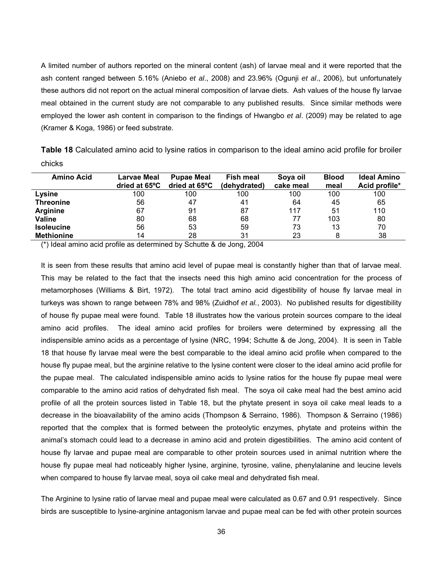A limited number of authors reported on the mineral content (ash) of larvae meal and it were reported that the ash content ranged between 5.16% (Aniebo *et al*., 2008) and 23.96% (Ogunji *et al*., 2006), but unfortunately these authors did not report on the actual mineral composition of larvae diets. Ash values of the house fly larvae meal obtained in the current study are not comparable to any published results. Since similar methods were employed the lower ash content in comparison to the findings of Hwangbo *et al*. (2009) may be related to age (Kramer & Koga, 1986) or feed substrate.

|        |  | <b>Table 18</b> Calculated amino acid to lysine ratios in comparison to the ideal amino acid profile for broiler |
|--------|--|------------------------------------------------------------------------------------------------------------------|
| chicks |  |                                                                                                                  |

| <b>Amino Acid</b> | Larvae Meal<br>dried at 65°C | <b>Pupae Meal</b><br>dried at 65°C | <b>Fish meal</b><br>(dehydrated) | Soya oil<br>cake meal | <b>Blood</b><br>meal | <b>Ideal Amino</b><br>Acid profile* |
|-------------------|------------------------------|------------------------------------|----------------------------------|-----------------------|----------------------|-------------------------------------|
| Lysine            | 100                          | 100                                | 100                              | 100                   | 100                  | 100                                 |
| <b>Threonine</b>  | 56                           | 47                                 | 41                               | 64                    | 45                   | 65                                  |
| <b>Arginine</b>   | 67                           | 91                                 | 87                               | 117                   | 51                   | 110                                 |
| Valine            | 80                           | 68                                 | 68                               | 77                    | 103                  | 80                                  |
| <b>Isoleucine</b> | 56                           | 53                                 | 59                               | 73                    | 13                   | 70                                  |
| <b>Methionine</b> | 14                           | 28                                 | 31                               | 23                    |                      | 38                                  |

(\*) Ideal amino acid profile as determined by Schutte & de Jong, 2004

It is seen from these results that amino acid level of pupae meal is constantly higher than that of larvae meal. This may be related to the fact that the insects need this high amino acid concentration for the process of metamorphoses (Williams & Birt, 1972). The total tract amino acid digestibility of house fly larvae meal in turkeys was shown to range between 78% and 98% (Zuidhof *et al.*, 2003). No published results for digestibility of house fly pupae meal were found. Table 18 illustrates how the various protein sources compare to the ideal amino acid profiles. The ideal amino acid profiles for broilers were determined by expressing all the indispensible amino acids as a percentage of lysine (NRC, 1994; Schutte & de Jong, 2004). It is seen in Table 18 that house fly larvae meal were the best comparable to the ideal amino acid profile when compared to the house fly pupae meal, but the arginine relative to the lysine content were closer to the ideal amino acid profile for the pupae meal. The calculated indispensible amino acids to lysine ratios for the house fly pupae meal were comparable to the amino acid ratios of dehydrated fish meal. The soya oil cake meal had the best amino acid profile of all the protein sources listed in Table 18, but the phytate present in soya oil cake meal leads to a decrease in the bioavailability of the amino acids (Thompson & Serraino, 1986). Thompson & Serraino (1986) reported that the complex that is formed between the proteolytic enzymes, phytate and proteins within the animal's stomach could lead to a decrease in amino acid and protein digestibilities. The amino acid content of house fly larvae and pupae meal are comparable to other protein sources used in animal nutrition where the house fly pupae meal had noticeably higher lysine, arginine, tyrosine, valine, phenylalanine and leucine levels when compared to house fly larvae meal, soya oil cake meal and dehydrated fish meal.

The Arginine to lysine ratio of larvae meal and pupae meal were calculated as 0.67 and 0.91 respectively. Since birds are susceptible to lysine-arginine antagonism larvae and pupae meal can be fed with other protein sources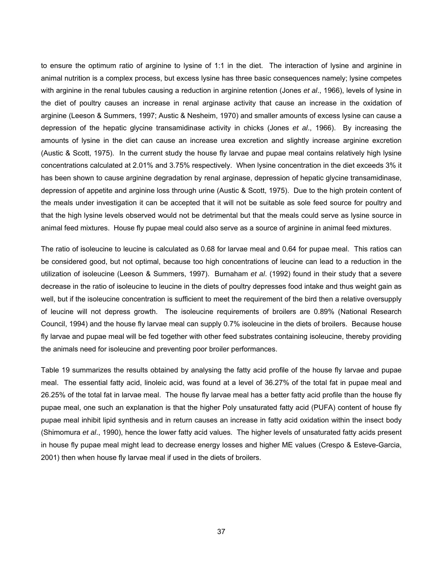to ensure the optimum ratio of arginine to lysine of 1:1 in the diet. The interaction of lysine and arginine in animal nutrition is a complex process, but excess lysine has three basic consequences namely; lysine competes with arginine in the renal tubules causing a reduction in arginine retention (Jones *et al*., 1966), levels of lysine in the diet of poultry causes an increase in renal arginase activity that cause an increase in the oxidation of arginine (Leeson & Summers, 1997; Austic & Nesheim, 1970) and smaller amounts of excess lysine can cause a depression of the hepatic glycine transamidinase activity in chicks (Jones *et al*., 1966). By increasing the amounts of lysine in the diet can cause an increase urea excretion and slightly increase arginine excretion (Austic & Scott, 1975). In the current study the house fly larvae and pupae meal contains relatively high lysine concentrations calculated at 2.01% and 3.75% respectively. When lysine concentration in the diet exceeds 3% it has been shown to cause arginine degradation by renal arginase, depression of hepatic glycine transamidinase, depression of appetite and arginine loss through urine (Austic & Scott, 1975). Due to the high protein content of the meals under investigation it can be accepted that it will not be suitable as sole feed source for poultry and that the high lysine levels observed would not be detrimental but that the meals could serve as lysine source in animal feed mixtures. House fly pupae meal could also serve as a source of arginine in animal feed mixtures.

The ratio of isoleucine to leucine is calculated as 0.68 for larvae meal and 0.64 for pupae meal. This ratios can be considered good, but not optimal, because too high concentrations of leucine can lead to a reduction in the utilization of isoleucine (Leeson & Summers, 1997). Burnaham *et al*. (1992) found in their study that a severe decrease in the ratio of isoleucine to leucine in the diets of poultry depresses food intake and thus weight gain as well, but if the isoleucine concentration is sufficient to meet the requirement of the bird then a relative oversupply of leucine will not depress growth. The isoleucine requirements of broilers are 0.89% (National Research Council, 1994) and the house fly larvae meal can supply 0.7% isoleucine in the diets of broilers. Because house fly larvae and pupae meal will be fed together with other feed substrates containing isoleucine, thereby providing the animals need for isoleucine and preventing poor broiler performances.

Table 19 summarizes the results obtained by analysing the fatty acid profile of the house fly larvae and pupae meal. The essential fatty acid, linoleic acid, was found at a level of 36.27% of the total fat in pupae meal and 26.25% of the total fat in larvae meal. The house fly larvae meal has a better fatty acid profile than the house fly pupae meal, one such an explanation is that the higher Poly unsaturated fatty acid (PUFA) content of house fly pupae meal inhibit lipid synthesis and in return causes an increase in fatty acid oxidation within the insect body (Shimomura *et al*., 1990), hence the lower fatty acid values. The higher levels of unsaturated fatty acids present in house fly pupae meal might lead to decrease energy losses and higher ME values (Crespo & Esteve-Garcia, 2001) then when house fly larvae meal if used in the diets of broilers.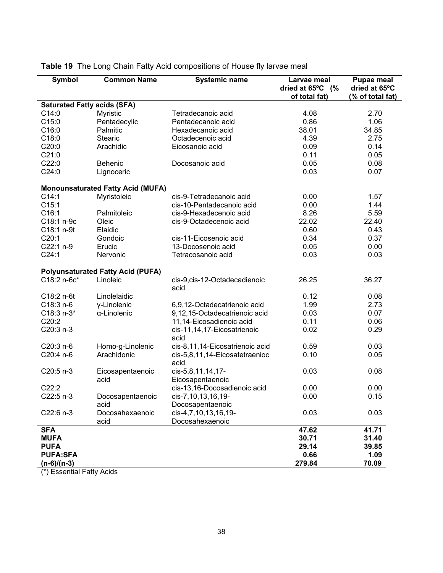| Symbol                             | <b>Common Name</b>                       | <b>Systemic name</b>                    | Larvae meal<br>dried at $65^{\circ}$ C (%<br>of total fat) | <b>Pupae meal</b><br>dried at 65°C<br>(% of total fat) |
|------------------------------------|------------------------------------------|-----------------------------------------|------------------------------------------------------------|--------------------------------------------------------|
| <b>Saturated Fatty acids (SFA)</b> |                                          |                                         |                                                            |                                                        |
| C14:0                              | Myristic                                 | Tetradecanoic acid                      | 4.08                                                       | 2.70                                                   |
| C15:0                              | Pentadecylic                             | Pentadecanoic acid                      | 0.86                                                       | 1.06                                                   |
| C16:0                              | Palmitic                                 | Hexadecanoic acid                       | 38.01                                                      | 34.85                                                  |
| C18:0                              | <b>Stearic</b>                           | Octadecenoic acid                       | 4.39                                                       | 2.75                                                   |
| C20:0                              | Arachidic                                | Eicosanoic acid                         | 0.09                                                       | 0.14                                                   |
| C21:0                              |                                          |                                         | 0.11                                                       | 0.05                                                   |
| C22:0                              | Behenic                                  | Docosanoic acid                         | 0.05                                                       | 0.08                                                   |
| C24:0                              | Lignoceric                               |                                         | 0.03                                                       | 0.07                                                   |
|                                    | <b>Monounsaturated Fatty Acid (MUFA)</b> |                                         |                                                            |                                                        |
| C14:1                              | Myristoleic                              | cis-9-Tetradecanoic acid                | 0.00                                                       | 1.57                                                   |
| C15:1                              |                                          | cis-10-Pentadecanoic acid               | 0.00                                                       | 1.44                                                   |
| C16:1                              | Palmitoleic                              | cis-9-Hexadecenoic acid                 | 8.26                                                       | 5.59                                                   |
| C18:1 n-9c                         | Oleic                                    | cis-9-Octadecenoic acid                 | 22.02                                                      | 22.40                                                  |
| C18:1 n-9t                         | Elaidic                                  |                                         | 0.60                                                       | 0.43                                                   |
| C20:1                              | Gondoic                                  | cis-11-Eicosenoic acid                  | 0.34                                                       | 0.37                                                   |
| C22:1 n-9                          | Erucic                                   | 13-Docosenoic acid                      | 0.05                                                       | 0.00                                                   |
| C24:1                              | Nervonic                                 | Tetracosanoic acid                      | 0.03                                                       | 0.03                                                   |
|                                    | <b>Polyunsaturated Fatty Acid (PUFA)</b> |                                         |                                                            |                                                        |
| C18:2 n-6c*                        | Linoleic                                 | cis-9, cis-12-Octadecadienoic<br>acid   | 26.25                                                      | 36.27                                                  |
| C18:2 n-6t                         | Linolelaidic                             |                                         | 0.12                                                       | 0.08                                                   |
| $C18:3n-6$                         | y-Linolenic                              | 6,9,12-Octadecatrienoic acid            | 1.99                                                       | 2.73                                                   |
| $C18:3 n-3*$                       | α-Linolenic                              | 9,12,15-Octadecatrienoic acid           | 0.03                                                       | 0.07                                                   |
| C20:2                              |                                          | 11,14-Eicosadienoic acid                | 0.11                                                       | 0.06                                                   |
| C20:3 n-3                          |                                          | cis-11,14,17-Eicosatrienoic             | 0.02                                                       | 0.29                                                   |
|                                    |                                          | acid                                    |                                                            |                                                        |
| C20:3 n-6                          | Homo-g-Linolenic                         | cis-8,11,14-Eicosatrienoic acid         | 0.59                                                       | 0.03                                                   |
| C20:4 n-6                          | Arachidonic                              | cis-5,8,11,14-Eicosatetraenioc<br>acid  | 0.10                                                       | 0.05                                                   |
| $C20:5 n-3$                        | Eicosapentaenoic                         | cis-5,8,11,14,17-                       | 0.03                                                       | 0.08                                                   |
|                                    | acid                                     | Eicosapentaenoic                        |                                                            |                                                        |
| C22:2                              |                                          | cis-13,16-Docosadienoic acid            | 0.00                                                       | 0.00                                                   |
| C22:5 n-3                          | Docosapentaenoic                         | cis-7,10,13,16,19-                      | 0.00                                                       | 0.15                                                   |
|                                    | acid                                     | Docosapentaenoic                        |                                                            |                                                        |
| C22:6 n-3                          | Docosahexaenoic<br>acid                  | cis-4,7,10,13,16,19-<br>Docosahexaenoic | 0.03                                                       | 0.03                                                   |
| <b>SFA</b>                         |                                          |                                         | 47.62                                                      | 41.71                                                  |
| <b>MUFA</b>                        |                                          |                                         | 30.71                                                      | 31.40                                                  |
| <b>PUFA</b>                        |                                          |                                         | 29.14                                                      | 39.85                                                  |
| <b>PUFA:SFA</b>                    |                                          |                                         | 0.66                                                       | 1.09                                                   |
| $(n-6)/(n-3)$                      |                                          |                                         | 279.84                                                     | 70.09                                                  |

**Table 19** The Long Chain Fatty Acid compositions of House fly larvae meal

(\*) Essential Fatty Acids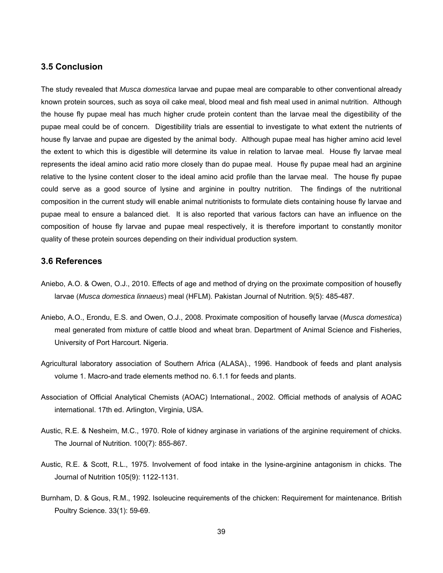## **3.5 Conclusion**

The study revealed that *Musca domestica* larvae and pupae meal are comparable to other conventional already known protein sources, such as soya oil cake meal, blood meal and fish meal used in animal nutrition. Although the house fly pupae meal has much higher crude protein content than the larvae meal the digestibility of the pupae meal could be of concern. Digestibility trials are essential to investigate to what extent the nutrients of house fly larvae and pupae are digested by the animal body. Although pupae meal has higher amino acid level the extent to which this is digestible will determine its value in relation to larvae meal. House fly larvae meal represents the ideal amino acid ratio more closely than do pupae meal. House fly pupae meal had an arginine relative to the lysine content closer to the ideal amino acid profile than the larvae meal. The house fly pupae could serve as a good source of lysine and arginine in poultry nutrition. The findings of the nutritional composition in the current study will enable animal nutritionists to formulate diets containing house fly larvae and pupae meal to ensure a balanced diet. It is also reported that various factors can have an influence on the composition of house fly larvae and pupae meal respectively, it is therefore important to constantly monitor quality of these protein sources depending on their individual production system.

### **3.6 References**

- Aniebo, A.O. & Owen, O.J., 2010. Effects of age and method of drying on the proximate composition of housefly larvae (*Musca domestica linnaeus*) meal (HFLM). Pakistan Journal of Nutrition. 9(5): 485-487.
- Aniebo, A.O., Erondu, E.S. and Owen, O.J., 2008. Proximate composition of housefly larvae (*Musca domestica*) meal generated from mixture of cattle blood and wheat bran. Department of Animal Science and Fisheries, University of Port Harcourt. Nigeria.
- Agricultural laboratory association of Southern Africa (ALASA)., 1996. Handbook of feeds and plant analysis volume 1. Macro-and trade elements method no. 6.1.1 for feeds and plants.
- Association of Official Analytical Chemists (AOAC) International., 2002. Official methods of analysis of AOAC international. 17th ed. Arlington, Virginia, USA.
- Austic, R.E. & Nesheim, M.C., 1970. Role of kidney arginase in variations of the arginine requirement of chicks. The Journal of Nutrition. 100(7): 855-867.
- Austic, R.E. & Scott, R.L., 1975. Involvement of food intake in the lysine-arginine antagonism in chicks. The Journal of Nutrition 105(9): 1122-1131.
- Burnham, D. & Gous, R.M., 1992. Isoleucine requirements of the chicken: Requirement for maintenance. British Poultry Science. 33(1): 59-69.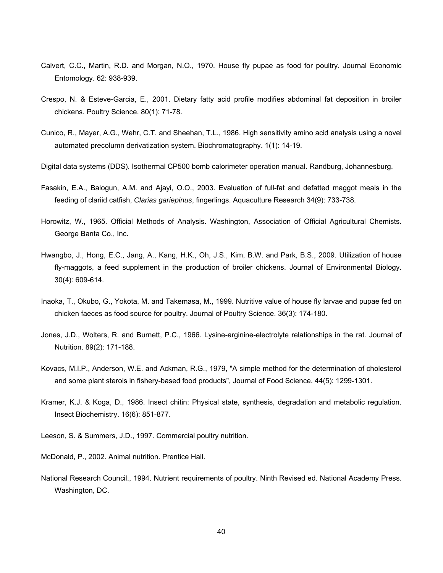- Calvert, C.C., Martin, R.D. and Morgan, N.O., 1970. House fly pupae as food for poultry. Journal Economic Entomology. 62: 938-939.
- Crespo, N. & Esteve-Garcia, E., 2001. Dietary fatty acid profile modifies abdominal fat deposition in broiler chickens. Poultry Science. 80(1): 71-78.
- Cunico, R., Mayer, A.G., Wehr, C.T. and Sheehan, T.L., 1986. High sensitivity amino acid analysis using a novel automated precolumn derivatization system. Biochromatography. 1(1): 14-19.
- Digital data systems (DDS). Isothermal CP500 bomb calorimeter operation manual. Randburg, Johannesburg.
- Fasakin, E.A., Balogun, A.M. and Ajayi, O.O., 2003. Evaluation of full-fat and defatted maggot meals in the feeding of clariid catfish, *Clarias gariepinus*, fingerlings. Aquaculture Research 34(9): 733-738.
- Horowitz, W., 1965. Official Methods of Analysis. Washington, Association of Official Agricultural Chemists. George Banta Co., Inc.
- Hwangbo, J., Hong, E.C., Jang, A., Kang, H.K., Oh, J.S., Kim, B.W. and Park, B.S., 2009. Utilization of house fly-maggots, a feed supplement in the production of broiler chickens. Journal of Environmental Biology. 30(4): 609-614.
- Inaoka, T., Okubo, G., Yokota, M. and Takemasa, M., 1999. Nutritive value of house fly larvae and pupae fed on chicken faeces as food source for poultry. Journal of Poultry Science. 36(3): 174-180.
- Jones, J.D., Wolters, R. and Burnett, P.C., 1966. Lysine-arginine-electrolyte relationships in the rat. Journal of Nutrition. 89(2): 171-188.
- Kovacs, M.I.P., Anderson, W.E. and Ackman, R.G., 1979, "A simple method for the determination of cholesterol and some plant sterols in fishery-based food products", Journal of Food Science. 44(5): 1299-1301.
- Kramer, K.J. & Koga, D., 1986. Insect chitin: Physical state, synthesis, degradation and metabolic regulation. Insect Biochemistry. 16(6): 851-877.
- Leeson, S. & Summers, J.D., 1997. Commercial poultry nutrition.
- McDonald, P., 2002. Animal nutrition. Prentice Hall.
- National Research Council., 1994. Nutrient requirements of poultry. Ninth Revised ed. National Academy Press. Washington, DC.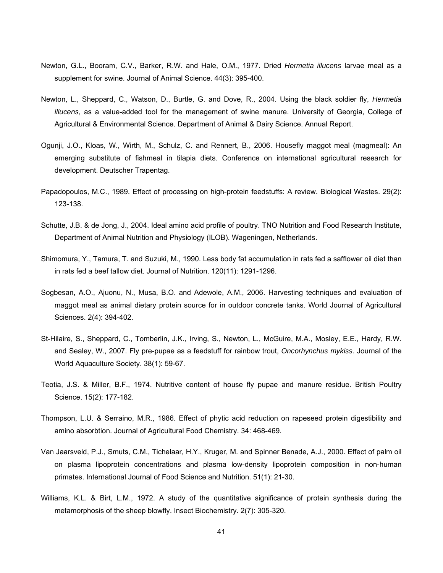- Newton, G.L., Booram, C.V., Barker, R.W. and Hale, O.M., 1977. Dried *Hermetia illucens* larvae meal as a supplement for swine. Journal of Animal Science. 44(3): 395-400.
- Newton, L., Sheppard, C., Watson, D., Burtle, G. and Dove, R., 2004. Using the black soldier fly, *Hermetia illucens*, as a value-added tool for the management of swine manure. University of Georgia, College of Agricultural & Environmental Science. Department of Animal & Dairy Science. Annual Report.
- Ogunji, J.O., Kloas, W., Wirth, M., Schulz, C. and Rennert, B., 2006. Housefly maggot meal (magmeal): An emerging substitute of fishmeal in tilapia diets. Conference on international agricultural research for development. Deutscher Trapentag.
- Papadopoulos, M.C., 1989. Effect of processing on high-protein feedstuffs: A review. Biological Wastes. 29(2): 123-138.
- Schutte, J.B. & de Jong, J., 2004. Ideal amino acid profile of poultry. TNO Nutrition and Food Research Institute, Department of Animal Nutrition and Physiology (ILOB). Wageningen, Netherlands.
- Shimomura, Y., Tamura, T. and Suzuki, M., 1990. Less body fat accumulation in rats fed a safflower oil diet than in rats fed a beef tallow diet. Journal of Nutrition. 120(11): 1291-1296.
- Sogbesan, A.O., Ajuonu, N., Musa, B.O. and Adewole, A.M., 2006. Harvesting techniques and evaluation of maggot meal as animal dietary protein source for in outdoor concrete tanks. World Journal of Agricultural Sciences. 2(4): 394-402.
- St-Hilaire, S., Sheppard, C., Tomberlin, J.K., Irving, S., Newton, L., McGuire, M.A., Mosley, E.E., Hardy, R.W. and Sealey, W., 2007. Fly pre-pupae as a feedstuff for rainbow trout, *Oncorhynchus mykiss*. Journal of the World Aquaculture Society. 38(1): 59-67.
- Teotia, J.S. & Miller, B.F., 1974. Nutritive content of house fly pupae and manure residue. British Poultry Science. 15(2): 177-182.
- Thompson, L.U. & Serraino, M.R., 1986. Effect of phytic acid reduction on rapeseed protein digestibility and amino absorbtion. Journal of Agricultural Food Chemistry. 34: 468-469.
- Van Jaarsveld, P.J., Smuts, C.M., Tichelaar, H.Y., Kruger, M. and Spinner Benade, A.J., 2000. Effect of palm oil on plasma lipoprotein concentrations and plasma low-density lipoprotein composition in non-human primates. International Journal of Food Science and Nutrition. 51(1): 21-30.
- Williams, K.L. & Birt, L.M., 1972. A study of the quantitative significance of protein synthesis during the metamorphosis of the sheep blowfly. Insect Biochemistry. 2(7): 305-320.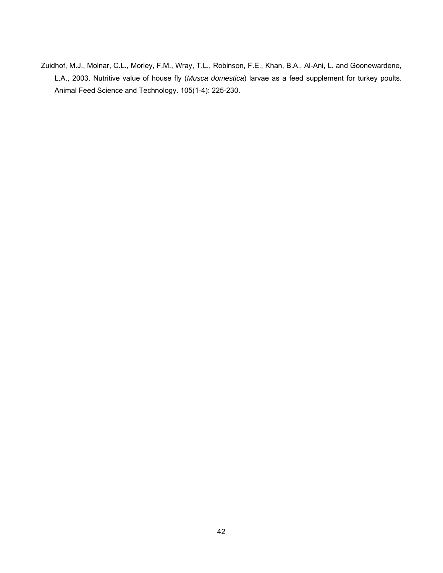Zuidhof, M.J., Molnar, C.L., Morley, F.M., Wray, T.L., Robinson, F.E., Khan, B.A., Al-Ani, L. and Goonewardene, L.A., 2003. Nutritive value of house fly (*Musca domestica*) larvae as a feed supplement for turkey poults. Animal Feed Science and Technology. 105(1-4): 225-230.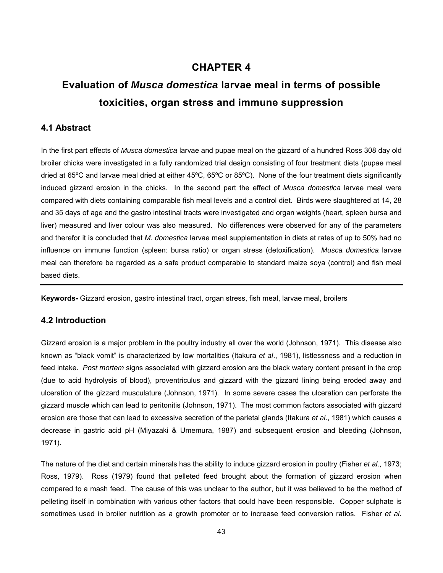# **CHAPTER 4**

# **Evaluation of** *Musca domestica* **larvae meal in terms of possible toxicities, organ stress and immune suppression**

# **4.1 Abstract**

In the first part effects of *Musca domestica* larvae and pupae meal on the gizzard of a hundred Ross 308 day old broiler chicks were investigated in a fully randomized trial design consisting of four treatment diets (pupae meal dried at 65ºC and larvae meal dried at either 45ºC, 65ºC or 85ºC). None of the four treatment diets significantly induced gizzard erosion in the chicks. In the second part the effect of *Musca domestica* larvae meal were compared with diets containing comparable fish meal levels and a control diet. Birds were slaughtered at 14, 28 and 35 days of age and the gastro intestinal tracts were investigated and organ weights (heart, spleen bursa and liver) measured and liver colour was also measured. No differences were observed for any of the parameters and therefor it is concluded that *M. domestica* larvae meal supplementation in diets at rates of up to 50% had no influence on immune function (spleen: bursa ratio) or organ stress (detoxification). *Musca domestica* larvae meal can therefore be regarded as a safe product comparable to standard maize soya (control) and fish meal based diets.

**Keywords-** Gizzard erosion, gastro intestinal tract, organ stress, fish meal, larvae meal, broilers

# **4.2 Introduction**

Gizzard erosion is a major problem in the poultry industry all over the world (Johnson, 1971). This disease also known as "black vomit" is characterized by low mortalities (Itakura *et al*., 1981), listlessness and a reduction in feed intake. *Post mortem* signs associated with gizzard erosion are the black watery content present in the crop (due to acid hydrolysis of blood), proventriculus and gizzard with the gizzard lining being eroded away and ulceration of the gizzard musculature (Johnson, 1971). In some severe cases the ulceration can perforate the gizzard muscle which can lead to peritonitis (Johnson, 1971). The most common factors associated with gizzard erosion are those that can lead to excessive secretion of the parietal glands (Itakura *et al*., 1981) which causes a decrease in gastric acid pH (Miyazaki & Umemura, 1987) and subsequent erosion and bleeding (Johnson, 1971).

The nature of the diet and certain minerals has the ability to induce gizzard erosion in poultry (Fisher *et al*., 1973; Ross, 1979). Ross (1979) found that pelleted feed brought about the formation of gizzard erosion when compared to a mash feed. The cause of this was unclear to the author, but it was believed to be the method of pelleting itself in combination with various other factors that could have been responsible. Copper sulphate is sometimes used in broiler nutrition as a growth promoter or to increase feed conversion ratios. Fisher *et al*.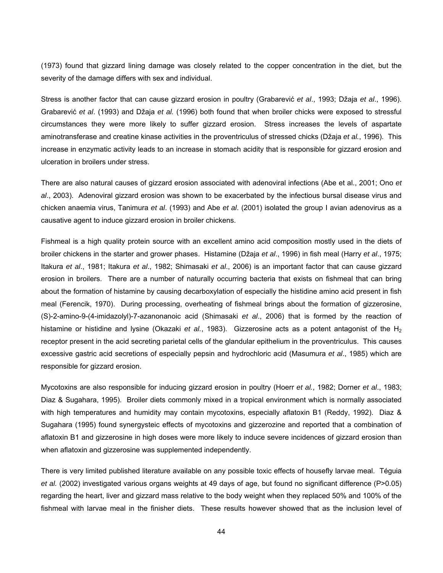(1973) found that gizzard lining damage was closely related to the copper concentration in the diet, but the severity of the damage differs with sex and individual.

Stress is another factor that can cause gizzard erosion in poultry (Grabarević *et al*., 1993; Džaja *et al*., 1996). Grabarević *et al*. (1993) and Džaja *et al.* (1996) both found that when broiler chicks were exposed to stressful circumstances they were more likely to suffer gizzard erosion. Stress increases the levels of aspartate aminotransferase and creatine kinase activities in the proventriculus of stressed chicks (Džaja *et al.*, 1996). This increase in enzymatic activity leads to an increase in stomach acidity that is responsible for gizzard erosion and ulceration in broilers under stress.

There are also natural causes of gizzard erosion associated with adenoviral infections (Abe et al., 2001; Ono *et al*., 2003). Adenoviral gizzard erosion was shown to be exacerbated by the infectious bursal disease virus and chicken anaemia virus, Tanimura *et al*. (1993) and Abe *et al*. (2001) isolated the group I avian adenovirus as a causative agent to induce gizzard erosion in broiler chickens.

Fishmeal is a high quality protein source with an excellent amino acid composition mostly used in the diets of broiler chickens in the starter and grower phases. Histamine (Džaja *et al*., 1996) in fish meal (Harry *et al*., 1975; Itakura *et al*., 1981; Itakura *et al*., 1982; Shimasaki *et al*., 2006) is an important factor that can cause gizzard erosion in broilers. There are a number of naturally occurring bacteria that exists on fishmeal that can bring about the formation of histamine by causing decarboxylation of especially the histidine amino acid present in fish meal (Ferencik, 1970). During processing, overheating of fishmeal brings about the formation of gizzerosine, (S)-2-amino-9-(4-imidazolyl)-7-azanonanoic acid (Shimasaki *et al*., 2006) that is formed by the reaction of histamine or histidine and lysine (Okazaki *et al.*, 1983). Gizzerosine acts as a potent antagonist of the H<sub>2</sub> receptor present in the acid secreting parietal cells of the glandular epithelium in the proventriculus. This causes excessive gastric acid secretions of especially pepsin and hydrochloric acid (Masumura *et al*., 1985) which are responsible for gizzard erosion.

Mycotoxins are also responsible for inducing gizzard erosion in poultry (Hoerr *et al.*, 1982; Dorner *et al*., 1983; Diaz & Sugahara, 1995). Broiler diets commonly mixed in a tropical environment which is normally associated with high temperatures and humidity may contain mycotoxins, especially aflatoxin B1 (Reddy, 1992). Diaz & Sugahara (1995) found synergysteic effects of mycotoxins and gizzerozine and reported that a combination of aflatoxin B1 and gizzerosine in high doses were more likely to induce severe incidences of gizzard erosion than when aflatoxin and gizzerosine was supplemented independently.

There is very limited published literature available on any possible toxic effects of housefly larvae meal. Téguia *et al.* (2002) investigated various organs weights at 49 days of age, but found no significant difference (P>0.05) regarding the heart, liver and gizzard mass relative to the body weight when they replaced 50% and 100% of the fishmeal with larvae meal in the finisher diets. These results however showed that as the inclusion level of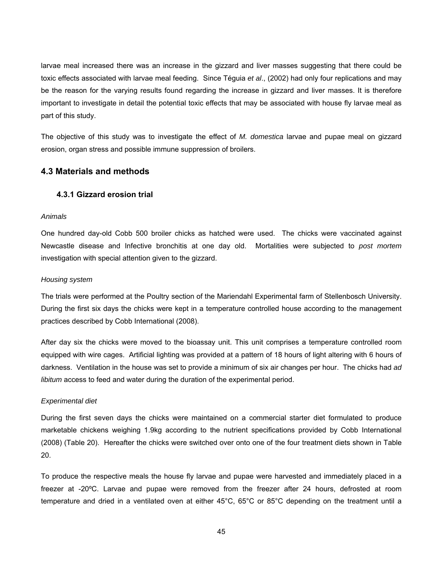larvae meal increased there was an increase in the gizzard and liver masses suggesting that there could be toxic effects associated with larvae meal feeding. Since Téguia *et al*., (2002) had only four replications and may be the reason for the varying results found regarding the increase in gizzard and liver masses. It is therefore important to investigate in detail the potential toxic effects that may be associated with house fly larvae meal as part of this study.

The objective of this study was to investigate the effect of *M. domestica* larvae and pupae meal on gizzard erosion, organ stress and possible immune suppression of broilers.

# **4.3 Materials and methods**

# **4.3.1 Gizzard erosion trial**

#### *Animals*

One hundred day-old Cobb 500 broiler chicks as hatched were used. The chicks were vaccinated against Newcastle disease and Infective bronchitis at one day old. Mortalities were subjected to *post mortem* investigation with special attention given to the gizzard.

#### *Housing system*

The trials were performed at the Poultry section of the Mariendahl Experimental farm of Stellenbosch University. During the first six days the chicks were kept in a temperature controlled house according to the management practices described by Cobb International (2008).

After day six the chicks were moved to the bioassay unit. This unit comprises a temperature controlled room equipped with wire cages. Artificial lighting was provided at a pattern of 18 hours of light altering with 6 hours of darkness. Ventilation in the house was set to provide a minimum of six air changes per hour. The chicks had *ad libitum* access to feed and water during the duration of the experimental period.

#### *Experimental diet*

During the first seven days the chicks were maintained on a commercial starter diet formulated to produce marketable chickens weighing 1.9kg according to the nutrient specifications provided by Cobb International (2008) (Table 20). Hereafter the chicks were switched over onto one of the four treatment diets shown in Table 20.

To produce the respective meals the house fly larvae and pupae were harvested and immediately placed in a freezer at -20ºC. Larvae and pupae were removed from the freezer after 24 hours, defrosted at room temperature and dried in a ventilated oven at either 45°C, 65°C or 85°C depending on the treatment until a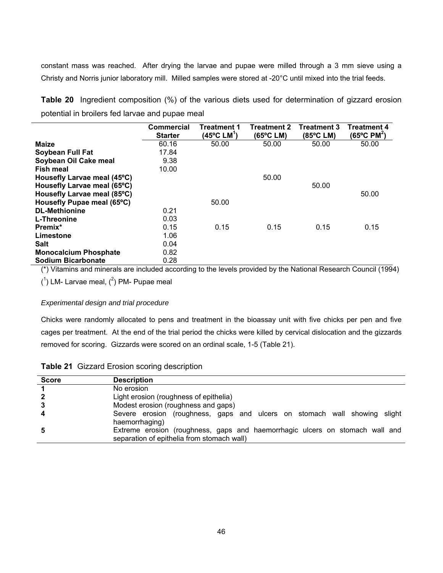constant mass was reached. After drying the larvae and pupae were milled through a 3 mm sieve using a Christy and Norris junior laboratory mill. Milled samples were stored at -20°C until mixed into the trial feeds.

**Table 20** Ingredient composition (%) of the various diets used for determination of gizzard erosion potential in broilers fed larvae and pupae meal

|                              | <b>Commercial</b> | <b>Treatment 1</b>                | <b>Treatment 2</b> | <b>Treatment 3</b> | Treatment 4                       |
|------------------------------|-------------------|-----------------------------------|--------------------|--------------------|-----------------------------------|
|                              | <b>Starter</b>    | $(45^{\circ}$ C LM <sup>1</sup> ) | (65°C LM)          | (85°C LM)          | $(65^{\circ}$ C PM <sup>2</sup> ) |
| <b>Maize</b>                 | 60.16             | 50.00                             | 50.00              | 50.00              | 50.00                             |
| Soybean Full Fat             | 17.84             |                                   |                    |                    |                                   |
| Soybean Oil Cake meal        | 9.38              |                                   |                    |                    |                                   |
| <b>Fish meal</b>             | 10.00             |                                   |                    |                    |                                   |
| Housefly Larvae meal (45°C)  |                   |                                   | 50.00              |                    |                                   |
| Housefly Larvae meal (65°C)  |                   |                                   |                    | 50.00              |                                   |
| Housefly Larvae meal (85°C)  |                   |                                   |                    |                    | 50.00                             |
| Housefly Pupae meal (65°C)   |                   | 50.00                             |                    |                    |                                   |
| <b>DL-Methionine</b>         | 0.21              |                                   |                    |                    |                                   |
| L-Threonine                  | 0.03              |                                   |                    |                    |                                   |
| Premix*                      | 0.15              | 0.15                              | 0.15               | 0.15               | 0.15                              |
| Limestone                    | 1.06              |                                   |                    |                    |                                   |
| <b>Salt</b>                  | 0.04              |                                   |                    |                    |                                   |
| <b>Monocalcium Phosphate</b> | 0.82              |                                   |                    |                    |                                   |
| <b>Sodium Bicarbonate</b>    | 0.28              |                                   |                    |                    |                                   |

(\*) Vitamins and minerals are included according to the levels provided by the National Research Council (1994)

 $(1)$  LM- Larvae meal,  $(2)$  PM- Pupae meal

## *Experimental design and trial procedure*

Chicks were randomly allocated to pens and treatment in the bioassay unit with five chicks per pen and five cages per treatment. At the end of the trial period the chicks were killed by cervical dislocation and the gizzards removed for scoring. Gizzards were scored on an ordinal scale, 1-5 (Table 21).

|  |  |  |  | Table 21 Gizzard Erosion scoring description |
|--|--|--|--|----------------------------------------------|
|--|--|--|--|----------------------------------------------|

| <b>Score</b> | <b>Description</b>                                                                                                         |
|--------------|----------------------------------------------------------------------------------------------------------------------------|
|              | No erosion                                                                                                                 |
| $\mathbf{2}$ | Light erosion (roughness of epithelia)                                                                                     |
| 3            | Modest erosion (roughness and gaps)                                                                                        |
| 4            | Severe erosion (roughness, gaps and ulcers on stomach wall showing slight<br>haemorrhaging)                                |
| 5            | Extreme erosion (roughness, gaps and haemorrhagic ulcers on stomach wall and<br>separation of epithelia from stomach wall) |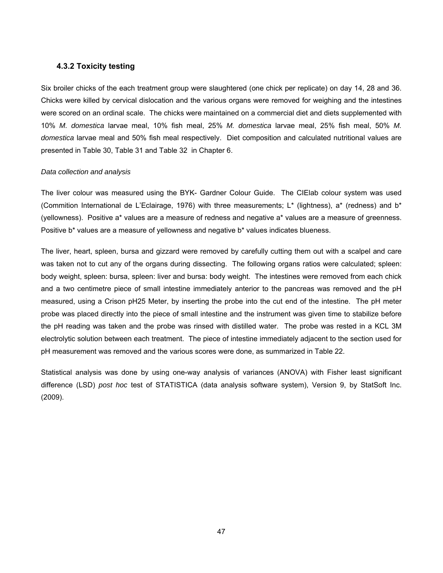# **4.3.2 Toxicity testing**

Six broiler chicks of the each treatment group were slaughtered (one chick per replicate) on day 14, 28 and 36. Chicks were killed by cervical dislocation and the various organs were removed for weighing and the intestines were scored on an ordinal scale. The chicks were maintained on a commercial diet and diets supplemented with 10% *M. domestica* larvae meal, 10% fish meal, 25% *M. domestica* larvae meal, 25% fish meal, 50% *M. domestica* larvae meal and 50% fish meal respectively. Diet composition and calculated nutritional values are presented in Table 30, Table 31 and Table 32 in Chapter 6.

#### *Data collection and analysis*

The liver colour was measured using the BYK- Gardner Colour Guide. The CIElab colour system was used (Commition International de L'Eclairage, 1976) with three measurements; L<sup>\*</sup> (lightness), a<sup>\*</sup> (redness) and b<sup>\*</sup> (yellowness). Positive a\* values are a measure of redness and negative a\* values are a measure of greenness. Positive b\* values are a measure of yellowness and negative b\* values indicates blueness.

The liver, heart, spleen, bursa and gizzard were removed by carefully cutting them out with a scalpel and care was taken not to cut any of the organs during dissecting. The following organs ratios were calculated; spleen: body weight, spleen: bursa, spleen: liver and bursa: body weight. The intestines were removed from each chick and a two centimetre piece of small intestine immediately anterior to the pancreas was removed and the pH measured, using a Crison pH25 Meter, by inserting the probe into the cut end of the intestine. The pH meter probe was placed directly into the piece of small intestine and the instrument was given time to stabilize before the pH reading was taken and the probe was rinsed with distilled water. The probe was rested in a KCL 3M electrolytic solution between each treatment. The piece of intestine immediately adjacent to the section used for pH measurement was removed and the various scores were done, as summarized in Table 22.

Statistical analysis was done by using one-way analysis of variances (ANOVA) with Fisher least significant difference (LSD) *post hoc* test of STATISTICA (data analysis software system), Version 9, by StatSoft Inc. (2009).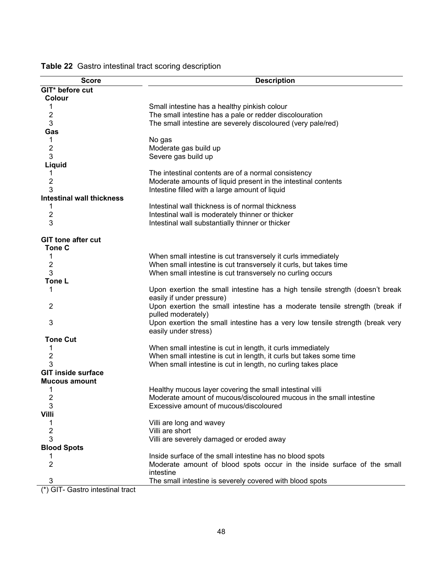| <b>Score</b>                     | <b>Description</b>                                                                                        |
|----------------------------------|-----------------------------------------------------------------------------------------------------------|
| GIT* before cut                  |                                                                                                           |
| Colour                           |                                                                                                           |
| 1                                | Small intestine has a healthy pinkish colour                                                              |
| 2                                | The small intestine has a pale or redder discolouration                                                   |
| 3                                | The small intestine are severely discoloured (very pale/red)                                              |
| Gas                              |                                                                                                           |
| 1                                | No gas                                                                                                    |
| 2                                | Moderate gas build up                                                                                     |
| 3                                | Severe gas build up                                                                                       |
| Liquid                           |                                                                                                           |
| 1                                | The intestinal contents are of a normal consistency                                                       |
| 2                                | Moderate amounts of liquid present in the intestinal contents                                             |
| 3                                | Intestine filled with a large amount of liquid                                                            |
| <b>Intestinal wall thickness</b> |                                                                                                           |
| 1                                | Intestinal wall thickness is of normal thickness                                                          |
| $\overline{2}$                   | Intestinal wall is moderately thinner or thicker                                                          |
| 3                                | Intestinal wall substantially thinner or thicker                                                          |
| <b>GIT tone after cut</b>        |                                                                                                           |
|                                  |                                                                                                           |
| <b>Tone C</b>                    |                                                                                                           |
| 1                                | When small intestine is cut transversely it curls immediately                                             |
| $\overline{2}$                   | When small intestine is cut transversely it curls, but takes time                                         |
| 3                                | When small intestine is cut transversely no curling occurs                                                |
| Tone L                           |                                                                                                           |
| 1                                | Upon exertion the small intestine has a high tensile strength (doesn't break<br>easily if under pressure) |
| $\overline{2}$                   | Upon exertion the small intestine has a moderate tensile strength (break if<br>pulled moderately)         |
| 3                                | Upon exertion the small intestine has a very low tensile strength (break very                             |
|                                  | easily under stress)                                                                                      |
| <b>Tone Cut</b>                  |                                                                                                           |
| 1                                | When small intestine is cut in length, it curls immediately                                               |
| 2<br>3                           | When small intestine is cut in length, it curls but takes some time                                       |
| <b>GIT inside surface</b>        | When small intestine is cut in length, no curling takes place                                             |
|                                  |                                                                                                           |
| <b>Mucous amount</b>             |                                                                                                           |
| 1                                | Healthy mucous layer covering the small intestinal villi                                                  |
| $\overline{\mathbf{c}}$          | Moderate amount of mucous/discoloured mucous in the small intestine                                       |
| 3                                | Excessive amount of mucous/discoloured                                                                    |
| <b>Villi</b>                     |                                                                                                           |
| 1                                | Villi are long and wavey                                                                                  |
| $\overline{c}$                   | Villi are short                                                                                           |
| 3                                | Villi are severely damaged or eroded away                                                                 |
| <b>Blood Spots</b>               |                                                                                                           |
|                                  | Inside surface of the small intestine has no blood spots                                                  |
| 2                                | Moderate amount of blood spots occur in the inside surface of the small<br>intestine                      |
| 3                                | The small intestine is severely covered with blood spots                                                  |
| (*) GIT- Gastro intestinal tract |                                                                                                           |

**Table 22** Gastro intestinal tract scoring description

(\*) GIT- Gastro intestinal tract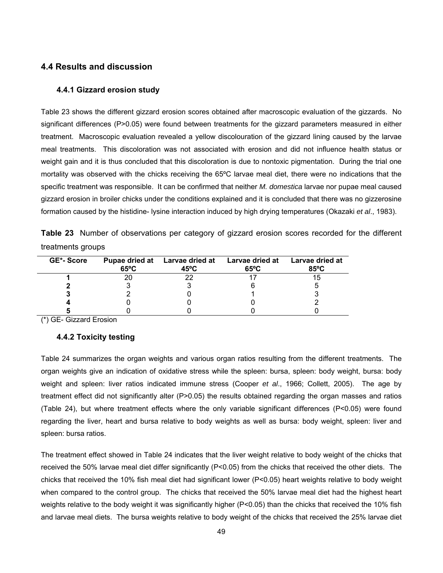# **4.4 Results and discussion**

#### **4.4.1 Gizzard erosion study**

Table 23 shows the different gizzard erosion scores obtained after macroscopic evaluation of the gizzards. No significant differences (P>0.05) were found between treatments for the gizzard parameters measured in either treatment. Macroscopic evaluation revealed a yellow discolouration of the gizzard lining caused by the larvae meal treatments. This discoloration was not associated with erosion and did not influence health status or weight gain and it is thus concluded that this discoloration is due to nontoxic pigmentation. During the trial one mortality was observed with the chicks receiving the 65ºC larvae meal diet, there were no indications that the specific treatment was responsible. It can be confirmed that neither *M. domestica* larvae nor pupae meal caused gizzard erosion in broiler chicks under the conditions explained and it is concluded that there was no gizzerosine formation caused by the histidine- lysine interaction induced by high drying temperatures (Okazaki *et al*., 1983).

|                   | <b>Table 23</b> Number of observations per category of gizzard erosion scores recorded for the different |  |  |  |  |  |
|-------------------|----------------------------------------------------------------------------------------------------------|--|--|--|--|--|
| treatments groups |                                                                                                          |  |  |  |  |  |

| GE*-Score | $65^{\circ}$ C | Pupae dried at Larvae dried at<br>45°C | Larvae dried at Larvae dried at<br>$65^{\circ}$ C | 85°C |
|-----------|----------------|----------------------------------------|---------------------------------------------------|------|
|           |                |                                        |                                                   |      |
|           |                |                                        |                                                   |      |
|           |                |                                        |                                                   |      |
|           |                |                                        |                                                   |      |
|           |                |                                        |                                                   |      |

(\*) GE- Gizzard Erosion

# **4.4.2 Toxicity testing**

Table 24 summarizes the organ weights and various organ ratios resulting from the different treatments. The organ weights give an indication of oxidative stress while the spleen: bursa, spleen: body weight, bursa: body weight and spleen: liver ratios indicated immune stress (Cooper *et al*., 1966; Collett, 2005). The age by treatment effect did not significantly alter (P>0.05) the results obtained regarding the organ masses and ratios (Table 24), but where treatment effects where the only variable significant differences (P<0.05) were found regarding the liver, heart and bursa relative to body weights as well as bursa: body weight, spleen: liver and spleen: bursa ratios.

The treatment effect showed in Table 24 indicates that the liver weight relative to body weight of the chicks that received the 50% larvae meal diet differ significantly (P<0.05) from the chicks that received the other diets. The chicks that received the 10% fish meal diet had significant lower (P<0.05) heart weights relative to body weight when compared to the control group. The chicks that received the 50% larvae meal diet had the highest heart weights relative to the body weight it was significantly higher (P<0.05) than the chicks that received the 10% fish and larvae meal diets. The bursa weights relative to body weight of the chicks that received the 25% larvae diet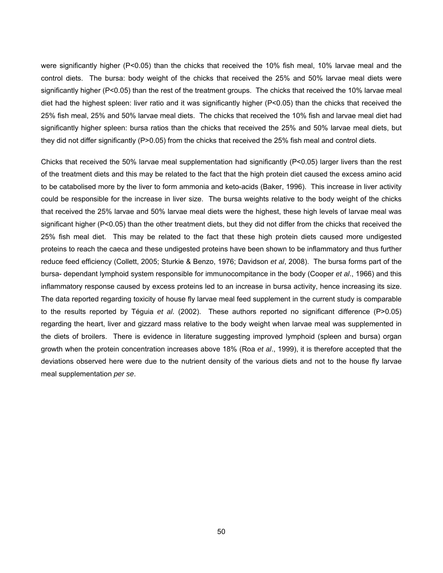were significantly higher (P<0.05) than the chicks that received the 10% fish meal, 10% larvae meal and the control diets. The bursa: body weight of the chicks that received the 25% and 50% larvae meal diets were significantly higher (P<0.05) than the rest of the treatment groups. The chicks that received the 10% larvae meal diet had the highest spleen: liver ratio and it was significantly higher (P<0.05) than the chicks that received the 25% fish meal, 25% and 50% larvae meal diets. The chicks that received the 10% fish and larvae meal diet had significantly higher spleen: bursa ratios than the chicks that received the 25% and 50% larvae meal diets, but they did not differ significantly (P>0.05) from the chicks that received the 25% fish meal and control diets.

Chicks that received the 50% larvae meal supplementation had significantly (P<0.05) larger livers than the rest of the treatment diets and this may be related to the fact that the high protein diet caused the excess amino acid to be catabolised more by the liver to form ammonia and keto-acids (Baker, 1996). This increase in liver activity could be responsible for the increase in liver size. The bursa weights relative to the body weight of the chicks that received the 25% larvae and 50% larvae meal diets were the highest, these high levels of larvae meal was significant higher (P<0.05) than the other treatment diets, but they did not differ from the chicks that received the 25% fish meal diet. This may be related to the fact that these high protein diets caused more undigested proteins to reach the caeca and these undigested proteins have been shown to be inflammatory and thus further reduce feed efficiency (Collett, 2005; Sturkie & Benzo, 1976; Davidson *et al*, 2008). The bursa forms part of the bursa- dependant lymphoid system responsible for immunocompitance in the body (Cooper *et al*., 1966) and this inflammatory response caused by excess proteins led to an increase in bursa activity, hence increasing its size. The data reported regarding toxicity of house fly larvae meal feed supplement in the current study is comparable to the results reported by Téguia *et al*. (2002). These authors reported no significant difference (P>0.05) regarding the heart, liver and gizzard mass relative to the body weight when larvae meal was supplemented in the diets of broilers. There is evidence in literature suggesting improved lymphoid (spleen and bursa) organ growth when the protein concentration increases above 18% (Roa *et al*., 1999), it is therefore accepted that the deviations observed here were due to the nutrient density of the various diets and not to the house fly larvae meal supplementation *per se*.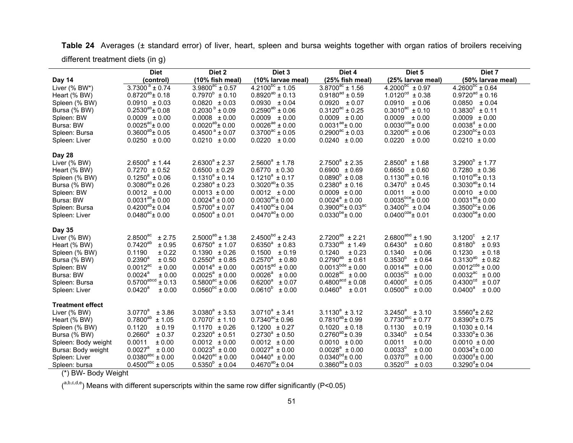|                         | <b>Diet</b>                    | Diet 2                        | Diet <sub>3</sub>          | Diet 4                                 | Diet 5                           | Diet 7                         |
|-------------------------|--------------------------------|-------------------------------|----------------------------|----------------------------------------|----------------------------------|--------------------------------|
| Day 14                  | (control)                      | (10% fish meal)               | (10% larvae meal)          | (25% fish meal)                        | (25% larvae meal)                | (50% larvae meal)              |
| Liver (% BW*)           | $3.7300^{\circ}$ ± 0.74        | $3.9800^{ac} \pm 0.57$        | $4.2100^{pc}$ ± 1.05       | $3.8700^{ac}$ ± 1.56                   | $4.2000^{pc} \pm 0.97$           | $4.2600^{\circ}$ ± 0.64        |
| Heart (% BW)            | $0.8720^{ab}$ ± 0.18           | $0.7970^b \pm 0.10$           | $0.8920^{ab} \pm 0.13$     | $0.9180^{ad} \pm 0.59$                 | $1.0120^{cd} \pm 0.38$           | $0.9720^{ad} \pm 0.16$         |
| Spleen (% BW)           | $0.0910 \pm 0.03$              | $0.0820 \pm 0.03$             | $0.0930 \pm 0.04$          | $0.0920 \pm 0.07$                      | 0.0910<br>$\pm 0.06$             | $0.0850 \pm 0.04$              |
| Bursa (% BW)            | $0.2530^{ab}$ ± 0.08           | $0.2030^{b} \pm 0.09$         | $0.2590^{ab} \pm 0.06$     | $0.3120^{ac} \pm 0.25$                 | $0.3010^{ac} \pm 0.10$           | $0.3830^c \pm 0.11$            |
| Spleen: BW              | $0.0009 \pm 0.00$              | $0.0008 \pm 0.00$             | $0.0009 \pm 0.00$          | $0.0009 \pm 0.00$                      | 0.0009<br>$\pm 0.00$             | $0.0009 \pm 0.00$              |
| Bursa: BW               | $0.0025^{\text{ac}}$ ± 0.00    | $0.0020^{ab}$ ± 0.00          | $0.0026^{ae} \pm 0.00$     | $0.0031^{ae}$ ± 0.00                   | $0.0030^{\text{cde}} \pm 0.00$   | $0.0038^d \pm 0.00$            |
| Spleen: Bursa           | $0.3600^{ab}$ ± 0.05           | $0.4500^{\text{ a}} \pm 0.07$ | $0.3700^{ac} \pm 0.05$     | $0.2900^{\text{ac}} \pm 0.03$          | $0.3200^{ac} \pm 0.06$           | $0.2300^{bc}$ ± 0.03           |
| Spleen: Liver           | $0.0250 \pm 0.00$              | $0.0210 \pm 0.00$             | $0.0220 \pm 0.00$          | $0.0240 \pm 0.00$                      | 0.0220<br>± 0.00                 | $0.0210 \pm 0.00$              |
| Day 28                  |                                |                               |                            |                                        |                                  |                                |
| Liver (% BW)            | $2.6500^a \pm 1.44$            | $2.6300^a \pm 2.37$           | $2.5600^a \pm 1.78$        | $2.7500^a \pm 2.35$                    | $2.8500^a \pm 1.68$              | $3.2900^{\circ} \pm 1.77$      |
| Heart (% BW)            | $0.7270 \pm 0.52$              | $0.6500 \pm 0.29$             | $0.6770 \pm 0.30$          | $0.6900 \pm 0.69$                      | $0.6650 \pm 0.60$                | $0.7280 \pm 0.36$              |
| Spleen (% BW)           | $0.1250^a \pm 0.06$            | $0.1310^a \pm 0.14$           | $0.1210^a \pm 0.17$        | $0.0890^{b} \pm 0.08$                  | $0.1130^{ab} \pm 0.16$           | $0.1010^{ab}$ ± 0.13           |
| Bursa (% BW)            | $0.3080^{ab}$ ± 0.26           | $0.2380^a \pm 0.23$           | $0.3020^{ab}$ ± 0.35       | $0.2380^a \pm 0.16$                    | $0.3470^b \pm 0.45$              | $0.3030^{ab}$ ± 0.14           |
| Spleen: BW              | $0.0012 \pm 0.00$              | $0.0013 \pm 0.00$             | $0.0012 \pm 0.00$          | $0.0009 \pm 0.00$                      | $0.0011 \pm 0.00$                | $0.0010 \pm 0.00$              |
| Bursa: BW               | $0.0031^{ab}$ ± 0.00           | $0.0024^a \pm 0.00$           | $0.0030^{ac}$ ± 0.00       | $0.0024^a \pm 0.00$                    | $0.0035^{\text{bce}}$ ± 0.00     | $0.0031^{ae}$ ± 0.00           |
| Spleen: Bursa           | $0.4200^{ab}$ ± 0.04           | $0.5700^a \pm 0.07$           | $0.4100^{ac}$ ± 0.04       | $0.3900^{ac}$ ± $0.03^{ac}$            | $0.3400^{bc} \pm 0.04$           | $0.3500^{bc}$ ± 0.06           |
| Spleen: Liver           | $0.0480^{\text{ac}}$ ± 0.00    | $0.0500^a \pm 0.01$           | $0.0470^{ad}$ ± 0.00       | $0.0330^{be}$ ± 0.00                   | $0.0400^{\text{cde}} \pm 0.01$   | $0.0300^{be}$ ± 0.00           |
| <b>Day 35</b>           |                                |                               |                            |                                        |                                  |                                |
| Liver (% BW)            | 2.8500 <sup>ac</sup><br>± 2.75 | $2.5000^{ab}$ ± 1.38          | $2.4500^{bd} \pm 2.43$     | $2.7200^{ab} \pm 2.21$                 | $2.6800^{abd} \pm 1.90$          | $3.1200^c$<br>± 2.17           |
| Heart (% BW)            | $0.7420^{ab}$<br>± 0.95        | $0.6750^a \pm 1.07$           | $0.6350^a \pm 0.83$        | $0.7330^{ab} \pm 1.49$                 | $0.6430^{a}$<br>± 0.60           | $0.8180^{b}$<br>± 0.93         |
| Spleen (% BW)           | 0.1190<br>± 0.22               | $0.1390 \pm 0.26$             | $0.1500 \pm 0.19$          | 0.1240<br>± 0.23                       | 0.1340<br>± 0.06                 | 0.1230<br>± 0.18               |
| Bursa (% BW)            | $0.2390^{a}$<br>± 0.50         | $0.2550^a \pm 0.85$           | $0.2570^a \pm 0.80$        | $0.2790^{ab}$<br>± 0.61                | $0.3530^{b}$<br>± 0.64           | $0.3130^{ab}$<br>± 0.82        |
| Spleen: BW              | $0.0012^{ac}$<br>± 0.00        | $0.0014^a \pm 0.00$           | $0.0015^{ad} \pm 0.00$     | $0.0013^{bde} \pm 0.00$                | $0.0014^{ae}$<br>± 0.00          | $0.0012^{\text{cde}} \pm 0.00$ |
| Bursa: BW               | $0.0024^a$<br>± 0.00           | $0.0025^a \pm 0.00$           | $0.0026^{\circ}$<br>± 0.00 | $0.0028\textsuperscript{ac}$<br>± 0.00 | $0.0035^{bc}$<br>± 0.00          | $0.0032^{ac}$<br>± 0.00        |
| Spleen: Bursa           | $0.5700$ abcd<br>± 0.13        | $0.5800^{ac} \pm 0.06$        | $0.6200^a \pm 0.07$        | $0.4800^{\text{acd}} \pm 0.08$         | $0.4000^d$<br>± 0.05             | 0.4300 <sup>cd</sup><br>± 0.07 |
| Spleen: Liver           | $0.0420^a$<br>± 0.00           | $0.0560^{bc} \pm 0.00$        | $0.0610^{b} \pm 0.00$      | $0.0460^{\circ}$<br>± 0.01             | $0.0500$ <sup>ac</sup><br>± 0.00 | $0.0400^a$<br>± 0.00           |
| <b>Treatment effect</b> |                                |                               |                            |                                        |                                  |                                |
| Liver (% BW)            | $3.0770^{a}$<br>± 3.86         | $3.0380^a \pm 3.53$           | $3.0710^a \pm 3.41$        | $3.1130^a \pm 3.12$                    | $3.2450^{a}$<br>± 3.10           | $3.5560^{\circ}$ ± 2.62        |
| Heart (% BW)            | $0.7800^{ab}$<br>± 1.05        | $0.7070^{\circ} \pm 1.10$     | $0.7340^{ac}$ ± 0.96       | $0.7810^{ab}$ ± 0.99                   | $0.7730^{abc} \pm 0.77$          | $0.8390^{b}$ ± 0.75            |
| Spleen (% BW)           | 0.1120<br>± 0.19               | $0.1170 \pm 0.26$             | $0.1200 \pm 0.27$          | $0.1020 \pm 0.18$                      | 0.1130<br>± 0.19                 | $0.1030 \pm 0.14$              |
| Bursa (% BW)            | $0.2660^a$<br>± 0.37           | $0.2320^a \pm 0.51$           | $0.2730^a \pm 0.50$        | $0.2760^{ab}$ ± 0.39                   | $0.3340^{6}$<br>± 0.54           | $0.3330^{b}$ ± 0.36            |
| Spleen: Body weight     | 0.0011<br>± 0.00               | $0.0012 \pm 0.00$             | $0.0012 \pm 0.00$          | $0.0010 \pm 0.00$                      | 0.0011<br>± 0.00                 | $0.0010 \pm 0.00$              |
| Bursa: Body weight      | $0.0027^a$<br>± 0.00           | $0.0023^a \pm 0.00$           | $0.0027^a \pm 0.00$        | $0.0028^a \pm 0.00$                    | $0.0033^{p}$<br>± 0.00           | $0.0034^{\circ}$ ± 0.00        |
| Spleen: Liver           | $0.0380^{abc} \pm 0.00$        | $0.0420^{ac} \pm 0.00$        | $0.0440^a \pm 0.00$        | $0.0340^{bd}$ ± 0.00                   | $0.0370^{cb}$<br>± 0.00          | $0.0300^{\circ}$ ± 0.00        |
| Spleen: bursa           | $0.4500^{abc} \pm 0.05$        | $0.5350^{b} \pm 0.04$         | $0.4670^{ab}$ ± 0.04       | $0.3860^{ad}$ ± 0.03                   | $0.3520^{cd}$<br>± 0.03          | $0.3290^d$ ± 0.04              |

**Table 24** Averages (± standard error) of liver, heart, spleen and bursa weights together with organ ratios of broilers receiving different treatment diets (in g)

(\*) BW- Body Weight

 $($ <sup>a,b,c,d,e</sup>) Means with different superscripts within the same row differ significantly (P<0.05)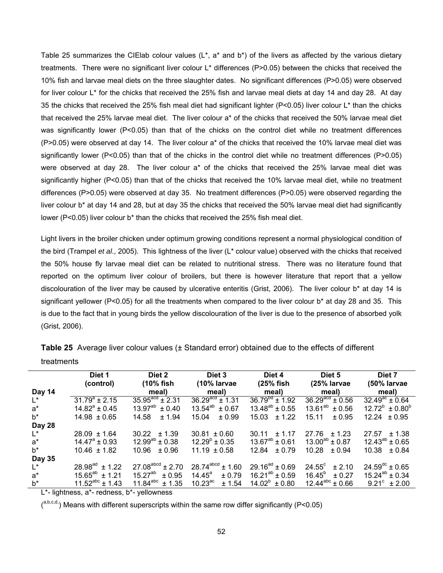Table 25 summarizes the CIElab colour values ( $L^*$ , a<sup>\*</sup> and  $b^*$ ) of the livers as affected by the various dietary treatments. There were no significant liver colour L\* differences (P>0.05) between the chicks that received the 10% fish and larvae meal diets on the three slaughter dates. No significant differences (P>0.05) were observed for liver colour L\* for the chicks that received the 25% fish and larvae meal diets at day 14 and day 28. At day 35 the chicks that received the 25% fish meal diet had significant lighter (P<0.05) liver colour L\* than the chicks that received the 25% larvae meal diet. The liver colour a\* of the chicks that received the 50% larvae meal diet was significantly lower (P<0.05) than that of the chicks on the control diet while no treatment differences (P>0.05) were observed at day 14. The liver colour a\* of the chicks that received the 10% larvae meal diet was significantly lower (P<0.05) than that of the chicks in the control diet while no treatment differences (P>0.05) were observed at day 28. The liver colour a\* of the chicks that received the 25% larvae meal diet was significantly higher (P<0.05) than that of the chicks that received the 10% larvae meal diet, while no treatment differences (P>0.05) were observed at day 35. No treatment differences (P>0.05) were observed regarding the liver colour b\* at day 14 and 28, but at day 35 the chicks that received the 50% larvae meal diet had significantly lower ( $P < 0.05$ ) liver colour b<sup>\*</sup> than the chicks that received the 25% fish meal diet.

Light livers in the broiler chicken under optimum growing conditions represent a normal physiological condition of the bird (Trampel *et al*., 2005). This lightness of the liver (L\* colour value) observed with the chicks that received the 50% house fly larvae meal diet can be related to nutritional stress. There was no literature found that reported on the optimum liver colour of broilers, but there is however literature that report that a yellow discolouration of the liver may be caused by ulcerative enteritis (Grist, 2006). The liver colour b\* at day 14 is significant yellower ( $P < 0.05$ ) for all the treatments when compared to the liver colour b<sup>\*</sup> at day 28 and 35. This is due to the fact that in young birds the yellow discolouration of the liver is due to the presence of absorbed yolk (Grist, 2006).

|        | Diet 1                   | Diet 2                      | Diet 3                            | Diet 4                | Diet 5                    | Diet 7                       |
|--------|--------------------------|-----------------------------|-----------------------------------|-----------------------|---------------------------|------------------------------|
|        | (control)                | (10% fish)                  | $(10\%$ larvae                    | (25% fish             | (25% larvae               | (50% larvae                  |
| Day 14 |                          | meal)                       | meal)                             | meal)                 | meal)                     | meal)                        |
| L*     | $31.79^a \pm 2.15$       | $35.95^{\text{acd}}$ ± 2.31 | $36.29^{acd}$ ± 1.31              | $36.79^{6}$ ± 1.92    | $36.29^{acd} \pm 0.56$    | $32.49^{\text{ac}} \pm 0.64$ |
| $a^*$  | $14.82^{\circ} \pm 0.45$ | $13.97^{ab} \pm 0.40$       | $13.54^{ab}$<br>$+0.67$           | $13.48^{ab} \pm 0.55$ | $13.61^{ab} \pm 0.56$     | $12.72^b \pm 0.80^b$         |
| b*     | $14.98 \pm 0.65$         | 14.58<br>$+ 1.94$           | ± 0.99<br>15.04                   | $+1.22$<br>15.03      | $+0.95$<br>15.11          | $12.24 \pm 0.95$             |
| Day 28 |                          |                             |                                   |                       |                           |                              |
| $L^*$  | $28.09 \pm 1.64$         | $30.22 \pm 1.39$            | $30.81 \pm 0.60$                  | 30.11<br>± 1.17       | $27.76 \pm 1.23$          | ± 1.38<br>27.57              |
| $a^*$  | $14.47^{\circ} \pm 0.93$ | $12.99^{ab} \pm 0.38$       | $12.29^{\circ}$ ± 0.35            | $13.67^{ab} \pm 0.61$ | $13.00^{ab} \pm 0.87$     | $12.43^{ab} \pm 0.65$        |
| b*     | $10.46 \pm 1.82$         | ± 0.96<br>10.96             | $11.19 \pm 0.58$                  | $+0.79$<br>12.84      | 10.28<br>$+0.94$          | 10.38<br>± 0.84              |
| Day 35 |                          |                             |                                   |                       |                           |                              |
| $L^*$  | $28.98^{ad} \pm 1.22$    | $27.08^{abcd} \pm 2.70$     | $28.74^{\text{abcd}} \pm 1.60$    | $29.16^{ad} \pm 0.69$ | $24.55^{\circ}$<br>± 2.10 | $24.59^{\text{dc}} \pm 0.65$ |
| $a^*$  | $15.65^{ab} \pm 1.21$    | $15.27^{ab} \pm 0.95$       | 14.45 $^{\rm a}$<br>± 0.79        | $16.21^{ab} \pm 0.59$ | $16.45^{\circ} \pm 0.27$  | $15.24^{ab} \pm 0.34$        |
| b*     | $11.52^{abc} \pm 1.43$   | $11.84^{abc} \pm 1.35$      | $10.23$ <sup>ac</sup><br>$+ 1.54$ | $14.02^b \pm 0.80$    | $12.44^{abc} \pm 0.66$    | $9.21^{\circ}$ + 2.00        |

**Table 25** Average liver colour values (± Standard error) obtained due to the effects of different treatments

L\*- lightness, a\*- redness, b\*- yellowness

 $($ <sup>a,b,c,d,</sup>) Means with different superscripts within the same row differ significantly (P<0.05)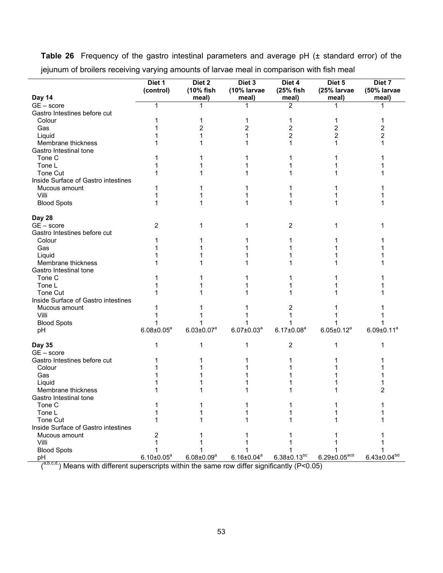|                                     | Diet 1<br>(control) | Diet 2<br>(10% fish | Diet 3<br>(10% larvae | Diet 4<br>(25% fish  | Diet 5<br>(25% larvae        | Diet 7<br>(50% larvae |
|-------------------------------------|---------------------|---------------------|-----------------------|----------------------|------------------------------|-----------------------|
| Day 14                              |                     | meal)               | meal)                 | meal)                | meal)                        | meal)                 |
| $GE - score$                        | 1                   | 1                   |                       | $\overline{2}$       |                              |                       |
| Gastro Intestines before cut        |                     |                     |                       |                      |                              |                       |
| Colour                              |                     | 1                   | 1                     | 1                    | 1                            |                       |
| Gas                                 |                     | $\overline{c}$      | 2                     | 2                    | 2                            | 2                     |
| Liquid                              |                     | 1                   |                       | 2                    | $\overline{2}$               | 2                     |
| Membrane thickness                  |                     |                     |                       |                      | 1                            |                       |
| Gastro Intestinal tone              |                     |                     |                       |                      |                              |                       |
| Tone C                              |                     |                     |                       |                      |                              |                       |
| Tone L                              |                     |                     |                       |                      |                              |                       |
| Tone Cut                            |                     |                     |                       |                      |                              |                       |
| Inside Surface of Gastro intestines |                     |                     |                       |                      |                              |                       |
| Mucous amount                       |                     |                     |                       |                      |                              |                       |
| Villi                               |                     |                     |                       |                      |                              |                       |
| <b>Blood Spots</b>                  |                     |                     |                       |                      |                              |                       |
| Day 28                              |                     |                     |                       |                      |                              |                       |
| $GE - score$                        | 2                   | 1                   |                       | 2                    | 1                            |                       |
| Gastro Intestines before cut        |                     |                     |                       |                      |                              |                       |
| Colour                              |                     |                     |                       |                      |                              |                       |
| Gas                                 |                     |                     |                       |                      |                              |                       |
| Liquid                              |                     |                     |                       |                      |                              |                       |
| Membrane thickness                  |                     |                     |                       |                      |                              |                       |
| Gastro Intestinal tone              |                     |                     |                       |                      |                              |                       |
| Tone C                              |                     |                     |                       |                      |                              |                       |
| Tone L                              |                     |                     |                       |                      |                              |                       |
| Tone Cut                            |                     |                     |                       |                      |                              |                       |
| Inside Surface of Gastro intestines |                     |                     |                       |                      |                              |                       |
| Mucous amount                       |                     |                     |                       | 2                    |                              |                       |
| Villi                               |                     |                     |                       |                      |                              |                       |
| <b>Blood Spots</b>                  |                     |                     |                       |                      |                              |                       |
| рH                                  | $6.08 \pm 0.05^a$   | $6.03 \pm 0.07^a$   | $6.07 \pm 0.03^a$     | $6.17 \pm 0.08^a$    | $6.05 \pm 0.12^a$            | $6.09 \pm 0.11^a$     |
|                                     |                     |                     |                       |                      |                              |                       |
| <b>Day 35</b>                       | 1                   | 1                   | 1                     | 2                    | 1                            |                       |
| $GE - score$                        |                     |                     |                       |                      |                              |                       |
| Gastro Intestines before cut        |                     |                     |                       |                      |                              |                       |
| Colour                              |                     |                     |                       |                      |                              |                       |
| Gas                                 |                     |                     |                       |                      |                              |                       |
| Liquid                              |                     |                     |                       |                      |                              |                       |
| Membrane thickness                  |                     |                     |                       |                      |                              | 2                     |
| Gastro Intestinal tone              |                     |                     |                       |                      |                              |                       |
| Tone C                              |                     |                     |                       |                      |                              |                       |
| Tone L                              |                     |                     |                       |                      |                              |                       |
| Tone Cut                            |                     |                     |                       |                      |                              |                       |
| Inside Surface of Gastro intestines |                     |                     |                       |                      |                              |                       |
| Mucous amount                       | 2                   |                     |                       |                      |                              |                       |
| Villi                               |                     |                     |                       |                      |                              |                       |
| <b>Blood Spots</b>                  |                     |                     |                       |                      |                              |                       |
| рH                                  | $6.10 \pm 0.05^a$   | $6.08 \pm 0.09^a$   | $6.16 \pm 0.04^a$     | $6.38 \pm 0.13^{bc}$ | $6.29 \pm 0.05^{\text{acd}}$ | $6.43 \pm 0.04^{bd}$  |

**Table 26** Frequency of the gastro intestinal parameters and average pH (± standard error) of the jejunum of broilers receiving varying amounts of larvae meal in comparison with fish meal

 $\binom{a,b,c,d}{b,c,d}$  Means with different superscripts within the same row differ significantly (P<0.05)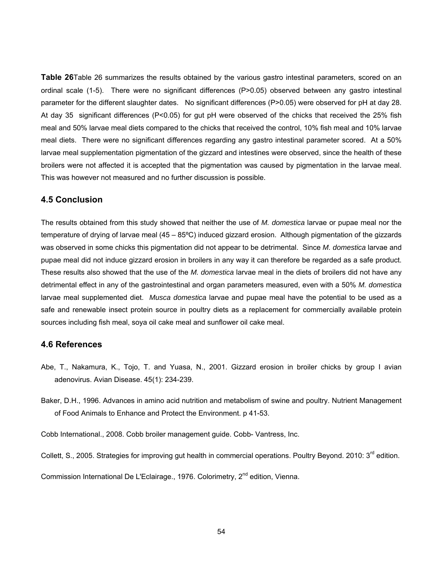**Table 26**Table 26 summarizes the results obtained by the various gastro intestinal parameters, scored on an ordinal scale (1-5). There were no significant differences (P>0.05) observed between any gastro intestinal parameter for the different slaughter dates. No significant differences (P>0.05) were observed for pH at day 28. At day 35 significant differences (P<0.05) for gut pH were observed of the chicks that received the 25% fish meal and 50% larvae meal diets compared to the chicks that received the control, 10% fish meal and 10% larvae meal diets. There were no significant differences regarding any gastro intestinal parameter scored. At a 50% larvae meal supplementation pigmentation of the gizzard and intestines were observed, since the health of these broilers were not affected it is accepted that the pigmentation was caused by pigmentation in the larvae meal. This was however not measured and no further discussion is possible.

#### **4.5 Conclusion**

The results obtained from this study showed that neither the use of *M. domestica* larvae or pupae meal nor the temperature of drying of larvae meal (45 – 85°C) induced gizzard erosion. Although pigmentation of the gizzards was observed in some chicks this pigmentation did not appear to be detrimental. Since *M. domestica* larvae and pupae meal did not induce gizzard erosion in broilers in any way it can therefore be regarded as a safe product. These results also showed that the use of the *M. domestica* larvae meal in the diets of broilers did not have any detrimental effect in any of the gastrointestinal and organ parameters measured, even with a 50% *M. domestica* larvae meal supplemented diet. *Musca domestica* larvae and pupae meal have the potential to be used as a safe and renewable insect protein source in poultry diets as a replacement for commercially available protein sources including fish meal, soya oil cake meal and sunflower oil cake meal.

# **4.6 References**

- Abe, T., Nakamura, K., Tojo, T. and Yuasa, N., 2001. Gizzard erosion in broiler chicks by group I avian adenovirus. Avian Disease. 45(1): 234-239.
- Baker, D.H., 1996. Advances in amino acid nutrition and metabolism of swine and poultry. Nutrient Management of Food Animals to Enhance and Protect the Environment. p 41-53.

Cobb International., 2008. Cobb broiler management guide. Cobb- Vantress, Inc.

Collett, S., 2005. Strategies for improving gut health in commercial operations. Poultry Beyond. 2010: 3<sup>rd</sup> edition.

Commission International De L'Eclairage., 1976. Colorimetry, 2<sup>nd</sup> edition, Vienna.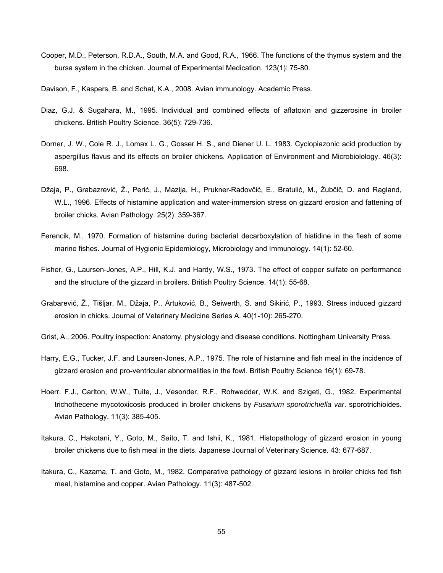Cooper, M.D., Peterson, R.D.A., South, M.A. and Good, R.A., 1966. The functions of the thymus system and the bursa system in the chicken. Journal of Experimental Medication. 123(1): 75-80.

Davison, F., Kaspers, B. and Schat, K.A., 2008. Avian immunology. Academic Press.

- Diaz, G.J. & Sugahara, M., 1995. Individual and combined effects of aflatoxin and gizzerosine in broiler chickens. British Poultry Science. 36(5): 729-736.
- Dorner, J. W., Cole R. J., Lomax L. G., Gosser H. S., and Diener U. L. 1983. Cyclopiazonic acid production by aspergillus flavus and its effects on broiler chickens. Application of Environment and Microbiolology. 46(3): 698.
- Džaja, P., Grabazrević, Ž., Perić, J., Mazija, H., Prukner-Radovčić, E., Bratulić, M., Žubčič, D. and Ragland, W.L., 1996. Effects of histamine application and water-immersion stress on gizzard erosion and fattening of broiler chicks. Avian Pathology. 25(2): 359-367.
- Ferencik, M., 1970. Formation of histamine during bacterial decarboxylation of histidine in the flesh of some marine fishes. Journal of Hygienic Epidemiology, Microbiology and Immunology. 14(1): 52-60.
- Fisher, G., Laursen-Jones, A.P., Hill, K.J. and Hardy, W.S., 1973. The effect of copper sulfate on performance and the structure of the gizzard in broilers. British Poultry Science. 14(1): 55-68.
- Grabarević, Ž., Tišljar, M., Džaja, P., Artuković, B., Seiwerth, S. and Sikirić, P., 1993. Stress induced gizzard erosion in chicks. Journal of Veterinary Medicine Series A. 40(1-10): 265-270.
- Grist, A., 2006. Poultry inspection: Anatomy, physiology and disease conditions. Nottingham University Press.
- Harry, E.G., Tucker, J.F. and Laursen-Jones, A.P., 1975. The role of histamine and fish meal in the incidence of gizzard erosion and pro-ventricular abnormalities in the fowl. British Poultry Science 16(1): 69-78.
- Hoerr, F.J., Carlton, W.W., Tuite, J., Vesonder, R.F., Rohwedder, W.K. and Szigeti, G., 1982. Experimental trichothecene mycotoxicosis produced in broiler chickens by *Fusarium sporotrichiella var*. sporotrichioides. Avian Pathology. 11(3): 385-405.
- Itakura, C., Hakotani, Y., Goto, M., Saito, T. and Ishii, K., 1981. Histopathology of gizzard erosion in young broiler chickens due to fish meal in the diets. Japanese Journal of Veterinary Science. 43: 677-687.
- Itakura, C., Kazama, T. and Goto, M., 1982. Comparative pathology of gizzard lesions in broiler chicks fed fish meal, histamine and copper. Avian Pathology. 11(3): 487-502.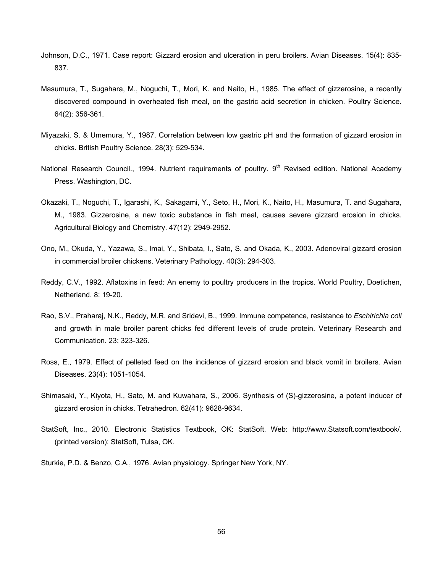- Johnson, D.C., 1971. Case report: Gizzard erosion and ulceration in peru broilers. Avian Diseases. 15(4): 835- 837.
- Masumura, T., Sugahara, M., Noguchi, T., Mori, K. and Naito, H., 1985. The effect of gizzerosine, a recently discovered compound in overheated fish meal, on the gastric acid secretion in chicken. Poultry Science. 64(2): 356-361.
- Miyazaki, S. & Umemura, Y., 1987. Correlation between low gastric pH and the formation of gizzard erosion in chicks. British Poultry Science. 28(3): 529-534.
- National Research Council., 1994. Nutrient requirements of poultry. 9<sup>th</sup> Revised edition. National Academy Press. Washington, DC.
- Okazaki, T., Noguchi, T., Igarashi, K., Sakagami, Y., Seto, H., Mori, K., Naito, H., Masumura, T. and Sugahara, M., 1983. Gizzerosine, a new toxic substance in fish meal, causes severe gizzard erosion in chicks. Agricultural Biology and Chemistry. 47(12): 2949-2952.
- Ono, M., Okuda, Y., Yazawa, S., Imai, Y., Shibata, I., Sato, S. and Okada, K., 2003. Adenoviral gizzard erosion in commercial broiler chickens. Veterinary Pathology. 40(3): 294-303.
- Reddy, C.V., 1992. Aflatoxins in feed: An enemy to poultry producers in the tropics. World Poultry, Doetichen, Netherland. 8: 19-20.
- Rao, S.V., Praharaj, N.K., Reddy, M.R. and Sridevi, B., 1999. Immune competence, resistance to *Eschirichia coli*  and growth in male broiler parent chicks fed different levels of crude protein. Veterinary Research and Communication. 23: 323-326.
- Ross, E., 1979. Effect of pelleted feed on the incidence of gizzard erosion and black vomit in broilers. Avian Diseases. 23(4): 1051-1054.
- Shimasaki, Y., Kiyota, H., Sato, M. and Kuwahara, S., 2006. Synthesis of (S)-gizzerosine, a potent inducer of gizzard erosion in chicks. Tetrahedron. 62(41): 9628-9634.
- StatSoft, Inc., 2010. Electronic Statistics Textbook, OK: StatSoft. Web: http://www.Statsoft.com/textbook/. (printed version): StatSoft, Tulsa, OK.
- Sturkie, P.D. & Benzo, C.A., 1976. Avian physiology. Springer New York, NY.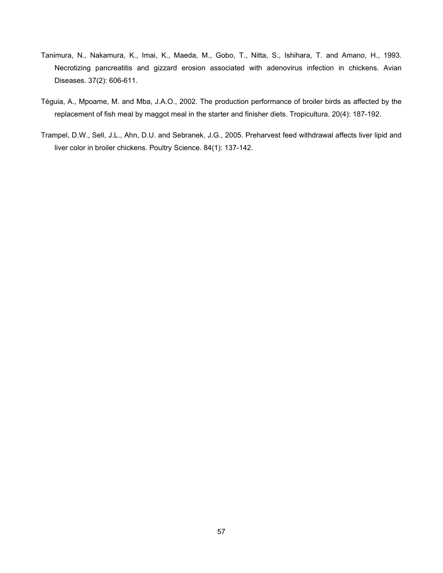- Tanimura, N., Nakamura, K., Imai, K., Maeda, M., Gobo, T., Nitta, S., Ishihara, T. and Amano, H., 1993. Necrotizing pancreatitis and gizzard erosion associated with adenovirus infection in chickens. Avian Diseases. 37(2): 606-611.
- Téguia, A., Mpoame, M. and Mba, J.A.O., 2002. The production performance of broiler birds as affected by the replacement of fish meal by maggot meal in the starter and finisher diets. Tropicultura. 20(4): 187-192.
- Trampel, D.W., Sell, J.L., Ahn, D.U. and Sebranek, J.G., 2005. Preharvest feed withdrawal affects liver lipid and liver color in broiler chickens. Poultry Science. 84(1): 137-142.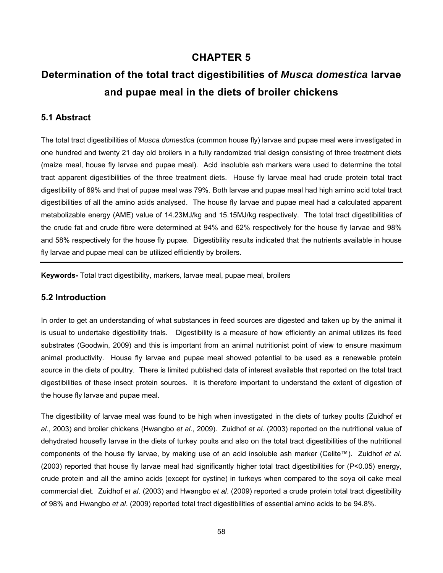# **CHAPTER 5**

# **Determination of the total tract digestibilities of** *Musca domestica* **larvae and pupae meal in the diets of broiler chickens**

# **5.1 Abstract**

The total tract digestibilities of *Musca domestica* (common house fly) larvae and pupae meal were investigated in one hundred and twenty 21 day old broilers in a fully randomized trial design consisting of three treatment diets (maize meal, house fly larvae and pupae meal). Acid insoluble ash markers were used to determine the total tract apparent digestibilities of the three treatment diets. House fly larvae meal had crude protein total tract digestibility of 69% and that of pupae meal was 79%. Both larvae and pupae meal had high amino acid total tract digestibilities of all the amino acids analysed. The house fly larvae and pupae meal had a calculated apparent metabolizable energy (AME) value of 14.23MJ/kg and 15.15MJ/kg respectively. The total tract digestibilities of the crude fat and crude fibre were determined at 94% and 62% respectively for the house fly larvae and 98% and 58% respectively for the house fly pupae. Digestibility results indicated that the nutrients available in house fly larvae and pupae meal can be utilized efficiently by broilers.

**Keywords-** Total tract digestibility, markers, larvae meal, pupae meal, broilers

# **5.2 Introduction**

In order to get an understanding of what substances in feed sources are digested and taken up by the animal it is usual to undertake digestibility trials. Digestibility is a measure of how efficiently an animal utilizes its feed substrates (Goodwin, 2009) and this is important from an animal nutritionist point of view to ensure maximum animal productivity. House fly larvae and pupae meal showed potential to be used as a renewable protein source in the diets of poultry. There is limited published data of interest available that reported on the total tract digestibilities of these insect protein sources. It is therefore important to understand the extent of digestion of the house fly larvae and pupae meal.

The digestibility of larvae meal was found to be high when investigated in the diets of turkey poults (Zuidhof *et al*., 2003) and broiler chickens (Hwangbo *et al*., 2009). Zuidhof *et al*. (2003) reported on the nutritional value of dehydrated housefly larvae in the diets of turkey poults and also on the total tract digestibilities of the nutritional components of the house fly larvae, by making use of an acid insoluble ash marker (Celite™). Zuidhof *et al*. (2003) reported that house fly larvae meal had significantly higher total tract digestibilities for (P<0.05) energy, crude protein and all the amino acids (except for cystine) in turkeys when compared to the soya oil cake meal commercial diet. Zuidhof *et al*. (2003) and Hwangbo *et al*. (2009) reported a crude protein total tract digestibility of 98% and Hwangbo *et al*. (2009) reported total tract digestibilities of essential amino acids to be 94.8%.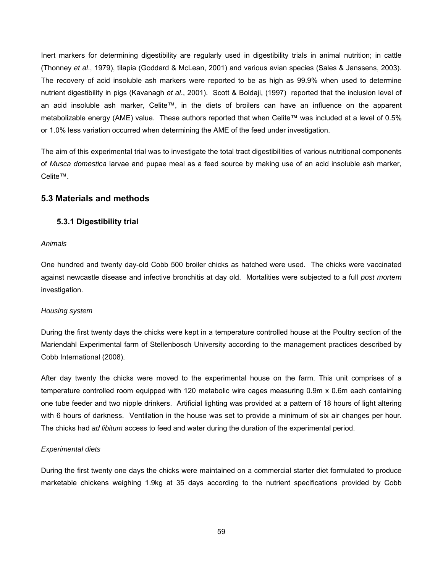Inert markers for determining digestibility are regularly used in digestibility trials in animal nutrition; in cattle (Thonney *et al*., 1979), tilapia (Goddard & McLean, 2001) and various avian species (Sales & Janssens, 2003). The recovery of acid insoluble ash markers were reported to be as high as 99.9% when used to determine nutrient digestibility in pigs (Kavanagh *et al*., 2001). Scott & Boldaji, (1997) reported that the inclusion level of an acid insoluble ash marker, Celite™, in the diets of broilers can have an influence on the apparent metabolizable energy (AME) value. These authors reported that when Celite™ was included at a level of 0.5% or 1.0% less variation occurred when determining the AME of the feed under investigation.

The aim of this experimental trial was to investigate the total tract digestibilities of various nutritional components of *Musca domestica* larvae and pupae meal as a feed source by making use of an acid insoluble ash marker, Celite™.

# **5.3 Materials and methods**

# **5.3.1 Digestibility trial**

#### *Animals*

One hundred and twenty day-old Cobb 500 broiler chicks as hatched were used. The chicks were vaccinated against newcastle disease and infective bronchitis at day old. Mortalities were subjected to a full *post mortem* investigation.

#### *Housing system*

During the first twenty days the chicks were kept in a temperature controlled house at the Poultry section of the Mariendahl Experimental farm of Stellenbosch University according to the management practices described by Cobb International (2008).

After day twenty the chicks were moved to the experimental house on the farm. This unit comprises of a temperature controlled room equipped with 120 metabolic wire cages measuring 0.9m x 0.6m each containing one tube feeder and two nipple drinkers. Artificial lighting was provided at a pattern of 18 hours of light altering with 6 hours of darkness. Ventilation in the house was set to provide a minimum of six air changes per hour. The chicks had *ad libitum* access to feed and water during the duration of the experimental period.

# *Experimental diets*

During the first twenty one days the chicks were maintained on a commercial starter diet formulated to produce marketable chickens weighing 1.9kg at 35 days according to the nutrient specifications provided by Cobb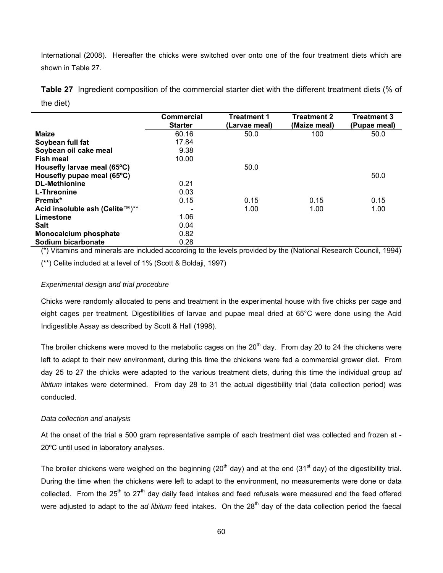International (2008). Hereafter the chicks were switched over onto one of the four treatment diets which are shown in Table 27.

**Table 27** Ingredient composition of the commercial starter diet with the different treatment diets (% of the diet)

|                                | <b>Commercial</b> | <b>Treatment 1</b> | <b>Treatment 2</b> | <b>Treatment 3</b> |
|--------------------------------|-------------------|--------------------|--------------------|--------------------|
|                                | <b>Starter</b>    | (Larvae meal)      | (Maize meal)       | (Pupae meal)       |
| <b>Maize</b>                   | 60.16             | 50.0               | 100                | 50.0               |
| Soybean full fat               | 17.84             |                    |                    |                    |
| Soybean oil cake meal          | 9.38              |                    |                    |                    |
| Fish meal                      | 10.00             |                    |                    |                    |
| Housefly larvae meal (65°C)    |                   | 50.0               |                    |                    |
| Housefly pupae meal (65°C)     |                   |                    |                    | 50.0               |
| <b>DL-Methionine</b>           | 0.21              |                    |                    |                    |
| L-Threonine                    | 0.03              |                    |                    |                    |
| Premix*                        | 0.15              | 0.15               | 0.15               | 0.15               |
| Acid insoluble ash (Celite™)** |                   | 1.00               | 1.00               | 1.00               |
| Limestone                      | 1.06              |                    |                    |                    |
| <b>Salt</b>                    | 0.04              |                    |                    |                    |
| <b>Monocalcium phosphate</b>   | 0.82              |                    |                    |                    |
| Sodium bicarbonate             | 0.28              |                    |                    |                    |

(\*) Vitamins and minerals are included according to the levels provided by the (National Research Council, 1994) (\*\*) Celite included at a level of 1% (Scott & Boldaji, 1997)

## *Experimental design and trial procedure*

Chicks were randomly allocated to pens and treatment in the experimental house with five chicks per cage and eight cages per treatment. Digestibilities of larvae and pupae meal dried at 65°C were done using the Acid Indigestible Assay as described by Scott & Hall (1998).

The broiler chickens were moved to the metabolic cages on the  $20<sup>th</sup>$  day. From day 20 to 24 the chickens were left to adapt to their new environment, during this time the chickens were fed a commercial grower diet. From day 25 to 27 the chicks were adapted to the various treatment diets, during this time the individual group *ad libitum* intakes were determined. From day 28 to 31 the actual digestibility trial (data collection period) was conducted.

#### *Data collection and analysis*

At the onset of the trial a 500 gram representative sample of each treatment diet was collected and frozen at - 20ºC until used in laboratory analyses.

The broiler chickens were weighed on the beginning (20<sup>th</sup> day) and at the end (31<sup>st</sup> day) of the digestibility trial. During the time when the chickens were left to adapt to the environment, no measurements were done or data collected. From the  $25<sup>th</sup>$  to  $27<sup>th</sup>$  day daily feed intakes and feed refusals were measured and the feed offered were adjusted to adapt to the *ad libitum* feed intakes. On the 28<sup>th</sup> day of the data collection period the faecal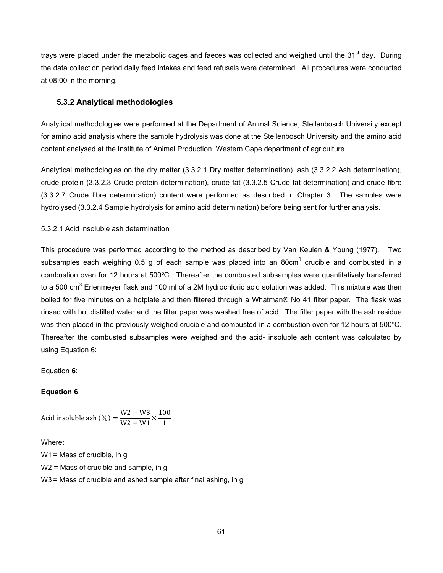trays were placed under the metabolic cages and faeces was collected and weighed until the 31<sup>st</sup> day. During the data collection period daily feed intakes and feed refusals were determined. All procedures were conducted at 08:00 in the morning.

## **5.3.2 Analytical methodologies**

Analytical methodologies were performed at the Department of Animal Science, Stellenbosch University except for amino acid analysis where the sample hydrolysis was done at the Stellenbosch University and the amino acid content analysed at the Institute of Animal Production, Western Cape department of agriculture.

Analytical methodologies on the dry matter (3.3.2.1 Dry matter determination), ash (3.3.2.2 Ash determination), crude protein (3.3.2.3 Crude protein determination), crude fat (3.3.2.5 Crude fat determination) and crude fibre (3.3.2.7 Crude fibre determination) content were performed as described in Chapter 3. The samples were hydrolysed (3.3.2.4 Sample hydrolysis for amino acid determination) before being sent for further analysis.

5.3.2.1 Acid insoluble ash determination

This procedure was performed according to the method as described by Van Keulen & Young (1977). Two subsamples each weighing 0.5 g of each sample was placed into an 80cm<sup>3</sup> crucible and combusted in a combustion oven for 12 hours at 500ºC. Thereafter the combusted subsamples were quantitatively transferred to a 500 cm<sup>3</sup> Erlenmeyer flask and 100 ml of a 2M hydrochloric acid solution was added. This mixture was then boiled for five minutes on a hotplate and then filtered through a Whatman® No 41 filter paper. The flask was rinsed with hot distilled water and the filter paper was washed free of acid. The filter paper with the ash residue was then placed in the previously weighed crucible and combusted in a combustion oven for 12 hours at 500°C. Thereafter the combusted subsamples were weighed and the acid- insoluble ash content was calculated by using Equation 6:

Equation **6**:

## **Equation 6**

Acid insoluble ash (%) =  $\frac{W2 - W3}{W2 - W1} \times \frac{100}{1}$ 1

Where:

W1 = Mass of crucible, in g W<sub>2</sub> = Mass of crucible and sample, in g W3 = Mass of crucible and ashed sample after final ashing, in g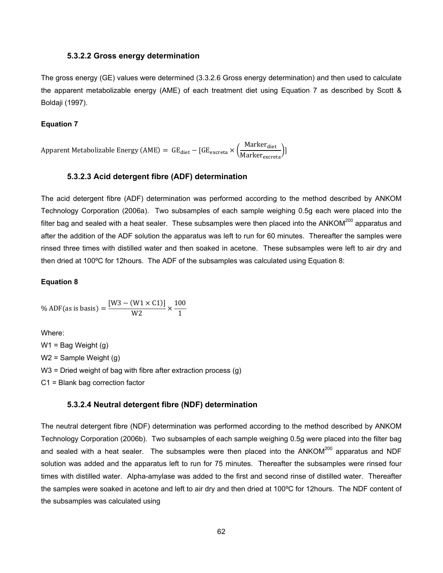### **5.3.2.2 Gross energy determination**

The gross energy (GE) values were determined (3.3.2.6 Gross energy determination) and then used to calculate the apparent metabolizable energy (AME) of each treatment diet using Equation 7 as described by Scott & Boldaji (1997).

#### **Equation 7**

Apparent Metabolizable Energy (AME) =  $\text{ GE}_{\text{diet}} - [\text{GE}_{\text{excreta}} \times \left(\frac{\text{Market}_{\text{diet}}}{\text{Market}_{\text{excreta}}}\right)]$ 

## **5.3.2.3 Acid detergent fibre (ADF) determination**

The acid detergent fibre (ADF) determination was performed according to the method described by ANKOM Technology Corporation (2006a). Two subsamples of each sample weighing 0.5g each were placed into the filter bag and sealed with a heat sealer. These subsamples were then placed into the ANKOM $^{200}$  apparatus and after the addition of the ADF solution the apparatus was left to run for 60 minutes. Thereafter the samples were rinsed three times with distilled water and then soaked in acetone. These subsamples were left to air dry and then dried at 100ºC for 12hours. The ADF of the subsamples was calculated using Equation 8:

#### **Equation 8**

% ADF(as is basis) =  $\frac{[W3 - (W1 \times C1)]}{W2} \times \frac{100}{1}$ 1

Where:  $W1 =$  Bag Weight (g) W2 = Sample Weight (g) W3 = Dried weight of bag with fibre after extraction process (g) C1 = Blank bag correction factor

#### **5.3.2.4 Neutral detergent fibre (NDF) determination**

The neutral detergent fibre (NDF) determination was performed according to the method described by ANKOM Technology Corporation (2006b). Two subsamples of each sample weighing 0.5g were placed into the filter bag and sealed with a heat sealer. The subsamples were then placed into the  $ANKOM<sup>200</sup>$  apparatus and NDF solution was added and the apparatus left to run for 75 minutes. Thereafter the subsamples were rinsed four times with distilled water. Alpha-amylase was added to the first and second rinse of distilled water. Thereafter the samples were soaked in acetone and left to air dry and then dried at 100ºC for 12hours. The NDF content of the subsamples was calculated using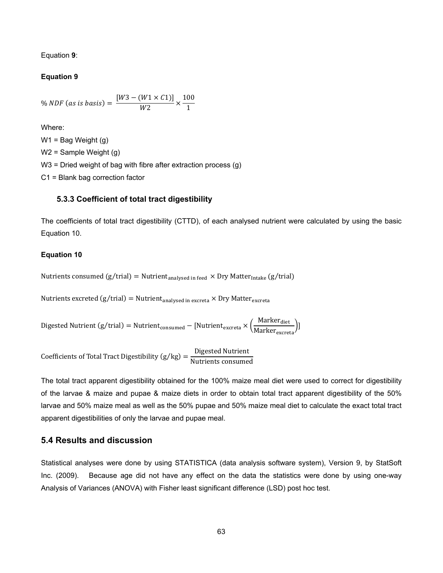Equation **9**:

## **Equation 9**

% *NDF* (as is basis) = 
$$
\frac{[W3 - (W1 \times C1)]}{W2} \times \frac{100}{1}
$$

Where:

 $W1 =$  Bag Weight (g) W2 = Sample Weight (g) W3 = Dried weight of bag with fibre after extraction process (g) C1 = Blank bag correction factor

## **5.3.3 Coefficient of total tract digestibility**

The coefficients of total tract digestibility (CTTD), of each analysed nutrient were calculated by using the basic Equation 10.

## **Equation 10**

Nutrients consumed  $(g/\text{trial}) = \text{Nutrient}_{analysed in feed} \times \text{Dry Matter}_{Intake} (g/\text{trial})$ 

Nutrients excreted  $(g/\text{trial}) = \text{Nutrient}_{analysed in excreta} \times \text{Dry Matter}_{excreta}$ 

Digested Nutrient (g/trial) = Nutrient $_{\rm consumed}$  – [Nutrient $_{\rm excreta} \times \left(\frac{\rm Marker_{\rm diet}}{\rm Marker_{\rm excreta}}\right)$ ]

Coefficients of Total Tract Digestibility (g/kg) =  $\frac{\text{Digested Nutrient}}{\text{Nutrients consumed}}$ 

The total tract apparent digestibility obtained for the 100% maize meal diet were used to correct for digestibility of the larvae & maize and pupae & maize diets in order to obtain total tract apparent digestibility of the 50% larvae and 50% maize meal as well as the 50% pupae and 50% maize meal diet to calculate the exact total tract apparent digestibilities of only the larvae and pupae meal.

## **5.4 Results and discussion**

Statistical analyses were done by using STATISTICA (data analysis software system), Version 9, by StatSoft Inc. (2009). Because age did not have any effect on the data the statistics were done by using one-way Analysis of Variances (ANOVA) with Fisher least significant difference (LSD) post hoc test.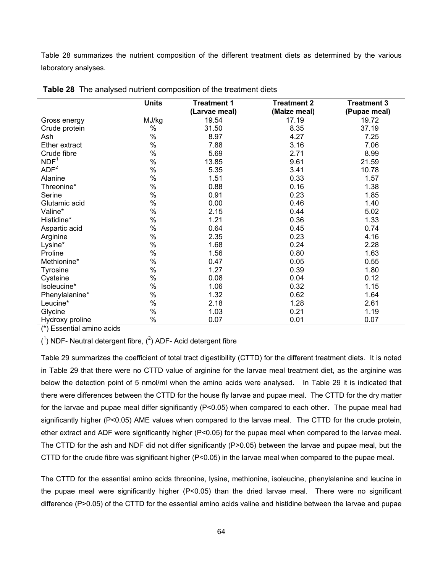Table 28 summarizes the nutrient composition of the different treatment diets as determined by the various laboratory analyses.

|                  | <b>Units</b> | <b>Treatment 1</b> | <b>Treatment 2</b> | <b>Treatment 3</b> |
|------------------|--------------|--------------------|--------------------|--------------------|
|                  |              | (Larvae meal)      | (Maize meal)       | (Pupae meal)       |
| Gross energy     | MJ/kg        | 19.54              | 17.19              | 19.72              |
| Crude protein    | %            | 31.50              | 8.35               | 37.19              |
| Ash              | $\%$         | 8.97               | 4.27               | 7.25               |
| Ether extract    | $\%$         | 7.88               | 3.16               | 7.06               |
| Crude fibre      | $\%$         | 5.69               | 2.71               | 8.99               |
| NDF <sup>1</sup> | $\%$         | 13.85              | 9.61               | 21.59              |
| ADF <sup>2</sup> | $\%$         | 5.35               | 3.41               | 10.78              |
| Alanine          | $\%$         | 1.51               | 0.33               | 1.57               |
| Threonine*       | $\%$         | 0.88               | 0.16               | 1.38               |
| Serine           | $\%$         | 0.91               | 0.23               | 1.85               |
| Glutamic acid    | %            | 0.00               | 0.46               | 1.40               |
| Valine*          | $\%$         | 2.15               | 0.44               | 5.02               |
| Histidine*       | $\%$         | 1.21               | 0.36               | 1.33               |
| Aspartic acid    | $\%$         | 0.64               | 0.45               | 0.74               |
| Arginine         | $\%$         | 2.35               | 0.23               | 4.16               |
| Lysine*          | $\%$         | 1.68               | 0.24               | 2.28               |
| Proline          | $\%$         | 1.56               | 0.80               | 1.63               |
| Methionine*      | $\%$         | 0.47               | 0.05               | 0.55               |
| <b>Tyrosine</b>  | $\%$         | 1.27               | 0.39               | 1.80               |
| Cysteine         | $\%$         | 0.08               | 0.04               | 0.12               |
| Isoleucine*      | $\%$         | 1.06               | 0.32               | 1.15               |
| Phenylalanine*   | $\%$         | 1.32               | 0.62               | 1.64               |
| Leucine*         | $\%$         | 2.18               | 1.28               | 2.61               |
| Glycine          | $\%$         | 1.03               | 0.21               | 1.19               |
| Hydroxy proline  | %            | 0.07               | 0.01               | 0.07               |

|  |  |  |  | <b>Table 28</b> The analysed nutrient composition of the treatment diets |
|--|--|--|--|--------------------------------------------------------------------------|
|--|--|--|--|--------------------------------------------------------------------------|

(\*) Essential amino acids

 $(1)$  NDF- Neutral detergent fibre,  $(2)$  ADF- Acid detergent fibre

Table 29 summarizes the coefficient of total tract digestibility (CTTD) for the different treatment diets. It is noted in Table 29 that there were no CTTD value of arginine for the larvae meal treatment diet, as the arginine was below the detection point of 5 nmol/ml when the amino acids were analysed. In Table 29 it is indicated that there were differences between the CTTD for the house fly larvae and pupae meal. The CTTD for the dry matter for the larvae and pupae meal differ significantly (P<0.05) when compared to each other. The pupae meal had significantly higher (P<0.05) AME values when compared to the larvae meal. The CTTD for the crude protein, ether extract and ADF were significantly higher (P<0.05) for the pupae meal when compared to the larvae meal. The CTTD for the ash and NDF did not differ significantly (P>0.05) between the larvae and pupae meal, but the CTTD for the crude fibre was significant higher (P<0.05) in the larvae meal when compared to the pupae meal.

The CTTD for the essential amino acids threonine, lysine, methionine, isoleucine, phenylalanine and leucine in the pupae meal were significantly higher (P<0.05) than the dried larvae meal. There were no significant difference (P>0.05) of the CTTD for the essential amino acids valine and histidine between the larvae and pupae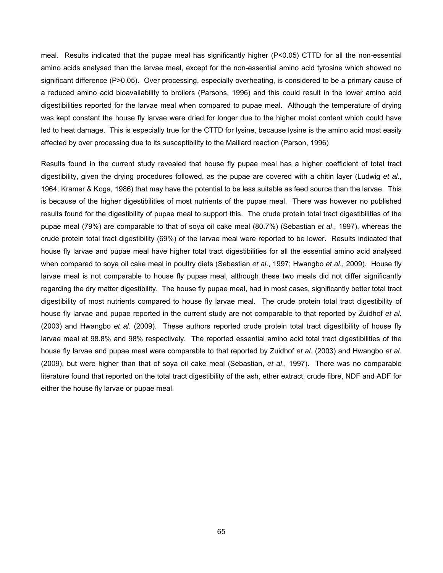meal. Results indicated that the pupae meal has significantly higher (P<0.05) CTTD for all the non-essential amino acids analysed than the larvae meal, except for the non-essential amino acid tyrosine which showed no significant difference (P>0.05). Over processing, especially overheating, is considered to be a primary cause of a reduced amino acid bioavailability to broilers (Parsons, 1996) and this could result in the lower amino acid digestibilities reported for the larvae meal when compared to pupae meal. Although the temperature of drying was kept constant the house fly larvae were dried for longer due to the higher moist content which could have led to heat damage. This is especially true for the CTTD for lysine, because lysine is the amino acid most easily affected by over processing due to its susceptibility to the Maillard reaction (Parson, 1996)

Results found in the current study revealed that house fly pupae meal has a higher coefficient of total tract digestibility, given the drying procedures followed, as the pupae are covered with a chitin layer (Ludwig *et al*., 1964; Kramer & Koga, 1986) that may have the potential to be less suitable as feed source than the larvae. This is because of the higher digestibilities of most nutrients of the pupae meal. There was however no published results found for the digestibility of pupae meal to support this. The crude protein total tract digestibilities of the pupae meal (79%) are comparable to that of soya oil cake meal (80.7%) (Sebastian *et al*., 1997), whereas the crude protein total tract digestibility (69%) of the larvae meal were reported to be lower. Results indicated that house fly larvae and pupae meal have higher total tract digestibilities for all the essential amino acid analysed when compared to soya oil cake meal in poultry diets (Sebastian *et al*., 1997; Hwangbo *et al*., 2009). House fly larvae meal is not comparable to house fly pupae meal, although these two meals did not differ significantly regarding the dry matter digestibility. The house fly pupae meal, had in most cases, significantly better total tract digestibility of most nutrients compared to house fly larvae meal. The crude protein total tract digestibility of house fly larvae and pupae reported in the current study are not comparable to that reported by Zuidhof *et al*. (2003) and Hwangbo *et al*. (2009). These authors reported crude protein total tract digestibility of house fly larvae meal at 98.8% and 98% respectively. The reported essential amino acid total tract digestibilities of the house fly larvae and pupae meal were comparable to that reported by Zuidhof *et al*. (2003) and Hwangbo *et al*. (2009), but were higher than that of soya oil cake meal (Sebastian, *et al*., 1997). There was no comparable literature found that reported on the total tract digestibility of the ash, ether extract, crude fibre, NDF and ADF for either the house fly larvae or pupae meal.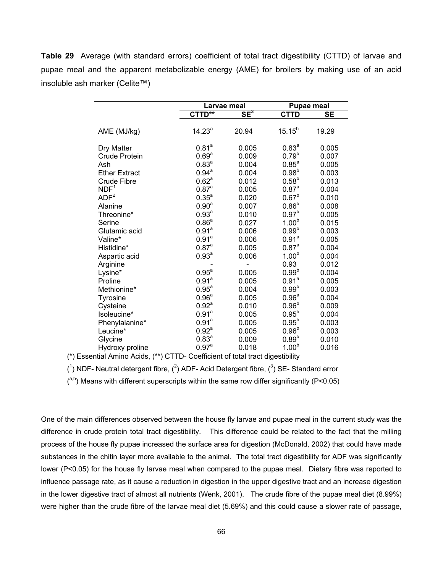**Table 29** Average (with standard errors) coefficient of total tract digestibility (CTTD) of larvae and pupae meal and the apparent metabolizable energy (AME) for broilers by making use of an acid insoluble ash marker (Celite™)

|                      |                   | Larvae meal |                   | <b>Pupae meal</b> |
|----------------------|-------------------|-------------|-------------------|-------------------|
|                      | CTTD**            | $SE^3$      | <b>CTTD</b>       | <b>SE</b>         |
| AME (MJ/kg)          | $14.23^{a}$       | 20.94       | $15.15^{b}$       | 19.29             |
| Dry Matter           | 0.81 <sup>a</sup> | 0.005       | $0.83^{a}$        | 0.005             |
| <b>Crude Protein</b> | 0.69 <sup>a</sup> | 0.009       | $0.79^{b}$        | 0.007             |
| Ash                  | $0.83^{a}$        | 0.004       | $0.85^{a}$        | 0.005             |
| <b>Ether Extract</b> | $0.94^{a}$        | 0.004       | $0.98^{b}$        | 0.003             |
| <b>Crude Fibre</b>   | 0.62 <sup>a</sup> | 0.012       | $0.58^{b}$        | 0.013             |
| NDF <sup>1</sup>     | 0.87 <sup>a</sup> | 0.005       | 0.87 <sup>a</sup> | 0.004             |
| ADF <sup>2</sup>     | $0.35^{a}$        | 0.020       | $0.67^{b}$        | 0.010             |
| Alanine              | 0.90 <sup>a</sup> | 0.007       | $0.86^{b}$        | 0.008             |
| Threonine*           | 0.93 <sup>a</sup> | 0.010       | 0.97 <sup>b</sup> | 0.005             |
| Serine               | 0.86 <sup>a</sup> | 0.027       | 1.00 <sup>b</sup> | 0.015             |
| Glutamic acid        | 0.91 <sup>a</sup> | 0.006       | $0.99^{b}$        | 0.003             |
| Valine*              | 0.91 <sup>a</sup> | 0.006       | 0.91 <sup>a</sup> | 0.005             |
| Histidine*           | $0.87^{\circ}$    | 0.005       | 0.87 <sup>a</sup> | 0.004             |
| Aspartic acid        | 0.93 <sup>a</sup> | 0.006       | 1.00 <sup>b</sup> | 0.004             |
| Arginine             |                   |             | 0.93              | 0.012             |
| Lysine*              | $0.95^a$          | 0.005       | 0.99 <sup>b</sup> | 0.004             |
| Proline              | 0.91 <sup>a</sup> | 0.005       | 0.91 <sup>a</sup> | 0.005             |
| Methionine*          | $0.95^{\text{a}}$ | 0.004       | 0.99 <sup>b</sup> | 0.003             |
| Tyrosine             | 0.96 <sup>a</sup> | 0.005       | 0.96 <sup>a</sup> | 0.004             |
| Cysteine             | 0.92 <sup>a</sup> | 0.010       | $0.96^{b}$        | 0.009             |
| Isoleucine*          | 0.91 <sup>a</sup> | 0.005       | $0.95^{b}$        | 0.004             |
| Phenylalanine*       | 0.91 <sup>a</sup> | 0.005       | $0.95^{b}$        | 0.003             |
| Leucine*             | 0.92 <sup>a</sup> | 0.005       | $0.96^{b}$        | 0.003             |
| Glycine              | $0.83^{a}$        | 0.009       | $0.89^{b}$        | 0.010             |
| Hydroxy proline      | 0.97 <sup>a</sup> | 0.018       | 1.00 <sup>b</sup> | 0.016             |

(\*) Essential Amino Acids, (\*\*) CTTD- Coefficient of total tract digestibility

 $(1)$  NDF- Neutral detergent fibre,  $(2)$  ADF- Acid Detergent fibre,  $(3)$  SE- Standard error

 $($ <sup>a,b</sup>) Means with different superscripts within the same row differ significantly (P<0.05)

One of the main differences observed between the house fly larvae and pupae meal in the current study was the difference in crude protein total tract digestibility. This difference could be related to the fact that the milling process of the house fly pupae increased the surface area for digestion (McDonald, 2002) that could have made substances in the chitin layer more available to the animal. The total tract digestibility for ADF was significantly lower (P<0.05) for the house fly larvae meal when compared to the pupae meal. Dietary fibre was reported to influence passage rate, as it cause a reduction in digestion in the upper digestive tract and an increase digestion in the lower digestive tract of almost all nutrients (Wenk, 2001). The crude fibre of the pupae meal diet (8.99%) were higher than the crude fibre of the larvae meal diet (5.69%) and this could cause a slower rate of passage,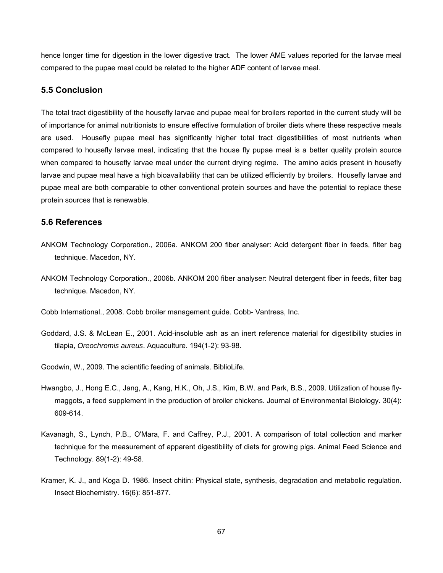hence longer time for digestion in the lower digestive tract. The lower AME values reported for the larvae meal compared to the pupae meal could be related to the higher ADF content of larvae meal.

## **5.5 Conclusion**

The total tract digestibility of the housefly larvae and pupae meal for broilers reported in the current study will be of importance for animal nutritionists to ensure effective formulation of broiler diets where these respective meals are used. Housefly pupae meal has significantly higher total tract digestibilities of most nutrients when compared to housefly larvae meal, indicating that the house fly pupae meal is a better quality protein source when compared to housefly larvae meal under the current drying regime. The amino acids present in housefly larvae and pupae meal have a high bioavailability that can be utilized efficiently by broilers. Housefly larvae and pupae meal are both comparable to other conventional protein sources and have the potential to replace these protein sources that is renewable.

## **5.6 References**

- ANKOM Technology Corporation., 2006a. ANKOM 200 fiber analyser: Acid detergent fiber in feeds, filter bag technique. Macedon, NY.
- ANKOM Technology Corporation., 2006b. ANKOM 200 fiber analyser: Neutral detergent fiber in feeds, filter bag technique. Macedon, NY.

Cobb International., 2008. Cobb broiler management guide. Cobb- Vantress, Inc.

- Goddard, J.S. & McLean E., 2001. Acid-insoluble ash as an inert reference material for digestibility studies in tilapia, *Oreochromis aureus*. Aquaculture. 194(1-2): 93-98.
- Goodwin, W., 2009. The scientific feeding of animals. BiblioLife.
- Hwangbo, J., Hong E.C., Jang, A., Kang, H.K., Oh, J.S., Kim, B.W. and Park, B.S., 2009. Utilization of house flymaggots, a feed supplement in the production of broiler chickens. Journal of Environmental Biolology. 30(4): 609-614.
- Kavanagh, S., Lynch, P.B., O'Mara, F. and Caffrey, P.J., 2001. A comparison of total collection and marker technique for the measurement of apparent digestibility of diets for growing pigs. Animal Feed Science and Technology. 89(1-2): 49-58.
- Kramer, K. J., and Koga D. 1986. Insect chitin: Physical state, synthesis, degradation and metabolic regulation. Insect Biochemistry. 16(6): 851-877.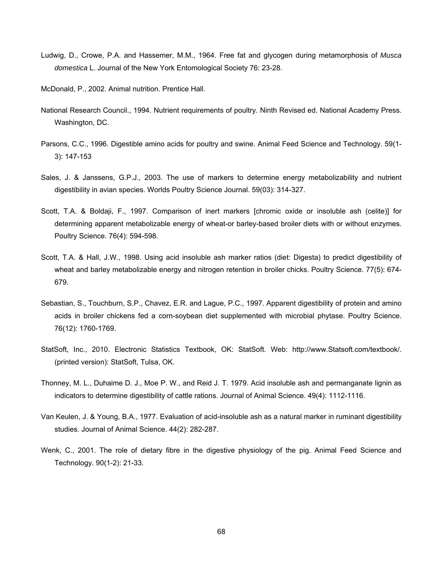- Ludwig, D., Crowe, P.A. and Hassemer, M.M., 1964. Free fat and glycogen during metamorphosis of *Musca domestica* L. Journal of the New York Entomological Society 76: 23-28.
- McDonald, P., 2002. Animal nutrition. Prentice Hall.
- National Research Council., 1994. Nutrient requirements of poultry. Ninth Revised ed. National Academy Press. Washington, DC.
- Parsons, C.C., 1996. Digestible amino acids for poultry and swine. Animal Feed Science and Technology. 59(1- 3): 147-153
- Sales, J. & Janssens, G.P.J., 2003. The use of markers to determine energy metabolizability and nutrient digestibility in avian species. Worlds Poultry Science Journal. 59(03): 314-327.
- Scott, T.A. & Boldaji, F., 1997. Comparison of inert markers [chromic oxide or insoluble ash (celite)] for determining apparent metabolizable energy of wheat-or barley-based broiler diets with or without enzymes. Poultry Science. 76(4): 594-598.
- Scott, T.A. & Hall, J.W., 1998. Using acid insoluble ash marker ratios (diet: Digesta) to predict digestibility of wheat and barley metabolizable energy and nitrogen retention in broiler chicks. Poultry Science. 77(5): 674- 679.
- Sebastian, S., Touchburn, S.P., Chavez, E.R. and Lague, P.C., 1997. Apparent digestibility of protein and amino acids in broiler chickens fed a corn-soybean diet supplemented with microbial phytase. Poultry Science. 76(12): 1760-1769.
- StatSoft, Inc., 2010. Electronic Statistics Textbook, OK: StatSoft. Web: http://www.Statsoft.com/textbook/. (printed version): StatSoft, Tulsa, OK.
- Thonney, M. L., Duhaime D. J., Moe P. W., and Reid J. T. 1979. Acid insoluble ash and permanganate lignin as indicators to determine digestibility of cattle rations. Journal of Animal Science. 49(4): 1112-1116.
- Van Keulen, J. & Young, B.A., 1977. Evaluation of acid-insoluble ash as a natural marker in ruminant digestibility studies. Journal of Animal Science. 44(2): 282-287.
- Wenk, C., 2001. The role of dietary fibre in the digestive physiology of the pig. Animal Feed Science and Technology. 90(1-2): 21-33.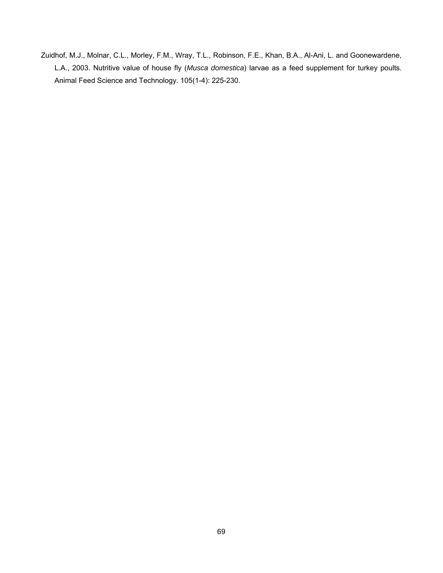Zuidhof, M.J., Molnar, C.L., Morley, F.M., Wray, T.L., Robinson, F.E., Khan, B.A., Al-Ani, L. and Goonewardene, L.A., 2003. Nutritive value of house fly (*Musca domestica*) larvae as a feed supplement for turkey poults. Animal Feed Science and Technology. 105(1-4): 225-230.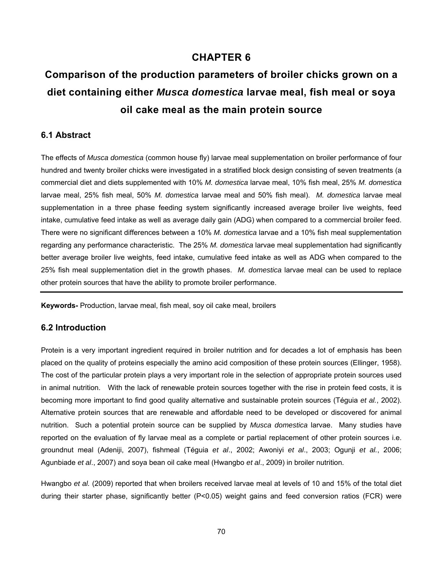# **CHAPTER 6**

# **Comparison of the production parameters of broiler chicks grown on a diet containing either** *Musca domestica* **larvae meal, fish meal or soya oil cake meal as the main protein source**

## **6.1 Abstract**

The effects of *Musca domestica* (common house fly) larvae meal supplementation on broiler performance of four hundred and twenty broiler chicks were investigated in a stratified block design consisting of seven treatments (a commercial diet and diets supplemented with 10% *M. domestica* larvae meal, 10% fish meal, 25% *M. domestica* larvae meal, 25% fish meal, 50% *M. domestica* larvae meal and 50% fish meal). *M. domestica* larvae meal supplementation in a three phase feeding system significantly increased average broiler live weights, feed intake, cumulative feed intake as well as average daily gain (ADG) when compared to a commercial broiler feed. There were no significant differences between a 10% *M. domestica* larvae and a 10% fish meal supplementation regarding any performance characteristic. The 25% *M. domestica* larvae meal supplementation had significantly better average broiler live weights, feed intake, cumulative feed intake as well as ADG when compared to the 25% fish meal supplementation diet in the growth phases. *M. domestica* larvae meal can be used to replace other protein sources that have the ability to promote broiler performance.

**Keywords-** Production, larvae meal, fish meal, soy oil cake meal, broilers

## **6.2 Introduction**

Protein is a very important ingredient required in broiler nutrition and for decades a lot of emphasis has been placed on the quality of proteins especially the amino acid composition of these protein sources (Ellinger, 1958). The cost of the particular protein plays a very important role in the selection of appropriate protein sources used in animal nutrition. With the lack of renewable protein sources together with the rise in protein feed costs, it is becoming more important to find good quality alternative and sustainable protein sources (Téguia *et al.*, 2002). Alternative protein sources that are renewable and affordable need to be developed or discovered for animal nutrition. Such a potential protein source can be supplied by *Musca domestica* larvae. Many studies have reported on the evaluation of fly larvae meal as a complete or partial replacement of other protein sources i.e. groundnut meal (Adeniji, 2007), fishmeal (Téguia *et al*., 2002; Awoniyi *et al*., 2003; Ogunji *et al.*, 2006; Agunbiade *et al*., 2007) and soya bean oil cake meal (Hwangbo *et al*., 2009) in broiler nutrition.

Hwangbo *et al.* (2009) reported that when broilers received larvae meal at levels of 10 and 15% of the total diet during their starter phase, significantly better (P<0.05) weight gains and feed conversion ratios (FCR) were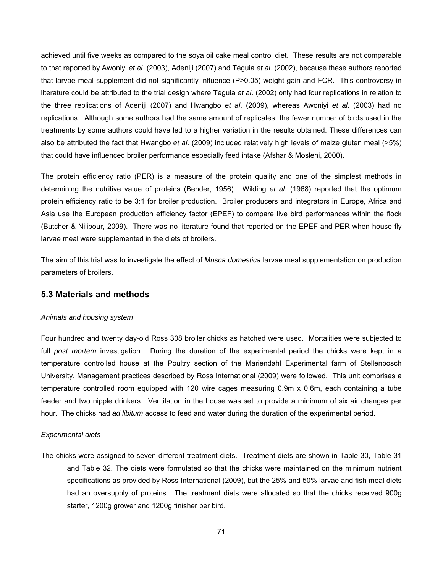achieved until five weeks as compared to the soya oil cake meal control diet. These results are not comparable to that reported by Awoniyi *et al*. (2003), Adeniji (2007) and Téguia *et al.* (2002), because these authors reported that larvae meal supplement did not significantly influence (P>0.05) weight gain and FCR. This controversy in literature could be attributed to the trial design where Téguia *et al*. (2002) only had four replications in relation to the three replications of Adeniji (2007) and Hwangbo *et al*. (2009), whereas Awoniyi *et al*. (2003) had no replications. Although some authors had the same amount of replicates, the fewer number of birds used in the treatments by some authors could have led to a higher variation in the results obtained. These differences can also be attributed the fact that Hwangbo *et al*. (2009) included relatively high levels of maize gluten meal (>5%) that could have influenced broiler performance especially feed intake (Afshar & Moslehi, 2000).

The protein efficiency ratio (PER) is a measure of the protein quality and one of the simplest methods in determining the nutritive value of proteins (Bender, 1956). Wilding *et al.* (1968) reported that the optimum protein efficiency ratio to be 3:1 for broiler production. Broiler producers and integrators in Europe, Africa and Asia use the European production efficiency factor (EPEF) to compare live bird performances within the flock (Butcher & Nilipour, 2009). There was no literature found that reported on the EPEF and PER when house fly larvae meal were supplemented in the diets of broilers.

The aim of this trial was to investigate the effect of *Musca domestica* larvae meal supplementation on production parameters of broilers.

## **5.3 Materials and methods**

#### *Animals and housing system*

Four hundred and twenty day-old Ross 308 broiler chicks as hatched were used. Mortalities were subjected to full *post mortem* investigation. During the duration of the experimental period the chicks were kept in a temperature controlled house at the Poultry section of the Mariendahl Experimental farm of Stellenbosch University. Management practices described by Ross International (2009) were followed. This unit comprises a temperature controlled room equipped with 120 wire cages measuring 0.9m x 0.6m, each containing a tube feeder and two nipple drinkers. Ventilation in the house was set to provide a minimum of six air changes per hour. The chicks had *ad libitum* access to feed and water during the duration of the experimental period.

#### *Experimental diets*

The chicks were assigned to seven different treatment diets. Treatment diets are shown in Table 30, Table 31 and Table 32. The diets were formulated so that the chicks were maintained on the minimum nutrient specifications as provided by Ross International (2009), but the 25% and 50% larvae and fish meal diets had an oversupply of proteins. The treatment diets were allocated so that the chicks received 900g starter, 1200g grower and 1200g finisher per bird.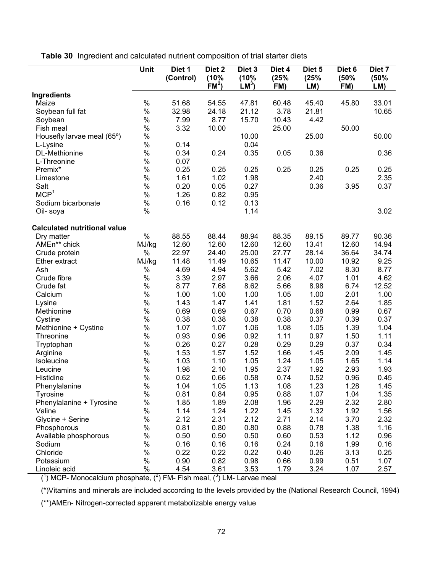**Table 30** Ingredient and calculated nutrient composition of trial starter diets

|                                     | Unit  | Diet 1<br>(Control) | Diet 2<br>(10%<br>FM <sup>2</sup> | Diet 3<br>(10%<br>$LM^3$ | Diet 4<br>(25%<br>FM) | Diet 5<br>(25%<br>LM) | Diet <sub>6</sub><br>(50%<br>FM) | Diet 7<br>(50%<br>LM) |
|-------------------------------------|-------|---------------------|-----------------------------------|--------------------------|-----------------------|-----------------------|----------------------------------|-----------------------|
| Ingredients                         |       |                     |                                   |                          |                       |                       |                                  |                       |
| Maize                               | $\%$  | 51.68               | 54.55                             | 47.81                    | 60.48                 | 45.40                 | 45.80                            | 33.01                 |
| Soybean full fat                    | $\%$  | 32.98               | 24.18                             | 21.12                    | 3.78                  | 21.81                 |                                  | 10.65                 |
| Soybean                             | $\%$  | 7.99                | 8.77                              | 15.70                    | 10.43                 | 4.42                  |                                  |                       |
| Fish meal                           | $\%$  | 3.32                | 10.00                             |                          | 25.00                 |                       | 50.00                            |                       |
| Housefly larvae meal (65°)          | $\%$  |                     |                                   | 10.00                    |                       | 25.00                 |                                  | 50.00                 |
| L-Lysine                            | $\%$  | 0.14                |                                   | 0.04                     |                       |                       |                                  |                       |
| DL-Methionine                       | $\%$  | 0.34                | 0.24                              | 0.35                     | 0.05                  | 0.36                  |                                  | 0.36                  |
| L-Threonine                         | $\%$  | 0.07                |                                   |                          |                       |                       |                                  |                       |
| Premix*                             | $\%$  | 0.25                | 0.25                              | 0.25                     | 0.25                  | 0.25                  | 0.25                             | 0.25                  |
| Limestone                           | $\%$  | 1.61                | 1.02                              | 1.98                     |                       | 2.40                  |                                  | 2.35                  |
| Salt                                | $\%$  | 0.20                | 0.05                              | 0.27                     |                       | 0.36                  | 3.95                             | 0.37                  |
| MCP <sup>1</sup>                    | $\%$  | 1.26                | 0.82                              | 0.95                     |                       |                       |                                  |                       |
| Sodium bicarbonate                  | $\%$  | 0.16                | 0.12                              | 0.13                     |                       |                       |                                  |                       |
| Oil- soya                           | $\%$  |                     |                                   | 1.14                     |                       |                       |                                  | 3.02                  |
| <b>Calculated nutritional value</b> |       |                     |                                   |                          |                       |                       |                                  |                       |
| Dry matter                          | $\%$  | 88.55               | 88.44                             | 88.94                    | 88.35                 | 89.15                 | 89.77                            | 90.36                 |
| AMEn** chick                        | MJ/kg | 12.60               | 12.60                             | 12.60                    | 12.60                 | 13.41                 | 12.60                            | 14.94                 |
| Crude protein                       | %     | 22.97               | 24.40                             | 25.00                    | 27.77                 | 28.14                 | 36.64                            | 34.74                 |
| Ether extract                       | MJ/kg | 11.48               | 11.49                             | 10.65                    | 11.47                 | 10.00                 | 10.92                            | 9.25                  |
| Ash                                 | $\%$  | 4.69                | 4.94                              | 5.62                     | 5.42                  | 7.02                  | 8.30                             | 8.77                  |
| Crude fibre                         | $\%$  | 3.39                | 2.97                              | 3.66                     | 2.06                  | 4.07                  | 1.01                             | 4.62                  |
| Crude fat                           | $\%$  | 8.77                | 7.68                              | 8.62                     | 5.66                  | 8.98                  | 6.74                             | 12.52                 |
| Calcium                             | $\%$  | 1.00                | 1.00                              | 1.00                     | 1.05                  | 1.00                  | 2.01                             | 1.00                  |
| Lysine                              | $\%$  | 1.43                | 1.47                              | 1.41                     | 1.81                  | 1.52                  | 2.64                             | 1.85                  |
| Methionine                          | $\%$  | 0.69                | 0.69                              | 0.67                     | 0.70                  | 0.68                  | 0.99                             | 0.67                  |
| Cystine                             | $\%$  | 0.38                | 0.38                              | 0.38                     | 0.38                  | 0.37                  | 0.39                             | 0.37                  |
| Methionine + Cystine                | $\%$  | 1.07                | 1.07                              | 1.06                     | 1.08                  | 1.05                  | 1.39                             | 1.04                  |
| Threonine                           | $\%$  | 0.93                | 0.96                              | 0.92                     | 1.11                  | 0.97                  | 1.50                             | 1.11                  |
| Tryptophan                          | $\%$  | 0.26                | 0.27                              | 0.28                     | 0.29                  | 0.29                  | 0.37                             | 0.34                  |
| Arginine                            | $\%$  | 1.53                | 1.57                              | 1.52                     | 1.66                  | 1.45                  | 2.09                             | 1.45                  |
| Isoleucine                          | $\%$  | 1.03                | 1.10                              | 1.05                     | 1.24                  | 1.05                  | 1.65                             | 1.14                  |
| Leucine                             | $\%$  | 1.98                | 2.10                              | 1.95                     | 2.37                  | 1.92                  | 2.93                             | 1.93                  |
| Histidine                           | $\%$  | 0.62                | 0.66                              | 0.58                     | 0.74                  | 0.52                  | 0.96                             | 0.45                  |
| Phenylalanine                       | $\%$  | 1.04                | 1.05                              | 1.13                     | 1.08                  | 1.23                  | 1.28                             | 1.45                  |
| <b>Tyrosine</b>                     | $\%$  | 0.81                | 0.84                              | 0.95                     | 0.88                  | 1.07                  | 1.04                             | 1.35                  |
| Phenylalanine + Tyrosine            | $\%$  | 1.85                | 1.89                              | 2.08                     | 1.96                  | 2.29                  | 2.32                             | 2.80                  |
| Valine                              | $\%$  | 1.14                | 1.24                              | 1.22                     | 1.45                  | 1.32                  | 1.92                             | 1.56                  |
| Glycine + Serine                    | $\%$  | 2.12                | 2.31                              | 2.12                     | 2.71                  | 2.14                  | 3.70                             | 2.32                  |
| Phosphorous                         | $\%$  | 0.81                | 0.80                              | 0.80                     | 0.88                  | 0.78                  | 1.38                             | 1.16                  |
| Available phosphorous               | $\%$  | 0.50                | 0.50                              | 0.50                     | 0.60                  | 0.53                  | 1.12                             | 0.96                  |
| Sodium                              | $\%$  | 0.16                | 0.16                              | 0.16                     | 0.24                  | 0.16                  | 1.99                             | 0.16                  |
| Chloride                            | $\%$  | 0.22                | 0.22                              | 0.22                     | 0.40                  | 0.26                  | 3.13                             | 0.25                  |
| Potassium                           | $\%$  | 0.90                | 0.82                              | 0.98                     | 0.66                  | 0.99                  | 0.51                             | 1.07                  |
| Linoleic acid                       | $\%$  | 4.54                | 3.61                              | 3.53                     | 1.79                  | 3.24                  | 1.07                             | 2.57                  |

 $(1)$  MCP- Monocalcium phosphate,  $(2)$  FM- Fish meal,  $(3)$  LM- Larvae meal

(\*)Vitamins and minerals are included according to the levels provided by the (National Research Council, 1994)

(\*\*)AMEn- Nitrogen-corrected apparent metabolizable energy value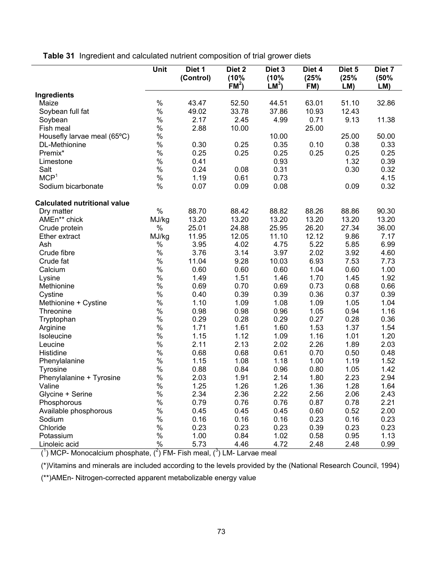**Table 31** Ingredient and calculated nutrient composition of trial grower diets

|                                                   | Unit  | Diet 1<br>(Control) | Diet <sub>2</sub><br>(10%<br>FM <sup>2</sup> | Diet 3<br>(10%<br>$LM^3$ | Diet 4<br>(25%<br>FM) | Diet 5<br>(25%<br>LM) | Diet 7<br>(50%<br>LM) |
|---------------------------------------------------|-------|---------------------|----------------------------------------------|--------------------------|-----------------------|-----------------------|-----------------------|
| Ingredients                                       |       |                     |                                              |                          |                       |                       |                       |
| Maize                                             | $\%$  | 43.47               | 52.50                                        | 44.51                    | 63.01                 | 51.10                 | 32.86                 |
| Soybean full fat                                  | $\%$  | 49.02               | 33.78                                        | 37.86                    | 10.93                 | 12.43                 |                       |
| Soybean                                           | $\%$  | 2.17                | 2.45                                         | 4.99                     | 0.71                  | 9.13                  | 11.38                 |
| Fish meal                                         | $\%$  | 2.88                | 10.00                                        |                          | 25.00                 |                       |                       |
| Housefly larvae meal (65°C)                       | $\%$  |                     |                                              | 10.00                    |                       | 25.00                 | 50.00                 |
| DL-Methionine                                     | $\%$  | 0.30                | 0.25                                         | 0.35                     | 0.10                  | 0.38                  | 0.33                  |
| Premix*                                           | $\%$  | 0.25                | 0.25                                         | 0.25                     | 0.25                  | 0.25                  | 0.25                  |
| Limestone                                         | $\%$  | 0.41                |                                              | 0.93                     |                       | 1.32                  | 0.39                  |
| Salt                                              | $\%$  | 0.24                | 0.08                                         | 0.31                     |                       | 0.30                  | 0.32                  |
| MCP <sup>1</sup>                                  | $\%$  | 1.19                | 0.61                                         | 0.73                     |                       |                       | 4.15                  |
| Sodium bicarbonate                                | %     | 0.07                | 0.09                                         | 0.08                     |                       | 0.09                  | 0.32                  |
|                                                   |       |                     |                                              |                          |                       |                       |                       |
| <b>Calculated nutritional value</b><br>Dry matter | $\%$  | 88.70               | 88.42                                        | 88.82                    | 88.26                 | 88.86                 | 90.30                 |
| AMEn** chick                                      | MJ/kg | 13.20               | 13.20                                        | 13.20                    | 13.20                 | 13.20                 | 13.20                 |
| Crude protein                                     | $\%$  | 25.01               | 24.88                                        | 25.95                    | 26.20                 | 27.34                 | 36.00                 |
| Ether extract                                     | MJ/kg | 11.95               | 12.05                                        | 11.10                    | 12.12                 | 9.86                  | 7.17                  |
| Ash                                               | $\%$  | 3.95                | 4.02                                         | 4.75                     | 5.22                  | 5.85                  | 6.99                  |
|                                                   | $\%$  |                     |                                              |                          |                       |                       |                       |
| Crude fibre                                       | $\%$  | 3.76                | 3.14                                         | 3.97                     | 2.02                  | 3.92                  | 4.60                  |
| Crude fat                                         |       | 11.04               | 9.28                                         | 10.03                    | 6.93                  | 7.53                  | 7.73                  |
| Calcium                                           | $\%$  | 0.60                | 0.60                                         | 0.60                     | 1.04                  | 0.60                  | 1.00                  |
| Lysine                                            | $\%$  | 1.49                | 1.51                                         | 1.46                     | 1.70                  | 1.45                  | 1.92                  |
| Methionine                                        | $\%$  | 0.69                | 0.70                                         | 0.69                     | 0.73                  | 0.68                  | 0.66                  |
| Cystine                                           | $\%$  | 0.40                | 0.39                                         | 0.39                     | 0.36                  | 0.37                  | 0.39                  |
| Methionine + Cystine                              | $\%$  | 1.10                | 1.09                                         | 1.08                     | 1.09                  | 1.05                  | 1.04                  |
| Threonine                                         | $\%$  | 0.98                | 0.98                                         | 0.96                     | 1.05                  | 0.94                  | 1.16                  |
| Tryptophan                                        | $\%$  | 0.29                | 0.28                                         | 0.29                     | 0.27                  | 0.28                  | 0.36                  |
| Arginine                                          | $\%$  | 1.71                | 1.61                                         | 1.60                     | 1.53                  | 1.37                  | 1.54                  |
| Isoleucine                                        | $\%$  | 1.15                | 1.12                                         | 1.09                     | 1.16                  | 1.01                  | 1.20                  |
| Leucine                                           | $\%$  | 2.11                | 2.13                                         | 2.02                     | 2.26                  | 1.89                  | 2.03                  |
| Histidine                                         | $\%$  | 0.68                | 0.68                                         | 0.61                     | 0.70                  | 0.50                  | 0.48                  |
| Phenylalanine                                     | $\%$  | 1.15                | 1.08                                         | 1.18                     | 1.00                  | 1.19                  | 1.52                  |
| <b>Tyrosine</b>                                   | $\%$  | 0.88                | 0.84                                         | 0.96                     | 0.80                  | 1.05                  | 1.42                  |
| Phenylalanine + Tyrosine                          | %     | 2.03                | 1.91                                         | 2.14                     | 1.80                  | 2.23                  | 2.94                  |
| Valine                                            | $\%$  | 1.25                | 1.26                                         | 1.26                     | 1.36                  | 1.28                  | 1.64                  |
| Glycine + Serine                                  | %     | 2.34                | 2.36                                         | 2.22                     | 2.56                  | 2.06                  | 2.43                  |
| Phosphorous                                       | %     | 0.79                | 0.76                                         | 0.76                     | 0.87                  | 0.78                  | 2.21                  |
| Available phosphorous                             | $\%$  | 0.45                | 0.45                                         | 0.45                     | 0.60                  | 0.52                  | 2.00                  |
| Sodium                                            | $\%$  | 0.16                | 0.16                                         | 0.16                     | 0.23                  | 0.16                  | 0.23                  |
| Chloride                                          | $\%$  | 0.23                | 0.23                                         | 0.23                     | 0.39                  | 0.23                  | 0.23                  |
| Potassium                                         | $\%$  | 1.00                | 0.84                                         | 1.02                     | 0.58                  | 0.95                  | 1.13                  |
| Linoleic acid                                     | $\%$  | 5.73                | 4.46                                         | 4.72                     | 2.48                  | 2.48                  | 0.99                  |

 $(1)$  MCP- Monocalcium phosphate,  $(2)$  FM- Fish meal,  $(3)$  LM- Larvae meal

(\*)Vitamins and minerals are included according to the levels provided by the (National Research Council, 1994)

(\*\*)AMEn- Nitrogen-corrected apparent metabolizable energy value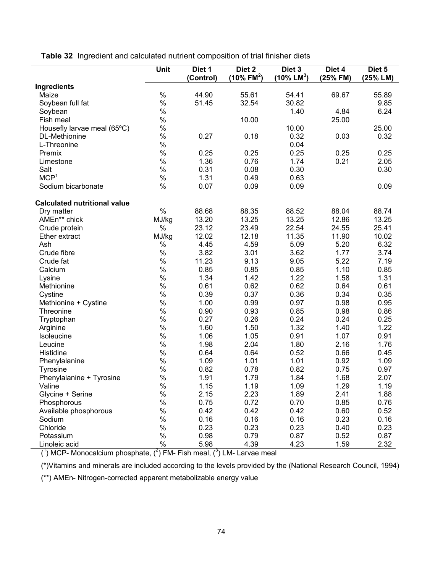**Table 32** Ingredient and calculated nutrient composition of trial finisher diets

|                                       | Unit                                                  | Diet 1<br>(Control) | Diet <sub>2</sub><br>$(10\%$ FM <sup>2</sup> ) | Diet <sub>3</sub><br>(10% LM <sup>3</sup> ) | Diet 4<br>(25% FM) | Diet 5<br>(25% LM) |
|---------------------------------------|-------------------------------------------------------|---------------------|------------------------------------------------|---------------------------------------------|--------------------|--------------------|
| Ingredients                           |                                                       |                     |                                                |                                             |                    |                    |
| Maize                                 | $\%$                                                  | 44.90               | 55.61                                          | 54.41                                       | 69.67              | 55.89              |
| Soybean full fat                      | $\%$                                                  | 51.45               | 32.54                                          | 30.82                                       |                    | 9.85               |
| Soybean                               | $\%$                                                  |                     |                                                | 1.40                                        | 4.84               | 6.24               |
| Fish meal                             | $\%$                                                  |                     | 10.00                                          |                                             | 25.00              |                    |
| Housefly larvae meal (65°C)           | $\%$                                                  |                     |                                                | 10.00                                       |                    | 25.00              |
| DL-Methionine                         | $\%$                                                  | 0.27                | 0.18                                           | 0.32                                        | 0.03               | 0.32               |
| L-Threonine                           | $\%$                                                  |                     |                                                | 0.04                                        |                    |                    |
| Premix                                | $\%$                                                  | 0.25                | 0.25                                           | 0.25                                        | 0.25               | 0.25               |
| Limestone                             | $\%$                                                  | 1.36                | 0.76                                           | 1.74                                        | 0.21               | 2.05               |
| Salt                                  | $\%$                                                  | 0.31                | 0.08                                           | 0.30                                        |                    | 0.30               |
| MCP <sup>1</sup>                      | $\%$                                                  | 1.31                | 0.49                                           | 0.63                                        |                    |                    |
| Sodium bicarbonate                    | $\%$                                                  | 0.07                | 0.09                                           | 0.09                                        |                    | 0.09               |
|                                       |                                                       |                     |                                                |                                             |                    |                    |
| <b>Calculated nutritional value</b>   |                                                       |                     |                                                |                                             |                    |                    |
| Dry matter                            | $\%$                                                  | 88.68               | 88.35                                          | 88.52                                       | 88.04              | 88.74              |
| AMEn** chick                          | MJ/kg                                                 | 13.20               | 13.25                                          | 13.25                                       | 12.86              | 13.25              |
| Crude protein                         | %                                                     | 23.12               | 23.49                                          | 22.54                                       | 24.55              | 25.41              |
| <b>Ether extract</b>                  | MJ/kg                                                 | 12.02               | 12.18                                          | 11.35                                       | 11.90              | 10.02              |
| Ash                                   | $\%$                                                  | 4.45                | 4.59                                           | 5.09                                        | 5.20               | 6.32               |
| Crude fibre                           | $\%$                                                  | 3.82                | 3.01                                           | 3.62                                        | 1.77               | 3.74               |
| Crude fat                             | $\%$                                                  | 11.23               | 9.13                                           | 9.05                                        | 5.22               | 7.19               |
| Calcium                               | $\%$                                                  | 0.85                | 0.85                                           | 0.85                                        | 1.10               | 0.85               |
| Lysine                                | $\%$                                                  | 1.34                | 1.42                                           | 1.22                                        | 1.58               | 1.31               |
| Methionine                            | $\%$                                                  | 0.61                | 0.62                                           | 0.62                                        | 0.64               | 0.61               |
| Cystine                               | $\%$                                                  | 0.39                | 0.37                                           | 0.36                                        | 0.34               | 0.35               |
| Methionine + Cystine                  | $\%$                                                  | 1.00                | 0.99                                           | 0.97                                        | 0.98               | 0.95               |
| Threonine                             | $\%$                                                  | 0.90                | 0.93                                           | 0.85                                        | 0.98               | 0.86               |
| Tryptophan                            | $\%$                                                  | 0.27                | 0.26                                           | 0.24                                        | 0.24               | 0.25               |
| Arginine                              | $\%$                                                  | 1.60                | 1.50                                           | 1.32                                        | 1.40               | 1.22               |
| Isoleucine                            | $\%$                                                  | 1.06                | 1.05                                           | 0.91                                        | 1.07               | 0.91               |
| Leucine                               | $\%$                                                  | 1.98                | 2.04                                           | 1.80                                        | 2.16               | 1.76               |
| Histidine                             | $\%$                                                  | 0.64                | 0.64                                           | 0.52                                        | 0.66               | 0.45               |
| Phenylalanine                         | $\%$                                                  | 1.09                | 1.01                                           | 1.01                                        | 0.92               | 1.09               |
| Tyrosine                              | $\%$                                                  | 0.82                | 0.78                                           | 0.82                                        | 0.75               | 0.97               |
| Phenylalanine + Tyrosine              | $\%$                                                  | 1.91                | 1.79                                           | 1.84                                        | 1.68               | 2.07               |
| Valine                                | $\%$                                                  | 1.15                | 1.19                                           | 1.09                                        | 1.29               | 1.19               |
| Glycine + Serine                      | %                                                     | 2.15                | 2.23                                           | 1.89                                        | 2.41               | 1.88               |
| Phosphorous                           | %                                                     | 0.75                | 0.72                                           | 0.70                                        | 0.85               | 0.76               |
| Available phosphorous                 | %                                                     | 0.42                | 0.42                                           | 0.42                                        | 0.60               | 0.52               |
| Sodium                                | %                                                     | 0.16                | 0.16                                           | 0.16                                        | 0.23               | 0.16               |
| Chloride                              | $\%$                                                  | 0.23                | 0.23                                           | 0.23                                        | 0.40               | 0.23               |
| Potassium                             | $\%$                                                  | 0.98                | 0.79                                           | 0.87                                        | 0.52               | 0.87               |
|                                       | $\%$                                                  | 5.98                |                                                | 4.23                                        |                    |                    |
| Linoleic acid<br>$(1)$ MCD Messacking | $(2)$ $\Gamma$ <sub>14</sub> $\Gamma$ <sub>is</sub> k | $-221/31111$        | 4.39                                           |                                             | 1.59               | 2.32               |

 $(1)$  MCP- Monocalcium phosphate,  $(2)$  FM- Fish meal,  $(3)$  LM- Larvae meal

(\*)Vitamins and minerals are included according to the levels provided by the (National Research Council, 1994)

(\*\*) AMEn- Nitrogen-corrected apparent metabolizable energy value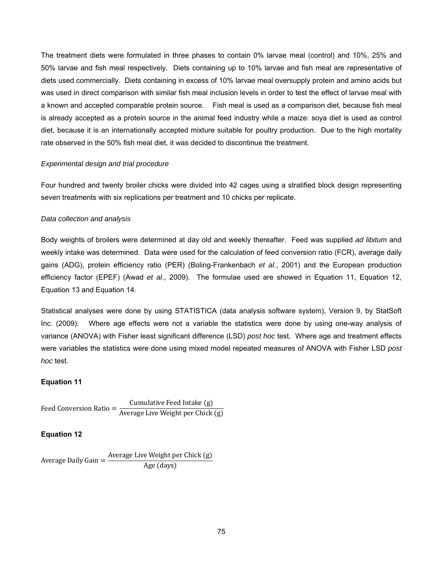The treatment diets were formulated in three phases to contain 0% larvae meal (control) and 10%, 25% and 50% larvae and fish meal respectively. Diets containing up to 10% larvae and fish meal are representative of diets used commercially. Diets containing in excess of 10% larvae meal oversupply protein and amino acids but was used in direct comparison with similar fish meal inclusion levels in order to test the effect of larvae meal with a known and accepted comparable protein source. Fish meal is used as a comparison diet, because fish meal is already accepted as a protein source in the animal feed industry while a maize: soya diet is used as control diet, because it is an internationally accepted mixture suitable for poultry production. Due to the high mortality rate observed in the 50% fish meal diet, it was decided to discontinue the treatment.

#### *Experimental design and trial procedure*

Four hundred and twenty broiler chicks were divided into 42 cages using a stratified block design representing seven treatments with six replications per treatment and 10 chicks per replicate.

#### *Data collection and analysis*

Body weights of broilers were determined at day old and weekly thereafter. Feed was supplied *ad libitum* and weekly intake was determined. Data were used for the calculation of feed conversion ratio (FCR), average daily gains (ADG), protein efficiency ratio (PER) (Boling-Frankenbach *et al*., 2001) and the European production efficiency factor (EPEF) (Awad *et al*., 2009). The formulae used are showed in Equation 11, Equation 12, Equation 13 and Equation 14.

Statistical analyses were done by using STATISTICA (data analysis software system), Version 9, by StatSoft Inc. (2009). Where age effects were not a variable the statistics were done by using one-way analysis of variance (ANOVA) with Fisher least significant difference (LSD) *post hoc* test. Where age and treatment effects were variables the statistics were done using mixed model repeated measures of ANOVA with Fisher LSD *post hoc* test.

#### **Equation 11**

$$
Feed Conversion Ratio = \frac{Cumulative Feed Intake (g)}{Average Live Weight per Chick (g)}
$$

#### **Equation 12**

Average Daily Gain  $=$  Average Live Weight per Chick (g) Age (days)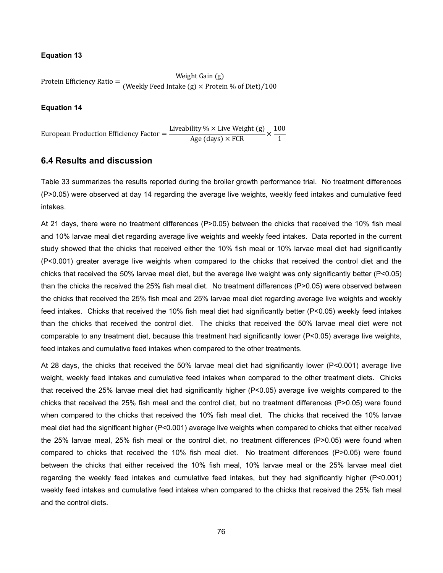### **Equation 13**

Protein Efficiency Ratio =  $\frac{\text{Weight Gain (g)}}{\text{(Weakly Feed Intake (g) \times Protein % of Diet)}/100}$ 

## **Equation 14**

European Production Efficiency Factor =  $\frac{\text{Liveability } \% \times \text{Live Weight (g)}}{\text{Age (days)} \times \text{FCR}} \times \frac{100}{1}$ 1

# **6.4 Results and discussion**

Table 33 summarizes the results reported during the broiler growth performance trial. No treatment differences (P>0.05) were observed at day 14 regarding the average live weights, weekly feed intakes and cumulative feed intakes.

At 21 days, there were no treatment differences (P>0.05) between the chicks that received the 10% fish meal and 10% larvae meal diet regarding average live weights and weekly feed intakes. Data reported in the current study showed that the chicks that received either the 10% fish meal or 10% larvae meal diet had significantly (P<0.001) greater average live weights when compared to the chicks that received the control diet and the chicks that received the 50% larvae meal diet, but the average live weight was only significantly better (P<0.05) than the chicks the received the 25% fish meal diet. No treatment differences (P>0.05) were observed between the chicks that received the 25% fish meal and 25% larvae meal diet regarding average live weights and weekly feed intakes. Chicks that received the 10% fish meal diet had significantly better (P<0.05) weekly feed intakes than the chicks that received the control diet. The chicks that received the 50% larvae meal diet were not comparable to any treatment diet, because this treatment had significantly lower (P<0.05) average live weights, feed intakes and cumulative feed intakes when compared to the other treatments.

At 28 days, the chicks that received the 50% larvae meal diet had significantly lower (P<0.001) average live weight, weekly feed intakes and cumulative feed intakes when compared to the other treatment diets. Chicks that received the 25% larvae meal diet had significantly higher (P<0.05) average live weights compared to the chicks that received the 25% fish meal and the control diet, but no treatment differences (P>0.05) were found when compared to the chicks that received the 10% fish meal diet. The chicks that received the 10% larvae meal diet had the significant higher (P<0.001) average live weights when compared to chicks that either received the 25% larvae meal, 25% fish meal or the control diet, no treatment differences (P>0.05) were found when compared to chicks that received the 10% fish meal diet. No treatment differences (P>0.05) were found between the chicks that either received the 10% fish meal, 10% larvae meal or the 25% larvae meal diet regarding the weekly feed intakes and cumulative feed intakes, but they had significantly higher (P<0.001) weekly feed intakes and cumulative feed intakes when compared to the chicks that received the 25% fish meal and the control diets.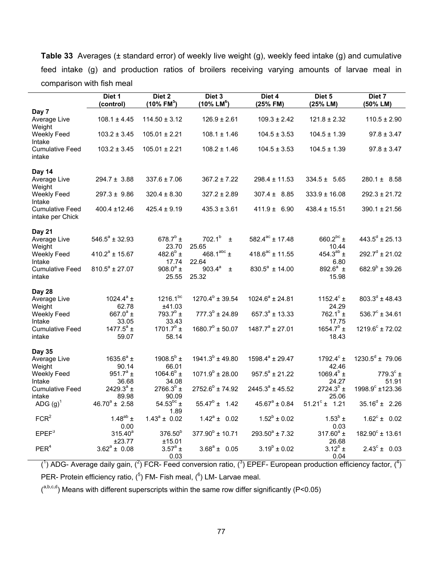**Table 33** Averages (± standard error) of weekly live weight (g), weekly feed intake (g) and cumulative feed intake (g) and production ratios of broilers receiving varying amounts of larvae meal in comparison with fish meal

|                                            | Diet 1<br>(control)                | Diet 2<br>$(10\% \text{ FM}^5)$      | Diet 3<br>$(10\%$ LM <sup>6</sup> ) | Diet 4<br>(25% FM)   | Diet 5<br>(25% LM)                    | Diet 7<br>(50% LM)         |
|--------------------------------------------|------------------------------------|--------------------------------------|-------------------------------------|----------------------|---------------------------------------|----------------------------|
| Day 7                                      |                                    |                                      |                                     |                      |                                       |                            |
| Average Live<br>Weight                     | $108.1 \pm 4.45$                   | $114.50 \pm 3.12$                    | $126.9 \pm 2.61$                    | $109.3 \pm 2.42$     | $121.8 \pm 2.32$                      | $110.5 \pm 2.90$           |
| Weekly Feed<br>Intake                      | $103.2 \pm 3.45$                   | $105.01 \pm 2.21$                    | $108.1 \pm 1.46$                    | $104.5 \pm 3.53$     | $104.5 \pm 1.39$                      | $97.8 \pm 3.47$            |
| <b>Cumulative Feed</b><br>intake           | $103.2 \pm 3.45$                   | $105.01 \pm 2.21$                    | $108.2 \pm 1.46$                    | $104.5 \pm 3.53$     | $104.5 \pm 1.39$                      | $97.8 \pm 3.47$            |
| Day 14                                     |                                    |                                      |                                     |                      |                                       |                            |
| Average Live<br>Weight                     | $294.7 \pm 3.88$                   | $337.6 \pm 7.06$                     | $367.2 \pm 7.22$                    | $298.4 \pm 11.53$    | $334.5 \pm 5.65$                      | $280.1 \pm 8.58$           |
| Weekly Feed<br>Intake                      | $297.3 \pm 9.86$                   | $320.4 \pm 8.30$                     | $327.2 \pm 2.89$                    | $307.4 \pm 8.85$     | $333.9 \pm 16.08$                     | $292.3 \pm 21.72$          |
| <b>Cumulative Feed</b><br>intake per Chick | 400.4 ±12.46                       | $425.4 \pm 9.19$                     | $435.3 \pm 3.61$                    | $411.9 \pm 6.90$     | $438.4 \pm 15.51$                     | $390.1 \pm 21.56$          |
| Day 21                                     |                                    |                                      |                                     |                      |                                       |                            |
| Average Live<br>Weight                     | $546.5^a \pm 32.93$                | 678.7 $^{\rm b}$ ±<br>23.70          | $702.1^{b}$<br>$\pm$<br>25.65       | $582.4^{ac}$ ± 17.48 | 660.2 $bc$ ±<br>10.44                 | $443.5^d \pm 25.13$        |
| Weekly Feed<br>Intake                      | $410.2^a \pm 15.67$                | 482.6 $^{b}$ ±                       | 468.1abc $\pm$<br>22.64             | $418.6^{ac}$ ± 11.55 | 454.3 <sup>ab</sup> ±<br>6.80         | $292.7^{\circ}$ ± 21.02    |
| <b>Cumulative Feed</b><br>intake           | $810.5^a \pm 27.07$                | 17.74<br>908.0 $^{\circ}$ ±<br>25.55 | $903.4^{a}$<br>Ŧ.<br>25.32          | $830.5^a \pm 14.00$  | 892.6 $^{a}$ ±<br>15.98               | $682.9^b \pm 39.26$        |
| Day 28                                     |                                    |                                      |                                     |                      |                                       |                            |
| Average Live                               | 1024.4 $a$ <sup>a</sup> ±<br>62.78 | $1216.1^{bc}$<br>±41.03              | $1270.4^b \pm 39.54$                | $1024.6^a \pm 24.81$ | 1152.4 $^{\circ}$ ±<br>24.29          | $803.3^d \pm 48.43$        |
| Weight<br>Weekly Feed                      | 667.0 $^{\circ}$ ±                 | 793.7 $^{\rm b}$ ±                   | $777.3^b \pm 24.89$                 | $657.3^a \pm 13.33$  | $762.1^b \pm$                         | $536.7^c \pm 34.61$        |
| Intake<br><b>Cumulative Feed</b><br>intake | 33.05<br>1477.5 $^{a}$ ±<br>59.07  | 33.43<br>$1701.7^b \pm$<br>58.14     | $1680.7^b \pm 50.07$                | $1487.7^a \pm 27.01$ | 17.75<br>1654.7 $^{\rm b}$ ±<br>18.43 | $1219.6^c \pm 72.02$       |
| Day 35                                     |                                    |                                      |                                     |                      |                                       |                            |
| Average Live<br>Weight                     | 1635.6 $^{a}$ ±<br>90.14           | 1908.5 $^{\rm b}$ ±<br>66.01         | $1941.3^b \pm 49.80$                | $1598.4^a \pm 29.47$ | 1792.4 $^{\rm c}$ ±<br>42.46          | $1230.5^d \pm 79.06$       |
| Weekly Feed<br>Intake                      | 951.7 $^{\circ}$ ±<br>36.68        | $1064.6^b \pm$<br>34.08              | $1071.9^b \pm 28.00$                | $957.5^a \pm 21.22$  | 1069.4 $^{\circ}$ ±<br>24.27          | $779.3^{\circ}$ ±<br>51.91 |
| <b>Cumulative Feed</b><br>intake           | 2429.3 $^{\circ}$ ±<br>89.98       | $2766.3^{b}$ ±<br>90.09              | $2752.6^b \pm 74.92$                | $2445.3^a \pm 45.52$ | $2724.3^{b}$ ±<br>25.06               | 1998.9° ±123.36            |
| ADG $(g)^{1}$                              | $46.70^a \pm 2.58$                 | 54.53 $^{bc}$ ±                      | $55.47^b \pm 1.42$                  | $45.67^a \pm 0.84$   | $51.21^c \pm 1.21$                    | $35.16^{\circ}$ ± 2.26     |
| FCR <sup>2</sup>                           | 1.48 <sup>ab</sup> $\pm$<br>0.00   | 1.89<br>$1.43^a \pm 0.02$            | $1.42^a \pm 0.02$                   | $1.52^b \pm 0.02$    | $1.53^{b}$ ±<br>0.03                  | $1.62^c \pm 0.02$          |
| EPEF <sup>3</sup>                          | $315.40^{a}$<br>±23.77             | 376.50 <sup>b</sup><br>±15.01        | $377.90^b \pm 10.71$                | $293.50^a \pm 7.32$  | $317.60^a \pm$<br>26.68               | $182.90^{\circ}$ ± 13.61   |
| PER <sup>4</sup>                           | $3.62^a \pm 0.08$                  | $3.57^a \pm$<br>0.03                 | $3.68^a \pm 0.05$                   | $3.19^b \pm 0.02$    | $3.12^b \pm$<br>0.04                  | $2.43^{\circ} \pm 0.03$    |

 $(1)$  ADG- Average daily gain,  $(2)$  FCR- Feed conversion ratio,  $(3)$  EPEF- European production efficiency factor,  $(4)$ PER- Protein efficiency ratio,  $(^5)$  FM- Fish meal,  $(^6)$  LM- Larvae meal.

 $($ <sup>a,b,c,d</sup>) Means with different superscripts within the same row differ significantly (P<0.05)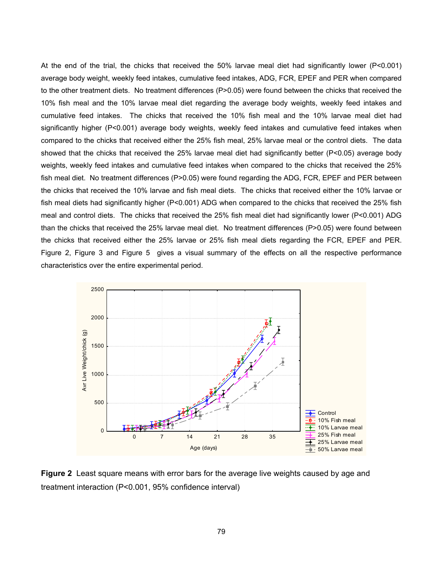At the end of the trial, the chicks that received the 50% larvae meal diet had significantly lower (P<0.001) average body weight, weekly feed intakes, cumulative feed intakes, ADG, FCR, EPEF and PER when compared to the other treatment diets. No treatment differences (P>0.05) were found between the chicks that received the 10% fish meal and the 10% larvae meal diet regarding the average body weights, weekly feed intakes and cumulative feed intakes. The chicks that received the 10% fish meal and the 10% larvae meal diet had significantly higher (P<0.001) average body weights, weekly feed intakes and cumulative feed intakes when compared to the chicks that received either the 25% fish meal, 25% larvae meal or the control diets. The data showed that the chicks that received the 25% larvae meal diet had significantly better (P<0.05) average body weights, weekly feed intakes and cumulative feed intakes when compared to the chicks that received the 25% fish meal diet. No treatment differences (P>0.05) were found regarding the ADG, FCR, EPEF and PER between the chicks that received the 10% larvae and fish meal diets. The chicks that received either the 10% larvae or fish meal diets had significantly higher (P<0.001) ADG when compared to the chicks that received the 25% fish meal and control diets. The chicks that received the 25% fish meal diet had significantly lower (P<0.001) ADG than the chicks that received the 25% larvae meal diet. No treatment differences (P>0.05) were found between the chicks that received either the 25% larvae or 25% fish meal diets regarding the FCR, EPEF and PER. Figure 2, Figure 3 and Figure 5 gives a visual summary of the effects on all the respective performance characteristics over the entire experimental period.



**Figure 2** Least square means with error bars for the average live weights caused by age and treatment interaction (P<0.001, 95% confidence interval)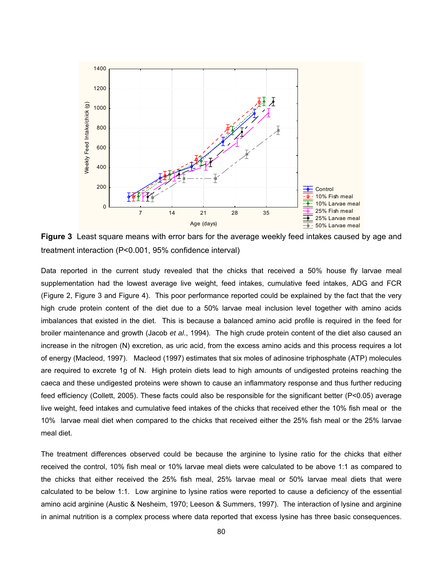

**Figure 3** Least square means with error bars for the average weekly feed intakes caused by age and treatment interaction (P<0.001, 95% confidence interval)

Data reported in the current study revealed that the chicks that received a 50% house fly larvae meal supplementation had the lowest average live weight, feed intakes, cumulative feed intakes, ADG and FCR (Figure 2, Figure 3 and Figure 4). This poor performance reported could be explained by the fact that the very high crude protein content of the diet due to a 50% larvae meal inclusion level together with amino acids imbalances that existed in the diet. This is because a balanced amino acid profile is required in the feed for broiler maintenance and growth (Jacob *et al*., 1994). The high crude protein content of the diet also caused an increase in the nitrogen (N) excretion, as uric acid, from the excess amino acids and this process requires a lot of energy (Macleod, 1997). Macleod (1997) estimates that six moles of adinosine triphosphate (ATP) molecules are required to excrete 1g of N. High protein diets lead to high amounts of undigested proteins reaching the caeca and these undigested proteins were shown to cause an inflammatory response and thus further reducing feed efficiency (Collett, 2005). These facts could also be responsible for the significant better (P<0.05) average live weight, feed intakes and cumulative feed intakes of the chicks that received ether the 10% fish meal or the 10% larvae meal diet when compared to the chicks that received either the 25% fish meal or the 25% larvae meal diet.

The treatment differences observed could be because the arginine to lysine ratio for the chicks that either received the control, 10% fish meal or 10% larvae meal diets were calculated to be above 1:1 as compared to the chicks that either received the 25% fish meal, 25% larvae meal or 50% larvae meal diets that were calculated to be below 1:1. Low arginine to lysine ratios were reported to cause a deficiency of the essential amino acid arginine (Austic & Nesheim, 1970; Leeson & Summers, 1997). The interaction of lysine and arginine in animal nutrition is a complex process where data reported that excess lysine has three basic consequences.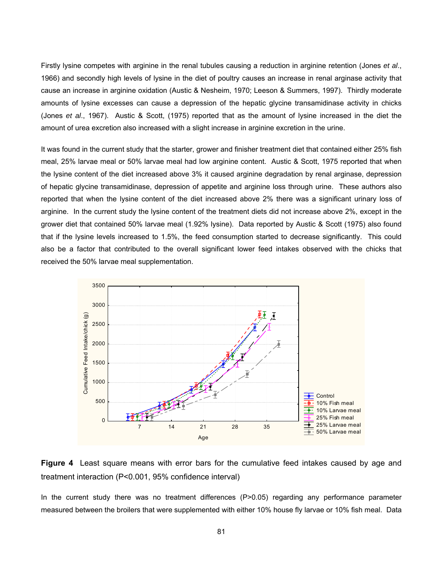Firstly lysine competes with arginine in the renal tubules causing a reduction in arginine retention (Jones *et al*., 1966) and secondly high levels of lysine in the diet of poultry causes an increase in renal arginase activity that cause an increase in arginine oxidation (Austic & Nesheim, 1970; Leeson & Summers, 1997). Thirdly moderate amounts of lysine excesses can cause a depression of the hepatic glycine transamidinase activity in chicks (Jones *et al*., 1967). Austic & Scott, (1975) reported that as the amount of lysine increased in the diet the amount of urea excretion also increased with a slight increase in arginine excretion in the urine.

It was found in the current study that the starter, grower and finisher treatment diet that contained either 25% fish meal, 25% larvae meal or 50% larvae meal had low arginine content. Austic & Scott, 1975 reported that when the lysine content of the diet increased above 3% it caused arginine degradation by renal arginase, depression of hepatic glycine transamidinase, depression of appetite and arginine loss through urine. These authors also reported that when the lysine content of the diet increased above 2% there was a significant urinary loss of arginine. In the current study the lysine content of the treatment diets did not increase above 2%, except in the grower diet that contained 50% larvae meal (1.92% lysine). Data reported by Austic & Scott (1975) also found that if the lysine levels increased to 1.5%, the feed consumption started to decrease significantly. This could also be a factor that contributed to the overall significant lower feed intakes observed with the chicks that received the 50% larvae meal supplementation.





In the current study there was no treatment differences (P>0.05) regarding any performance parameter measured between the broilers that were supplemented with either 10% house fly larvae or 10% fish meal. Data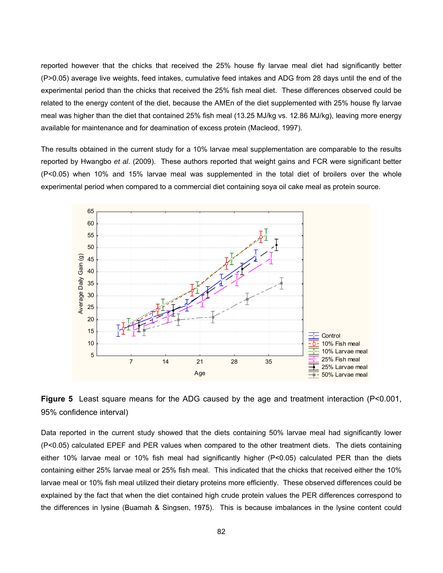reported however that the chicks that received the 25% house fly larvae meal diet had significantly better (P>0.05) average live weights, feed intakes, cumulative feed intakes and ADG from 28 days until the end of the experimental period than the chicks that received the 25% fish meal diet. These differences observed could be related to the energy content of the diet, because the AMEn of the diet supplemented with 25% house fly larvae meal was higher than the diet that contained 25% fish meal (13.25 MJ/kg vs. 12.86 MJ/kg), leaving more energy available for maintenance and for deamination of excess protein (Macleod, 1997).

The results obtained in the current study for a 10% larvae meal supplementation are comparable to the results reported by Hwangbo *et al*. (2009). These authors reported that weight gains and FCR were significant better (P<0.05) when 10% and 15% larvae meal was supplemented in the total diet of broilers over the whole experimental period when compared to a commercial diet containing soya oil cake meal as protein source.





Data reported in the current study showed that the diets containing 50% larvae meal had significantly lower (P<0.05) calculated EPEF and PER values when compared to the other treatment diets. The diets containing either 10% larvae meal or 10% fish meal had significantly higher (P<0.05) calculated PER than the diets containing either 25% larvae meal or 25% fish meal. This indicated that the chicks that received either the 10% larvae meal or 10% fish meal utilized their dietary proteins more efficiently. These observed differences could be explained by the fact that when the diet contained high crude protein values the PER differences correspond to the differences in lysine (Buamah & Singsen, 1975). This is because imbalances in the lysine content could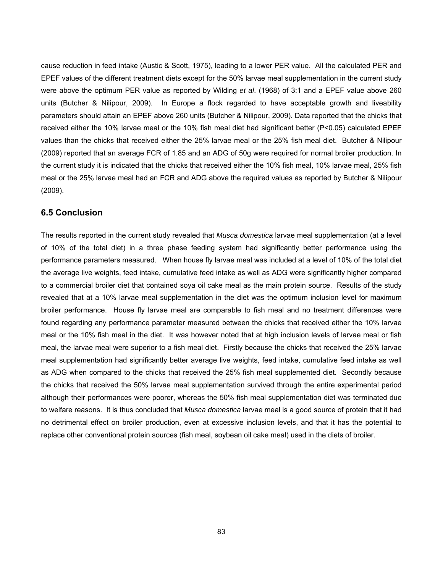cause reduction in feed intake (Austic & Scott, 1975), leading to a lower PER value. All the calculated PER and EPEF values of the different treatment diets except for the 50% larvae meal supplementation in the current study were above the optimum PER value as reported by Wilding *et al*. (1968) of 3:1 and a EPEF value above 260 units (Butcher & Nilipour, 2009). In Europe a flock regarded to have acceptable growth and liveability parameters should attain an EPEF above 260 units (Butcher & Nilipour, 2009). Data reported that the chicks that received either the 10% larvae meal or the 10% fish meal diet had significant better (P<0.05) calculated EPEF values than the chicks that received either the 25% larvae meal or the 25% fish meal diet. Butcher & Nilipour (2009) reported that an average FCR of 1.85 and an ADG of 50g were required for normal broiler production. In the current study it is indicated that the chicks that received either the 10% fish meal, 10% larvae meal, 25% fish meal or the 25% larvae meal had an FCR and ADG above the required values as reported by Butcher & Nilipour (2009).

## **6.5 Conclusion**

The results reported in the current study revealed that *Musca domestica* larvae meal supplementation (at a level of 10% of the total diet) in a three phase feeding system had significantly better performance using the performance parameters measured. When house fly larvae meal was included at a level of 10% of the total diet the average live weights, feed intake, cumulative feed intake as well as ADG were significantly higher compared to a commercial broiler diet that contained soya oil cake meal as the main protein source. Results of the study revealed that at a 10% larvae meal supplementation in the diet was the optimum inclusion level for maximum broiler performance. House fly larvae meal are comparable to fish meal and no treatment differences were found regarding any performance parameter measured between the chicks that received either the 10% larvae meal or the 10% fish meal in the diet. It was however noted that at high inclusion levels of larvae meal or fish meal, the larvae meal were superior to a fish meal diet. Firstly because the chicks that received the 25% larvae meal supplementation had significantly better average live weights, feed intake, cumulative feed intake as well as ADG when compared to the chicks that received the 25% fish meal supplemented diet. Secondly because the chicks that received the 50% larvae meal supplementation survived through the entire experimental period although their performances were poorer, whereas the 50% fish meal supplementation diet was terminated due to welfare reasons. It is thus concluded that *Musca domestica* larvae meal is a good source of protein that it had no detrimental effect on broiler production, even at excessive inclusion levels, and that it has the potential to replace other conventional protein sources (fish meal, soybean oil cake meal) used in the diets of broiler.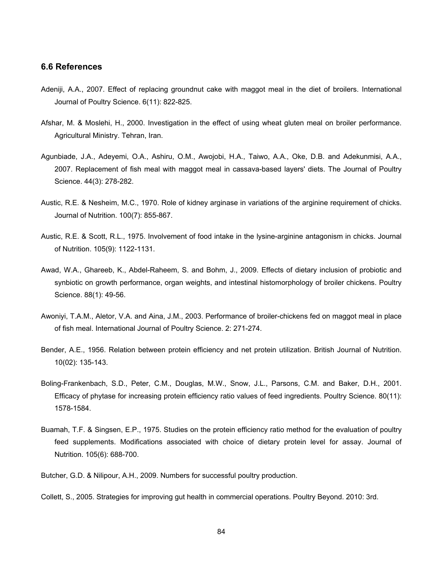## **6.6 References**

- Adeniji, A.A., 2007. Effect of replacing groundnut cake with maggot meal in the diet of broilers. International Journal of Poultry Science. 6(11): 822-825.
- Afshar, M. & Moslehi, H., 2000. Investigation in the effect of using wheat gluten meal on broiler performance. Agricultural Ministry. Tehran, Iran.
- Agunbiade, J.A., Adeyemi, O.A., Ashiru, O.M., Awojobi, H.A., Taiwo, A.A., Oke, D.B. and Adekunmisi, A.A., 2007. Replacement of fish meal with maggot meal in cassava-based layers' diets. The Journal of Poultry Science. 44(3): 278-282.
- Austic, R.E. & Nesheim, M.C., 1970. Role of kidney arginase in variations of the arginine requirement of chicks. Journal of Nutrition. 100(7): 855-867.
- Austic, R.E. & Scott, R.L., 1975. Involvement of food intake in the lysine-arginine antagonism in chicks. Journal of Nutrition. 105(9): 1122-1131.
- Awad, W.A., Ghareeb, K., Abdel-Raheem, S. and Bohm, J., 2009. Effects of dietary inclusion of probiotic and synbiotic on growth performance, organ weights, and intestinal histomorphology of broiler chickens. Poultry Science. 88(1): 49-56.
- Awoniyi, T.A.M., Aletor, V.A. and Aina, J.M., 2003. Performance of broiler-chickens fed on maggot meal in place of fish meal. International Journal of Poultry Science. 2: 271-274.
- Bender, A.E., 1956. Relation between protein efficiency and net protein utilization. British Journal of Nutrition. 10(02): 135-143.
- Boling-Frankenbach, S.D., Peter, C.M., Douglas, M.W., Snow, J.L., Parsons, C.M. and Baker, D.H., 2001. Efficacy of phytase for increasing protein efficiency ratio values of feed ingredients. Poultry Science. 80(11): 1578-1584.
- Buamah, T.F. & Singsen, E.P., 1975. Studies on the protein efficiency ratio method for the evaluation of poultry feed supplements. Modifications associated with choice of dietary protein level for assay. Journal of Nutrition. 105(6): 688-700.

Butcher, G.D. & Nilipour, A.H., 2009. Numbers for successful poultry production.

Collett, S., 2005. Strategies for improving gut health in commercial operations. Poultry Beyond. 2010: 3rd.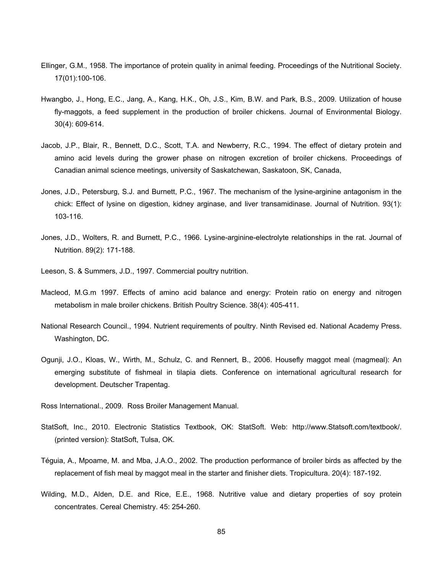- Ellinger, G.M., 1958. The importance of protein quality in animal feeding. Proceedings of the Nutritional Society. 17(01):100-106.
- Hwangbo, J., Hong, E.C., Jang, A., Kang, H.K., Oh, J.S., Kim, B.W. and Park, B.S., 2009. Utilization of house fly-maggots, a feed supplement in the production of broiler chickens. Journal of Environmental Biology. 30(4): 609-614.
- Jacob, J.P., Blair, R., Bennett, D.C., Scott, T.A. and Newberry, R.C., 1994. The effect of dietary protein and amino acid levels during the grower phase on nitrogen excretion of broiler chickens. Proceedings of Canadian animal science meetings, university of Saskatchewan, Saskatoon, SK, Canada,
- Jones, J.D., Petersburg, S.J. and Burnett, P.C., 1967. The mechanism of the lysine-arginine antagonism in the chick: Effect of lysine on digestion, kidney arginase, and liver transamidinase. Journal of Nutrition. 93(1): 103-116.
- Jones, J.D., Wolters, R. and Burnett, P.C., 1966. Lysine-arginine-electrolyte relationships in the rat. Journal of Nutrition. 89(2): 171-188.
- Leeson, S. & Summers, J.D., 1997. Commercial poultry nutrition.
- Macleod, M.G.m 1997. Effects of amino acid balance and energy: Protein ratio on energy and nitrogen metabolism in male broiler chickens. British Poultry Science. 38(4): 405-411.
- National Research Council., 1994. Nutrient requirements of poultry. Ninth Revised ed. National Academy Press. Washington, DC.
- Ogunji, J.O., Kloas, W., Wirth, M., Schulz, C. and Rennert, B., 2006. Housefly maggot meal (magmeal): An emerging substitute of fishmeal in tilapia diets. Conference on international agricultural research for development. Deutscher Trapentag.
- Ross International., 2009. Ross Broiler Management Manual.
- StatSoft, Inc., 2010. Electronic Statistics Textbook, OK: StatSoft. Web: http://www.Statsoft.com/textbook/. (printed version): StatSoft, Tulsa, OK.
- Téguia, A., Mpoame, M. and Mba, J.A.O., 2002. The production performance of broiler birds as affected by the replacement of fish meal by maggot meal in the starter and finisher diets. Tropicultura. 20(4): 187-192.
- Wilding, M.D., Alden, D.E. and Rice, E.E., 1968. Nutritive value and dietary properties of soy protein concentrates. Cereal Chemistry. 45: 254-260.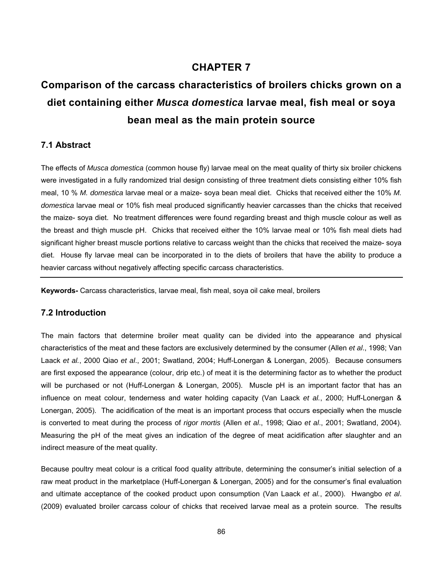# **CHAPTER 7**

# **Comparison of the carcass characteristics of broilers chicks grown on a diet containing either** *Musca domestica* **larvae meal, fish meal or soya bean meal as the main protein source**

# **7.1 Abstract**

The effects of *Musca domestica* (common house fly) larvae meal on the meat quality of thirty six broiler chickens were investigated in a fully randomized trial design consisting of three treatment diets consisting either 10% fish meal, 10 % *M. domestica* larvae meal or a maize- soya bean meal diet. Chicks that received either the 10% *M. domestica* larvae meal or 10% fish meal produced significantly heavier carcasses than the chicks that received the maize- soya diet. No treatment differences were found regarding breast and thigh muscle colour as well as the breast and thigh muscle pH. Chicks that received either the 10% larvae meal or 10% fish meal diets had significant higher breast muscle portions relative to carcass weight than the chicks that received the maize- soya diet. House fly larvae meal can be incorporated in to the diets of broilers that have the ability to produce a heavier carcass without negatively affecting specific carcass characteristics.

**Keywords-** Carcass characteristics, larvae meal, fish meal, soya oil cake meal, broilers

# **7.2 Introduction**

The main factors that determine broiler meat quality can be divided into the appearance and physical characteristics of the meat and these factors are exclusively determined by the consumer (Allen *et al*., 1998; Van Laack *et al.*, 2000 Qiao *et al*., 2001; Swatland, 2004; Huff-Lonergan & Lonergan, 2005). Because consumers are first exposed the appearance (colour, drip etc.) of meat it is the determining factor as to whether the product will be purchased or not (Huff-Lonergan & Lonergan, 2005). Muscle pH is an important factor that has an influence on meat colour, tenderness and water holding capacity (Van Laack *et al.*, 2000; Huff-Lonergan & Lonergan, 2005). The acidification of the meat is an important process that occurs especially when the muscle is converted to meat during the process of *rigor mortis* (Allen *et al*., 1998; Qiao *et al*., 2001; Swatland, 2004). Measuring the pH of the meat gives an indication of the degree of meat acidification after slaughter and an indirect measure of the meat quality.

Because poultry meat colour is a critical food quality attribute, determining the consumer's initial selection of a raw meat product in the marketplace (Huff-Lonergan & Lonergan, 2005) and for the consumer's final evaluation and ultimate acceptance of the cooked product upon consumption (Van Laack *et al.*, 2000). Hwangbo *et al*. (2009) evaluated broiler carcass colour of chicks that received larvae meal as a protein source. The results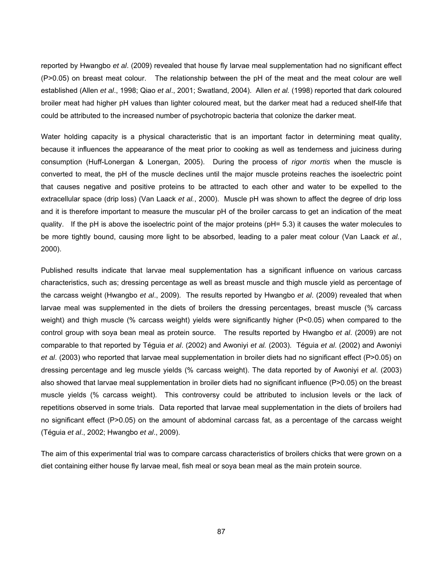reported by Hwangbo *et al*. (2009) revealed that house fly larvae meal supplementation had no significant effect (P>0.05) on breast meat colour. The relationship between the pH of the meat and the meat colour are well established (Allen *et al*., 1998; Qiao *et al*., 2001; Swatland, 2004). Allen *et al.* (1998) reported that dark coloured broiler meat had higher pH values than lighter coloured meat, but the darker meat had a reduced shelf-life that could be attributed to the increased number of psychotropic bacteria that colonize the darker meat.

Water holding capacity is a physical characteristic that is an important factor in determining meat quality, because it influences the appearance of the meat prior to cooking as well as tenderness and juiciness during consumption (Huff-Lonergan & Lonergan, 2005). During the process of *rigor mortis* when the muscle is converted to meat, the pH of the muscle declines until the major muscle proteins reaches the isoelectric point that causes negative and positive proteins to be attracted to each other and water to be expelled to the extracellular space (drip loss) (Van Laack *et al.*, 2000). Muscle pH was shown to affect the degree of drip loss and it is therefore important to measure the muscular pH of the broiler carcass to get an indication of the meat quality. If the pH is above the isoelectric point of the major proteins (pH= 5.3) it causes the water molecules to be more tightly bound, causing more light to be absorbed, leading to a paler meat colour (Van Laack *et al.*, 2000).

Published results indicate that larvae meal supplementation has a significant influence on various carcass characteristics, such as; dressing percentage as well as breast muscle and thigh muscle yield as percentage of the carcass weight (Hwangbo *et al*., 2009). The results reported by Hwangbo *et al*. (2009) revealed that when larvae meal was supplemented in the diets of broilers the dressing percentages, breast muscle (% carcass weight) and thigh muscle (% carcass weight) yields were significantly higher (P<0.05) when compared to the control group with soya bean meal as protein source. The results reported by Hwangbo *et al*. (2009) are not comparable to that reported by Téguia *et al*. (2002) and Awoniyi *et al.* (2003). Téguia *et al*. (2002) and Awoniyi *et al*. (2003) who reported that larvae meal supplementation in broiler diets had no significant effect (P>0.05) on dressing percentage and leg muscle yields (% carcass weight). The data reported by of Awoniyi *et al*. (2003) also showed that larvae meal supplementation in broiler diets had no significant influence (P>0.05) on the breast muscle yields (% carcass weight). This controversy could be attributed to inclusion levels or the lack of repetitions observed in some trials. Data reported that larvae meal supplementation in the diets of broilers had no significant effect (P>0.05) on the amount of abdominal carcass fat, as a percentage of the carcass weight (Téguia *et al*., 2002; Hwangbo *et al*., 2009).

The aim of this experimental trial was to compare carcass characteristics of broilers chicks that were grown on a diet containing either house fly larvae meal, fish meal or soya bean meal as the main protein source.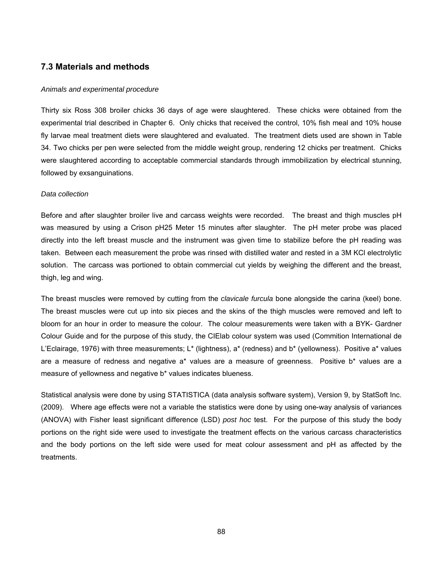## **7.3 Materials and methods**

#### *Animals and experimental procedure*

Thirty six Ross 308 broiler chicks 36 days of age were slaughtered. These chicks were obtained from the experimental trial described in Chapter 6. Only chicks that received the control, 10% fish meal and 10% house fly larvae meal treatment diets were slaughtered and evaluated. The treatment diets used are shown in Table 34. Two chicks per pen were selected from the middle weight group, rendering 12 chicks per treatment. Chicks were slaughtered according to acceptable commercial standards through immobilization by electrical stunning, followed by exsanguinations.

#### *Data collection*

Before and after slaughter broiler live and carcass weights were recorded. The breast and thigh muscles pH was measured by using a Crison pH25 Meter 15 minutes after slaughter. The pH meter probe was placed directly into the left breast muscle and the instrument was given time to stabilize before the pH reading was taken. Between each measurement the probe was rinsed with distilled water and rested in a 3M KCl electrolytic solution. The carcass was portioned to obtain commercial cut yields by weighing the different and the breast, thigh, leg and wing.

The breast muscles were removed by cutting from the *clavicale furcula* bone alongside the carina (keel) bone. The breast muscles were cut up into six pieces and the skins of the thigh muscles were removed and left to bloom for an hour in order to measure the colour. The colour measurements were taken with a BYK- Gardner Colour Guide and for the purpose of this study, the CIElab colour system was used (Commition International de L'Eclairage, 1976) with three measurements; L\* (lightness), a\* (redness) and b\* (yellowness). Positive a\* values are a measure of redness and negative a\* values are a measure of greenness. Positive b\* values are a measure of yellowness and negative b\* values indicates blueness.

Statistical analysis were done by using STATISTICA (data analysis software system), Version 9, by StatSoft Inc. (2009). Where age effects were not a variable the statistics were done by using one-way analysis of variances (ANOVA) with Fisher least significant difference (LSD) *post hoc* test. For the purpose of this study the body portions on the right side were used to investigate the treatment effects on the various carcass characteristics and the body portions on the left side were used for meat colour assessment and pH as affected by the treatments.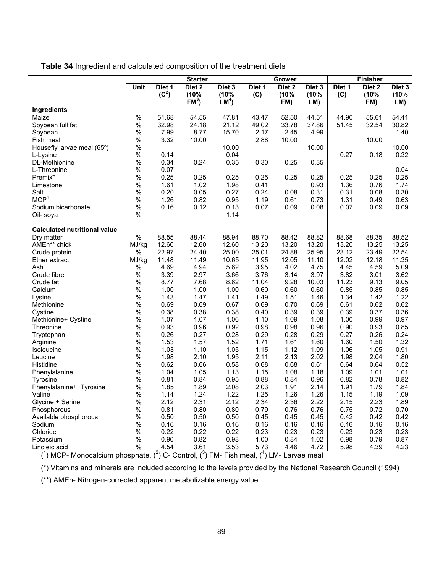**Table 34** Ingredient and calculated composition of the treatment diets

| Unit<br>Diet 1<br>Diet <sub>2</sub><br>Diet 3<br>Diet 1<br>Diet <sub>2</sub><br>Diet 3<br>Diet 1<br>Diet 2<br>Diet 3<br>$(C^2)$<br>(10%<br>(10%<br>(10%<br>(C)<br>(10%<br>(10%<br>(C)<br>(10%<br>FM <sup>3</sup><br>LM <sup>4</sup><br>FM)<br>FM)<br>LM)<br>LM)<br>Ingredients<br>Maize<br>$\%$<br>51.68<br>54.55<br>47.81<br>43.47<br>52.50<br>44.51<br>44.90<br>55.61<br>54.41<br>$\%$<br>21.12<br>33.78<br>30.82<br>32.98<br>24.18<br>49.02<br>37.86<br>51.45<br>32.54<br>Soybean full fat<br>$\%$<br>7.99<br>8.77<br>2.17<br>2.45<br>15.70<br>4.99<br>1.40<br>Soybean<br>$\%$<br>3.32<br>10.00<br>2.88<br>10.00<br>10.00<br>Fish meal<br>$\%$<br>10.00<br>10.00<br>10.00<br>Housefly larvae meal (65°)<br>$\%$<br>0.04<br>0.32<br>0.14<br>0.27<br>0.18<br>L-Lysine<br>$\%$<br>0.34<br>0.24<br>0.35<br>0.30<br>0.25<br>0.35<br>DL-Methionine<br>$\%$<br>0.07<br>L-Threonine<br>0.04<br>$\%$<br>0.25<br>0.25<br>0.25<br>0.25<br>Premix*<br>0.25<br>0.25<br>0.25<br>0.25<br>0.25<br>$\%$<br>1.61<br>1.02<br>1.98<br>0.41<br>0.93<br>1.36<br>0.76<br>1.74<br>Limestone<br>$\%$<br>0.20<br>0.05<br>0.24<br>0.31<br>0.27<br>0.08<br>0.31<br>0.08<br>0.30<br>Salt<br>MCP <sup>1</sup><br>$\%$<br>1.26<br>0.82<br>1.31<br>0.95<br>1.19<br>0.61<br>0.73<br>0.49<br>0.63<br>$\%$<br>0.16<br>0.07<br>0.12<br>0.07<br>0.09<br>0.08<br>0.09<br>0.09<br>Sodium bicarbonate<br>0.13<br>$\%$<br>1.14<br>Oil- soya<br><b>Calculated nutritional value</b><br>$\%$<br>88.55<br>88.44<br>88.94<br>88.70<br>88.42<br>88.82<br>88.68<br>88.35<br>88.52<br>Dry matter<br>12.60<br>12.60<br>12.60<br>13.20<br>13.20<br>13.20<br>13.20<br>13.25<br>AMEn** chick<br>13.25<br>MJ/kg<br>22.97<br>25.01<br>22.54<br>%<br>24.40<br>25.00<br>24.88<br>25.95<br>23.12<br>23.49<br>Crude protein<br>MJ/kg<br>11.48<br>11.49<br>10.65<br>11.95<br>12.05<br>12.02<br>12.18<br>11.35<br>Ether extract<br>11.10<br>$\%$<br>4.94<br>5.62<br>3.95<br>4.02<br>4.75<br>4.45<br>4.59<br>5.09<br>Ash<br>4.69<br>$\%$<br>3.39<br>2.97<br>3.76<br>3.14<br>3.82<br>3.62<br>Crude fibre<br>3.66<br>3.97<br>3.01<br>$\%$<br>8.77<br>7.68<br>11.04<br>9.28<br>10.03<br>11.23<br>9.05<br>8.62<br>9.13<br>Crude fat<br>$\%$<br>1.00<br>1.00<br>1.00<br>0.60<br>0.60<br>0.60<br>0.85<br>0.85<br>0.85<br>Calcium<br>$\%$<br>1.43<br>1.47<br>1.51<br>1.34<br>1.42<br>1.22<br>1.41<br>1.49<br>1.46<br>Lysine<br>$\%$<br>0.69<br>0.69<br>0.69<br>0.70<br>0.69<br>0.62<br>0.62<br>0.67<br>0.61<br>Methionine<br>$\%$<br>0.38<br>0.38<br>0.38<br>0.40<br>0.39<br>0.39<br>0.39<br>0.37<br>0.36<br>Cystine<br>$\%$<br>1.07<br>1.07<br>1.09<br>1.08<br>1.06<br>1.10<br>1.00<br>0.99<br>0.97<br>Methionine+ Cystine<br>$\%$<br>0.93<br>0.96<br>0.98<br>0.92<br>0.98<br>0.96<br>0.90<br>0.93<br>0.85<br>Threonine<br>$\%$<br>0.26<br>0.27<br>0.28<br>0.29<br>0.28<br>0.29<br>0.27<br>0.26<br>0.24<br>Tryptophan<br>$\%$<br>1.53<br>1.57<br>1.71<br>1.61<br>1.32<br>Arginine<br>1.52<br>1.60<br>1.60<br>1.50<br>$\%$<br>1.03<br>1.10<br>1.15<br>1.12<br>1.09<br>1.06<br>1.05<br>1.05<br>0.91<br>Isoleucine<br>$\%$<br>1.98<br>2.10<br>2.13<br>2.02<br>1.95<br>2.11<br>1.98<br>2.04<br>1.80<br>Leucine<br>$\%$<br>0.62<br>0.66<br>0.58<br>0.68<br>0.68<br>0.61<br>0.64<br>0.64<br>0.52<br>Histidine<br>$\%$<br>1.08<br>1.04<br>1.05<br>1.13<br>1.15<br>1.18<br>1.09<br>1.01<br>1.01<br>Phenylalanine<br>$\%$<br>0.81<br>0.84<br>0.88<br>0.84<br>0.82<br>0.95<br>0.96<br>0.78<br>0.82<br>Tyrosine<br>$\%$<br>1.85<br>1.89<br>2.03<br>1.91<br>1.91<br>1.84<br>2.08<br>2.14<br>1.79<br>Phenylalanine+ Tyrosine |      | <b>Starter</b> |  | Grower |  | <b>Finisher</b> |  |
|-------------------------------------------------------------------------------------------------------------------------------------------------------------------------------------------------------------------------------------------------------------------------------------------------------------------------------------------------------------------------------------------------------------------------------------------------------------------------------------------------------------------------------------------------------------------------------------------------------------------------------------------------------------------------------------------------------------------------------------------------------------------------------------------------------------------------------------------------------------------------------------------------------------------------------------------------------------------------------------------------------------------------------------------------------------------------------------------------------------------------------------------------------------------------------------------------------------------------------------------------------------------------------------------------------------------------------------------------------------------------------------------------------------------------------------------------------------------------------------------------------------------------------------------------------------------------------------------------------------------------------------------------------------------------------------------------------------------------------------------------------------------------------------------------------------------------------------------------------------------------------------------------------------------------------------------------------------------------------------------------------------------------------------------------------------------------------------------------------------------------------------------------------------------------------------------------------------------------------------------------------------------------------------------------------------------------------------------------------------------------------------------------------------------------------------------------------------------------------------------------------------------------------------------------------------------------------------------------------------------------------------------------------------------------------------------------------------------------------------------------------------------------------------------------------------------------------------------------------------------------------------------------------------------------------------------------------------------------------------------------------------------------------------------------------------------------------------------------------------------------------------------------------------------------------------------------------------------------------------------------------------------------------------------------------------------------------------------------------------------------------------------------------------------------------------------------------------------------------------------------------------------------------------------------|------|----------------|--|--------|--|-----------------|--|
|                                                                                                                                                                                                                                                                                                                                                                                                                                                                                                                                                                                                                                                                                                                                                                                                                                                                                                                                                                                                                                                                                                                                                                                                                                                                                                                                                                                                                                                                                                                                                                                                                                                                                                                                                                                                                                                                                                                                                                                                                                                                                                                                                                                                                                                                                                                                                                                                                                                                                                                                                                                                                                                                                                                                                                                                                                                                                                                                                                                                                                                                                                                                                                                                                                                                                                                                                                                                                                                                                                                                                 |      |                |  |        |  |                 |  |
|                                                                                                                                                                                                                                                                                                                                                                                                                                                                                                                                                                                                                                                                                                                                                                                                                                                                                                                                                                                                                                                                                                                                                                                                                                                                                                                                                                                                                                                                                                                                                                                                                                                                                                                                                                                                                                                                                                                                                                                                                                                                                                                                                                                                                                                                                                                                                                                                                                                                                                                                                                                                                                                                                                                                                                                                                                                                                                                                                                                                                                                                                                                                                                                                                                                                                                                                                                                                                                                                                                                                                 |      |                |  |        |  |                 |  |
|                                                                                                                                                                                                                                                                                                                                                                                                                                                                                                                                                                                                                                                                                                                                                                                                                                                                                                                                                                                                                                                                                                                                                                                                                                                                                                                                                                                                                                                                                                                                                                                                                                                                                                                                                                                                                                                                                                                                                                                                                                                                                                                                                                                                                                                                                                                                                                                                                                                                                                                                                                                                                                                                                                                                                                                                                                                                                                                                                                                                                                                                                                                                                                                                                                                                                                                                                                                                                                                                                                                                                 |      |                |  |        |  |                 |  |
|                                                                                                                                                                                                                                                                                                                                                                                                                                                                                                                                                                                                                                                                                                                                                                                                                                                                                                                                                                                                                                                                                                                                                                                                                                                                                                                                                                                                                                                                                                                                                                                                                                                                                                                                                                                                                                                                                                                                                                                                                                                                                                                                                                                                                                                                                                                                                                                                                                                                                                                                                                                                                                                                                                                                                                                                                                                                                                                                                                                                                                                                                                                                                                                                                                                                                                                                                                                                                                                                                                                                                 |      |                |  |        |  |                 |  |
|                                                                                                                                                                                                                                                                                                                                                                                                                                                                                                                                                                                                                                                                                                                                                                                                                                                                                                                                                                                                                                                                                                                                                                                                                                                                                                                                                                                                                                                                                                                                                                                                                                                                                                                                                                                                                                                                                                                                                                                                                                                                                                                                                                                                                                                                                                                                                                                                                                                                                                                                                                                                                                                                                                                                                                                                                                                                                                                                                                                                                                                                                                                                                                                                                                                                                                                                                                                                                                                                                                                                                 |      |                |  |        |  |                 |  |
|                                                                                                                                                                                                                                                                                                                                                                                                                                                                                                                                                                                                                                                                                                                                                                                                                                                                                                                                                                                                                                                                                                                                                                                                                                                                                                                                                                                                                                                                                                                                                                                                                                                                                                                                                                                                                                                                                                                                                                                                                                                                                                                                                                                                                                                                                                                                                                                                                                                                                                                                                                                                                                                                                                                                                                                                                                                                                                                                                                                                                                                                                                                                                                                                                                                                                                                                                                                                                                                                                                                                                 |      |                |  |        |  |                 |  |
|                                                                                                                                                                                                                                                                                                                                                                                                                                                                                                                                                                                                                                                                                                                                                                                                                                                                                                                                                                                                                                                                                                                                                                                                                                                                                                                                                                                                                                                                                                                                                                                                                                                                                                                                                                                                                                                                                                                                                                                                                                                                                                                                                                                                                                                                                                                                                                                                                                                                                                                                                                                                                                                                                                                                                                                                                                                                                                                                                                                                                                                                                                                                                                                                                                                                                                                                                                                                                                                                                                                                                 |      |                |  |        |  |                 |  |
|                                                                                                                                                                                                                                                                                                                                                                                                                                                                                                                                                                                                                                                                                                                                                                                                                                                                                                                                                                                                                                                                                                                                                                                                                                                                                                                                                                                                                                                                                                                                                                                                                                                                                                                                                                                                                                                                                                                                                                                                                                                                                                                                                                                                                                                                                                                                                                                                                                                                                                                                                                                                                                                                                                                                                                                                                                                                                                                                                                                                                                                                                                                                                                                                                                                                                                                                                                                                                                                                                                                                                 |      |                |  |        |  |                 |  |
|                                                                                                                                                                                                                                                                                                                                                                                                                                                                                                                                                                                                                                                                                                                                                                                                                                                                                                                                                                                                                                                                                                                                                                                                                                                                                                                                                                                                                                                                                                                                                                                                                                                                                                                                                                                                                                                                                                                                                                                                                                                                                                                                                                                                                                                                                                                                                                                                                                                                                                                                                                                                                                                                                                                                                                                                                                                                                                                                                                                                                                                                                                                                                                                                                                                                                                                                                                                                                                                                                                                                                 |      |                |  |        |  |                 |  |
|                                                                                                                                                                                                                                                                                                                                                                                                                                                                                                                                                                                                                                                                                                                                                                                                                                                                                                                                                                                                                                                                                                                                                                                                                                                                                                                                                                                                                                                                                                                                                                                                                                                                                                                                                                                                                                                                                                                                                                                                                                                                                                                                                                                                                                                                                                                                                                                                                                                                                                                                                                                                                                                                                                                                                                                                                                                                                                                                                                                                                                                                                                                                                                                                                                                                                                                                                                                                                                                                                                                                                 |      |                |  |        |  |                 |  |
|                                                                                                                                                                                                                                                                                                                                                                                                                                                                                                                                                                                                                                                                                                                                                                                                                                                                                                                                                                                                                                                                                                                                                                                                                                                                                                                                                                                                                                                                                                                                                                                                                                                                                                                                                                                                                                                                                                                                                                                                                                                                                                                                                                                                                                                                                                                                                                                                                                                                                                                                                                                                                                                                                                                                                                                                                                                                                                                                                                                                                                                                                                                                                                                                                                                                                                                                                                                                                                                                                                                                                 |      |                |  |        |  |                 |  |
|                                                                                                                                                                                                                                                                                                                                                                                                                                                                                                                                                                                                                                                                                                                                                                                                                                                                                                                                                                                                                                                                                                                                                                                                                                                                                                                                                                                                                                                                                                                                                                                                                                                                                                                                                                                                                                                                                                                                                                                                                                                                                                                                                                                                                                                                                                                                                                                                                                                                                                                                                                                                                                                                                                                                                                                                                                                                                                                                                                                                                                                                                                                                                                                                                                                                                                                                                                                                                                                                                                                                                 |      |                |  |        |  |                 |  |
|                                                                                                                                                                                                                                                                                                                                                                                                                                                                                                                                                                                                                                                                                                                                                                                                                                                                                                                                                                                                                                                                                                                                                                                                                                                                                                                                                                                                                                                                                                                                                                                                                                                                                                                                                                                                                                                                                                                                                                                                                                                                                                                                                                                                                                                                                                                                                                                                                                                                                                                                                                                                                                                                                                                                                                                                                                                                                                                                                                                                                                                                                                                                                                                                                                                                                                                                                                                                                                                                                                                                                 |      |                |  |        |  |                 |  |
|                                                                                                                                                                                                                                                                                                                                                                                                                                                                                                                                                                                                                                                                                                                                                                                                                                                                                                                                                                                                                                                                                                                                                                                                                                                                                                                                                                                                                                                                                                                                                                                                                                                                                                                                                                                                                                                                                                                                                                                                                                                                                                                                                                                                                                                                                                                                                                                                                                                                                                                                                                                                                                                                                                                                                                                                                                                                                                                                                                                                                                                                                                                                                                                                                                                                                                                                                                                                                                                                                                                                                 |      |                |  |        |  |                 |  |
|                                                                                                                                                                                                                                                                                                                                                                                                                                                                                                                                                                                                                                                                                                                                                                                                                                                                                                                                                                                                                                                                                                                                                                                                                                                                                                                                                                                                                                                                                                                                                                                                                                                                                                                                                                                                                                                                                                                                                                                                                                                                                                                                                                                                                                                                                                                                                                                                                                                                                                                                                                                                                                                                                                                                                                                                                                                                                                                                                                                                                                                                                                                                                                                                                                                                                                                                                                                                                                                                                                                                                 |      |                |  |        |  |                 |  |
|                                                                                                                                                                                                                                                                                                                                                                                                                                                                                                                                                                                                                                                                                                                                                                                                                                                                                                                                                                                                                                                                                                                                                                                                                                                                                                                                                                                                                                                                                                                                                                                                                                                                                                                                                                                                                                                                                                                                                                                                                                                                                                                                                                                                                                                                                                                                                                                                                                                                                                                                                                                                                                                                                                                                                                                                                                                                                                                                                                                                                                                                                                                                                                                                                                                                                                                                                                                                                                                                                                                                                 |      |                |  |        |  |                 |  |
|                                                                                                                                                                                                                                                                                                                                                                                                                                                                                                                                                                                                                                                                                                                                                                                                                                                                                                                                                                                                                                                                                                                                                                                                                                                                                                                                                                                                                                                                                                                                                                                                                                                                                                                                                                                                                                                                                                                                                                                                                                                                                                                                                                                                                                                                                                                                                                                                                                                                                                                                                                                                                                                                                                                                                                                                                                                                                                                                                                                                                                                                                                                                                                                                                                                                                                                                                                                                                                                                                                                                                 |      |                |  |        |  |                 |  |
|                                                                                                                                                                                                                                                                                                                                                                                                                                                                                                                                                                                                                                                                                                                                                                                                                                                                                                                                                                                                                                                                                                                                                                                                                                                                                                                                                                                                                                                                                                                                                                                                                                                                                                                                                                                                                                                                                                                                                                                                                                                                                                                                                                                                                                                                                                                                                                                                                                                                                                                                                                                                                                                                                                                                                                                                                                                                                                                                                                                                                                                                                                                                                                                                                                                                                                                                                                                                                                                                                                                                                 |      |                |  |        |  |                 |  |
|                                                                                                                                                                                                                                                                                                                                                                                                                                                                                                                                                                                                                                                                                                                                                                                                                                                                                                                                                                                                                                                                                                                                                                                                                                                                                                                                                                                                                                                                                                                                                                                                                                                                                                                                                                                                                                                                                                                                                                                                                                                                                                                                                                                                                                                                                                                                                                                                                                                                                                                                                                                                                                                                                                                                                                                                                                                                                                                                                                                                                                                                                                                                                                                                                                                                                                                                                                                                                                                                                                                                                 |      |                |  |        |  |                 |  |
|                                                                                                                                                                                                                                                                                                                                                                                                                                                                                                                                                                                                                                                                                                                                                                                                                                                                                                                                                                                                                                                                                                                                                                                                                                                                                                                                                                                                                                                                                                                                                                                                                                                                                                                                                                                                                                                                                                                                                                                                                                                                                                                                                                                                                                                                                                                                                                                                                                                                                                                                                                                                                                                                                                                                                                                                                                                                                                                                                                                                                                                                                                                                                                                                                                                                                                                                                                                                                                                                                                                                                 |      |                |  |        |  |                 |  |
|                                                                                                                                                                                                                                                                                                                                                                                                                                                                                                                                                                                                                                                                                                                                                                                                                                                                                                                                                                                                                                                                                                                                                                                                                                                                                                                                                                                                                                                                                                                                                                                                                                                                                                                                                                                                                                                                                                                                                                                                                                                                                                                                                                                                                                                                                                                                                                                                                                                                                                                                                                                                                                                                                                                                                                                                                                                                                                                                                                                                                                                                                                                                                                                                                                                                                                                                                                                                                                                                                                                                                 |      |                |  |        |  |                 |  |
|                                                                                                                                                                                                                                                                                                                                                                                                                                                                                                                                                                                                                                                                                                                                                                                                                                                                                                                                                                                                                                                                                                                                                                                                                                                                                                                                                                                                                                                                                                                                                                                                                                                                                                                                                                                                                                                                                                                                                                                                                                                                                                                                                                                                                                                                                                                                                                                                                                                                                                                                                                                                                                                                                                                                                                                                                                                                                                                                                                                                                                                                                                                                                                                                                                                                                                                                                                                                                                                                                                                                                 |      |                |  |        |  |                 |  |
|                                                                                                                                                                                                                                                                                                                                                                                                                                                                                                                                                                                                                                                                                                                                                                                                                                                                                                                                                                                                                                                                                                                                                                                                                                                                                                                                                                                                                                                                                                                                                                                                                                                                                                                                                                                                                                                                                                                                                                                                                                                                                                                                                                                                                                                                                                                                                                                                                                                                                                                                                                                                                                                                                                                                                                                                                                                                                                                                                                                                                                                                                                                                                                                                                                                                                                                                                                                                                                                                                                                                                 |      |                |  |        |  |                 |  |
|                                                                                                                                                                                                                                                                                                                                                                                                                                                                                                                                                                                                                                                                                                                                                                                                                                                                                                                                                                                                                                                                                                                                                                                                                                                                                                                                                                                                                                                                                                                                                                                                                                                                                                                                                                                                                                                                                                                                                                                                                                                                                                                                                                                                                                                                                                                                                                                                                                                                                                                                                                                                                                                                                                                                                                                                                                                                                                                                                                                                                                                                                                                                                                                                                                                                                                                                                                                                                                                                                                                                                 |      |                |  |        |  |                 |  |
|                                                                                                                                                                                                                                                                                                                                                                                                                                                                                                                                                                                                                                                                                                                                                                                                                                                                                                                                                                                                                                                                                                                                                                                                                                                                                                                                                                                                                                                                                                                                                                                                                                                                                                                                                                                                                                                                                                                                                                                                                                                                                                                                                                                                                                                                                                                                                                                                                                                                                                                                                                                                                                                                                                                                                                                                                                                                                                                                                                                                                                                                                                                                                                                                                                                                                                                                                                                                                                                                                                                                                 |      |                |  |        |  |                 |  |
|                                                                                                                                                                                                                                                                                                                                                                                                                                                                                                                                                                                                                                                                                                                                                                                                                                                                                                                                                                                                                                                                                                                                                                                                                                                                                                                                                                                                                                                                                                                                                                                                                                                                                                                                                                                                                                                                                                                                                                                                                                                                                                                                                                                                                                                                                                                                                                                                                                                                                                                                                                                                                                                                                                                                                                                                                                                                                                                                                                                                                                                                                                                                                                                                                                                                                                                                                                                                                                                                                                                                                 |      |                |  |        |  |                 |  |
|                                                                                                                                                                                                                                                                                                                                                                                                                                                                                                                                                                                                                                                                                                                                                                                                                                                                                                                                                                                                                                                                                                                                                                                                                                                                                                                                                                                                                                                                                                                                                                                                                                                                                                                                                                                                                                                                                                                                                                                                                                                                                                                                                                                                                                                                                                                                                                                                                                                                                                                                                                                                                                                                                                                                                                                                                                                                                                                                                                                                                                                                                                                                                                                                                                                                                                                                                                                                                                                                                                                                                 |      |                |  |        |  |                 |  |
|                                                                                                                                                                                                                                                                                                                                                                                                                                                                                                                                                                                                                                                                                                                                                                                                                                                                                                                                                                                                                                                                                                                                                                                                                                                                                                                                                                                                                                                                                                                                                                                                                                                                                                                                                                                                                                                                                                                                                                                                                                                                                                                                                                                                                                                                                                                                                                                                                                                                                                                                                                                                                                                                                                                                                                                                                                                                                                                                                                                                                                                                                                                                                                                                                                                                                                                                                                                                                                                                                                                                                 |      |                |  |        |  |                 |  |
|                                                                                                                                                                                                                                                                                                                                                                                                                                                                                                                                                                                                                                                                                                                                                                                                                                                                                                                                                                                                                                                                                                                                                                                                                                                                                                                                                                                                                                                                                                                                                                                                                                                                                                                                                                                                                                                                                                                                                                                                                                                                                                                                                                                                                                                                                                                                                                                                                                                                                                                                                                                                                                                                                                                                                                                                                                                                                                                                                                                                                                                                                                                                                                                                                                                                                                                                                                                                                                                                                                                                                 |      |                |  |        |  |                 |  |
|                                                                                                                                                                                                                                                                                                                                                                                                                                                                                                                                                                                                                                                                                                                                                                                                                                                                                                                                                                                                                                                                                                                                                                                                                                                                                                                                                                                                                                                                                                                                                                                                                                                                                                                                                                                                                                                                                                                                                                                                                                                                                                                                                                                                                                                                                                                                                                                                                                                                                                                                                                                                                                                                                                                                                                                                                                                                                                                                                                                                                                                                                                                                                                                                                                                                                                                                                                                                                                                                                                                                                 |      |                |  |        |  |                 |  |
|                                                                                                                                                                                                                                                                                                                                                                                                                                                                                                                                                                                                                                                                                                                                                                                                                                                                                                                                                                                                                                                                                                                                                                                                                                                                                                                                                                                                                                                                                                                                                                                                                                                                                                                                                                                                                                                                                                                                                                                                                                                                                                                                                                                                                                                                                                                                                                                                                                                                                                                                                                                                                                                                                                                                                                                                                                                                                                                                                                                                                                                                                                                                                                                                                                                                                                                                                                                                                                                                                                                                                 |      |                |  |        |  |                 |  |
|                                                                                                                                                                                                                                                                                                                                                                                                                                                                                                                                                                                                                                                                                                                                                                                                                                                                                                                                                                                                                                                                                                                                                                                                                                                                                                                                                                                                                                                                                                                                                                                                                                                                                                                                                                                                                                                                                                                                                                                                                                                                                                                                                                                                                                                                                                                                                                                                                                                                                                                                                                                                                                                                                                                                                                                                                                                                                                                                                                                                                                                                                                                                                                                                                                                                                                                                                                                                                                                                                                                                                 |      |                |  |        |  |                 |  |
|                                                                                                                                                                                                                                                                                                                                                                                                                                                                                                                                                                                                                                                                                                                                                                                                                                                                                                                                                                                                                                                                                                                                                                                                                                                                                                                                                                                                                                                                                                                                                                                                                                                                                                                                                                                                                                                                                                                                                                                                                                                                                                                                                                                                                                                                                                                                                                                                                                                                                                                                                                                                                                                                                                                                                                                                                                                                                                                                                                                                                                                                                                                                                                                                                                                                                                                                                                                                                                                                                                                                                 |      |                |  |        |  |                 |  |
|                                                                                                                                                                                                                                                                                                                                                                                                                                                                                                                                                                                                                                                                                                                                                                                                                                                                                                                                                                                                                                                                                                                                                                                                                                                                                                                                                                                                                                                                                                                                                                                                                                                                                                                                                                                                                                                                                                                                                                                                                                                                                                                                                                                                                                                                                                                                                                                                                                                                                                                                                                                                                                                                                                                                                                                                                                                                                                                                                                                                                                                                                                                                                                                                                                                                                                                                                                                                                                                                                                                                                 |      |                |  |        |  |                 |  |
|                                                                                                                                                                                                                                                                                                                                                                                                                                                                                                                                                                                                                                                                                                                                                                                                                                                                                                                                                                                                                                                                                                                                                                                                                                                                                                                                                                                                                                                                                                                                                                                                                                                                                                                                                                                                                                                                                                                                                                                                                                                                                                                                                                                                                                                                                                                                                                                                                                                                                                                                                                                                                                                                                                                                                                                                                                                                                                                                                                                                                                                                                                                                                                                                                                                                                                                                                                                                                                                                                                                                                 |      |                |  |        |  |                 |  |
|                                                                                                                                                                                                                                                                                                                                                                                                                                                                                                                                                                                                                                                                                                                                                                                                                                                                                                                                                                                                                                                                                                                                                                                                                                                                                                                                                                                                                                                                                                                                                                                                                                                                                                                                                                                                                                                                                                                                                                                                                                                                                                                                                                                                                                                                                                                                                                                                                                                                                                                                                                                                                                                                                                                                                                                                                                                                                                                                                                                                                                                                                                                                                                                                                                                                                                                                                                                                                                                                                                                                                 |      |                |  |        |  |                 |  |
|                                                                                                                                                                                                                                                                                                                                                                                                                                                                                                                                                                                                                                                                                                                                                                                                                                                                                                                                                                                                                                                                                                                                                                                                                                                                                                                                                                                                                                                                                                                                                                                                                                                                                                                                                                                                                                                                                                                                                                                                                                                                                                                                                                                                                                                                                                                                                                                                                                                                                                                                                                                                                                                                                                                                                                                                                                                                                                                                                                                                                                                                                                                                                                                                                                                                                                                                                                                                                                                                                                                                                 |      |                |  |        |  |                 |  |
|                                                                                                                                                                                                                                                                                                                                                                                                                                                                                                                                                                                                                                                                                                                                                                                                                                                                                                                                                                                                                                                                                                                                                                                                                                                                                                                                                                                                                                                                                                                                                                                                                                                                                                                                                                                                                                                                                                                                                                                                                                                                                                                                                                                                                                                                                                                                                                                                                                                                                                                                                                                                                                                                                                                                                                                                                                                                                                                                                                                                                                                                                                                                                                                                                                                                                                                                                                                                                                                                                                                                                 |      |                |  |        |  |                 |  |
|                                                                                                                                                                                                                                                                                                                                                                                                                                                                                                                                                                                                                                                                                                                                                                                                                                                                                                                                                                                                                                                                                                                                                                                                                                                                                                                                                                                                                                                                                                                                                                                                                                                                                                                                                                                                                                                                                                                                                                                                                                                                                                                                                                                                                                                                                                                                                                                                                                                                                                                                                                                                                                                                                                                                                                                                                                                                                                                                                                                                                                                                                                                                                                                                                                                                                                                                                                                                                                                                                                                                                 |      |                |  |        |  |                 |  |
|                                                                                                                                                                                                                                                                                                                                                                                                                                                                                                                                                                                                                                                                                                                                                                                                                                                                                                                                                                                                                                                                                                                                                                                                                                                                                                                                                                                                                                                                                                                                                                                                                                                                                                                                                                                                                                                                                                                                                                                                                                                                                                                                                                                                                                                                                                                                                                                                                                                                                                                                                                                                                                                                                                                                                                                                                                                                                                                                                                                                                                                                                                                                                                                                                                                                                                                                                                                                                                                                                                                                                 |      |                |  |        |  |                 |  |
|                                                                                                                                                                                                                                                                                                                                                                                                                                                                                                                                                                                                                                                                                                                                                                                                                                                                                                                                                                                                                                                                                                                                                                                                                                                                                                                                                                                                                                                                                                                                                                                                                                                                                                                                                                                                                                                                                                                                                                                                                                                                                                                                                                                                                                                                                                                                                                                                                                                                                                                                                                                                                                                                                                                                                                                                                                                                                                                                                                                                                                                                                                                                                                                                                                                                                                                                                                                                                                                                                                                                                 |      |                |  |        |  |                 |  |
| 1.22<br>1.25<br>1.26<br>1.26<br>1.19<br>1.09<br>1.14<br>1.15<br>Valine                                                                                                                                                                                                                                                                                                                                                                                                                                                                                                                                                                                                                                                                                                                                                                                                                                                                                                                                                                                                                                                                                                                                                                                                                                                                                                                                                                                                                                                                                                                                                                                                                                                                                                                                                                                                                                                                                                                                                                                                                                                                                                                                                                                                                                                                                                                                                                                                                                                                                                                                                                                                                                                                                                                                                                                                                                                                                                                                                                                                                                                                                                                                                                                                                                                                                                                                                                                                                                                                          | $\%$ | 1.24           |  |        |  |                 |  |
| $\%$<br>2.12<br>2.31<br>2.12<br>2.34<br>2.36<br>2.22<br>2.23<br>Glycine + Serine<br>2.15<br>1.89                                                                                                                                                                                                                                                                                                                                                                                                                                                                                                                                                                                                                                                                                                                                                                                                                                                                                                                                                                                                                                                                                                                                                                                                                                                                                                                                                                                                                                                                                                                                                                                                                                                                                                                                                                                                                                                                                                                                                                                                                                                                                                                                                                                                                                                                                                                                                                                                                                                                                                                                                                                                                                                                                                                                                                                                                                                                                                                                                                                                                                                                                                                                                                                                                                                                                                                                                                                                                                                |      |                |  |        |  |                 |  |
| $\%$<br>0.81<br>0.80<br>0.76<br>0.72<br>0.80<br>0.79<br>0.76<br>0.75<br>0.70<br>Phosphorous                                                                                                                                                                                                                                                                                                                                                                                                                                                                                                                                                                                                                                                                                                                                                                                                                                                                                                                                                                                                                                                                                                                                                                                                                                                                                                                                                                                                                                                                                                                                                                                                                                                                                                                                                                                                                                                                                                                                                                                                                                                                                                                                                                                                                                                                                                                                                                                                                                                                                                                                                                                                                                                                                                                                                                                                                                                                                                                                                                                                                                                                                                                                                                                                                                                                                                                                                                                                                                                     |      |                |  |        |  |                 |  |
| $\%$<br>0.50<br>0.42<br>Available phosphorous<br>0.50<br>0.50<br>0.45<br>0.45<br>0.45<br>0.42<br>0.42                                                                                                                                                                                                                                                                                                                                                                                                                                                                                                                                                                                                                                                                                                                                                                                                                                                                                                                                                                                                                                                                                                                                                                                                                                                                                                                                                                                                                                                                                                                                                                                                                                                                                                                                                                                                                                                                                                                                                                                                                                                                                                                                                                                                                                                                                                                                                                                                                                                                                                                                                                                                                                                                                                                                                                                                                                                                                                                                                                                                                                                                                                                                                                                                                                                                                                                                                                                                                                           |      |                |  |        |  |                 |  |
| $\%$<br>0.16<br>0.16<br>0.16<br>0.16<br>0.16<br>0.16<br>Sodium<br>0.16<br>0.16<br>0.16                                                                                                                                                                                                                                                                                                                                                                                                                                                                                                                                                                                                                                                                                                                                                                                                                                                                                                                                                                                                                                                                                                                                                                                                                                                                                                                                                                                                                                                                                                                                                                                                                                                                                                                                                                                                                                                                                                                                                                                                                                                                                                                                                                                                                                                                                                                                                                                                                                                                                                                                                                                                                                                                                                                                                                                                                                                                                                                                                                                                                                                                                                                                                                                                                                                                                                                                                                                                                                                          |      |                |  |        |  |                 |  |
| $\%$<br>0.22<br>0.22<br>0.23<br>0.23<br>0.23<br>Chloride<br>0.22<br>0.23<br>0.23<br>0.23                                                                                                                                                                                                                                                                                                                                                                                                                                                                                                                                                                                                                                                                                                                                                                                                                                                                                                                                                                                                                                                                                                                                                                                                                                                                                                                                                                                                                                                                                                                                                                                                                                                                                                                                                                                                                                                                                                                                                                                                                                                                                                                                                                                                                                                                                                                                                                                                                                                                                                                                                                                                                                                                                                                                                                                                                                                                                                                                                                                                                                                                                                                                                                                                                                                                                                                                                                                                                                                        |      |                |  |        |  |                 |  |
| $\%$<br>0.90<br>0.82<br>0.98<br>1.00<br>0.84<br>1.02<br>0.98<br>0.79<br>0.87<br>Potassium                                                                                                                                                                                                                                                                                                                                                                                                                                                                                                                                                                                                                                                                                                                                                                                                                                                                                                                                                                                                                                                                                                                                                                                                                                                                                                                                                                                                                                                                                                                                                                                                                                                                                                                                                                                                                                                                                                                                                                                                                                                                                                                                                                                                                                                                                                                                                                                                                                                                                                                                                                                                                                                                                                                                                                                                                                                                                                                                                                                                                                                                                                                                                                                                                                                                                                                                                                                                                                                       |      |                |  |        |  |                 |  |
| $\%$<br>Linoleic acid<br>4.54<br>3.61<br>3.53<br>5.73<br>4.46<br>4.72<br>5.98<br>4.39<br>4.23                                                                                                                                                                                                                                                                                                                                                                                                                                                                                                                                                                                                                                                                                                                                                                                                                                                                                                                                                                                                                                                                                                                                                                                                                                                                                                                                                                                                                                                                                                                                                                                                                                                                                                                                                                                                                                                                                                                                                                                                                                                                                                                                                                                                                                                                                                                                                                                                                                                                                                                                                                                                                                                                                                                                                                                                                                                                                                                                                                                                                                                                                                                                                                                                                                                                                                                                                                                                                                                   |      |                |  |        |  |                 |  |

 $(1)$  MCP- Monocalcium phosphate,  $(2)$  C- Control,  $(3)$  FM- Fish meal,  $(4)$  LM- Larvae meal

(\*) Vitamins and minerals are included according to the levels provided by the National Research Council (1994)

(\*\*) AMEn- Nitrogen-corrected apparent metabolizable energy value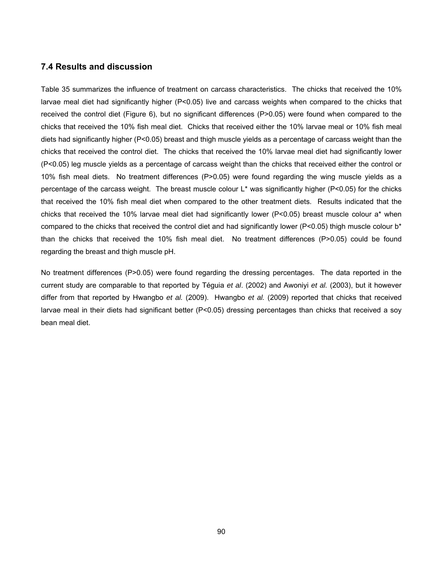## **7.4 Results and discussion**

Table 35 summarizes the influence of treatment on carcass characteristics. The chicks that received the 10% larvae meal diet had significantly higher (P<0.05) live and carcass weights when compared to the chicks that received the control diet (Figure 6), but no significant differences (P>0.05) were found when compared to the chicks that received the 10% fish meal diet. Chicks that received either the 10% larvae meal or 10% fish meal diets had significantly higher (P<0.05) breast and thigh muscle yields as a percentage of carcass weight than the chicks that received the control diet. The chicks that received the 10% larvae meal diet had significantly lower (P<0.05) leg muscle yields as a percentage of carcass weight than the chicks that received either the control or 10% fish meal diets. No treatment differences (P>0.05) were found regarding the wing muscle yields as a percentage of the carcass weight. The breast muscle colour L\* was significantly higher (P<0.05) for the chicks that received the 10% fish meal diet when compared to the other treatment diets. Results indicated that the chicks that received the 10% larvae meal diet had significantly lower (P<0.05) breast muscle colour a\* when compared to the chicks that received the control diet and had significantly lower (P<0.05) thigh muscle colour b<sup>\*</sup> than the chicks that received the 10% fish meal diet. No treatment differences (P>0.05) could be found regarding the breast and thigh muscle pH.

No treatment differences (P>0.05) were found regarding the dressing percentages. The data reported in the current study are comparable to that reported by Téguia *et al*. (2002) and Awoniyi *et al.* (2003), but it however differ from that reported by Hwangbo *et al.* (2009). Hwangbo *et al.* (2009) reported that chicks that received larvae meal in their diets had significant better (P<0.05) dressing percentages than chicks that received a soy bean meal diet.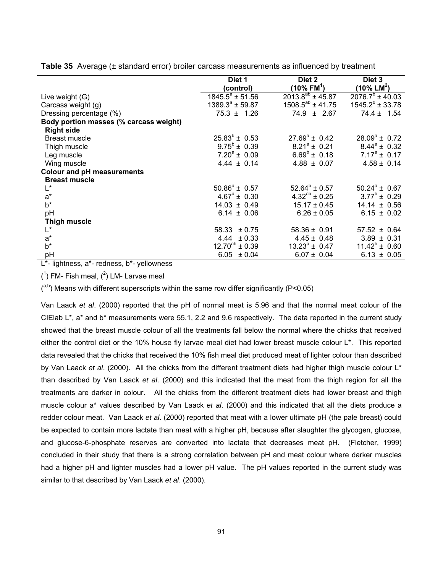|                                        | Diet 1                   | Diet 2                    | Diet 3                    |
|----------------------------------------|--------------------------|---------------------------|---------------------------|
|                                        | (control)                | $(10\%$ FM <sup>1</sup> ) | $(10\%$ LM <sup>2</sup> ) |
| Live weight (G)                        | $1845.5^{\circ}$ ± 51.56 | $2013.8^{ab} \pm 45.87$   | $2076.7^b \pm 40.03$      |
| Carcass weight (g)                     | $1389.3^a \pm 59.87$     | $1508.5^{ab}$ ± 41.75     | $1545.2^b \pm 33.78$      |
| Dressing percentage (%)                | $75.3 \pm 1.26$          | $74.9 \pm 2.67$           | $74.4 \pm 1.54$           |
| Body portion masses (% carcass weight) |                          |                           |                           |
| <b>Right side</b>                      |                          |                           |                           |
| <b>Breast muscle</b>                   | $25.83^{\circ} \pm 0.53$ | $27.69^a \pm 0.42$        | $28.09^a \pm 0.72$        |
| Thigh muscle                           | $9.75^b \pm 0.39$        | $8.21^a \pm 0.21$         | $8.44^a \pm 0.32$         |
| Leg muscle                             | $7.20^a \pm 0.09$        | $6.69^{\circ}$ ± 0.18     | $7.17^a \pm 0.17$         |
| Wing muscle                            | $4.44 \pm 0.14$          | $4.88 \pm 0.07$           | $4.58 \pm 0.14$           |
| <b>Colour and pH measurements</b>      |                          |                           |                           |
| <b>Breast muscle</b>                   |                          |                           |                           |
| $\mathsf{L}^*$                         | $50.86^a \pm 0.57$       | $52.64^b \pm 0.57$        | $50.24^a \pm 0.67$        |
| $a^*$                                  | $4.67^{\circ} \pm 0.30$  | $4.32^{ab} \pm 0.25$      | $3.77^b \pm 0.29$         |
| $b^*$                                  | $14.03 \pm 0.49$         | $15.17 \pm 0.45$          | $14.14 \pm 0.56$          |
| pH                                     | $6.14 \pm 0.06$          | $6.26 \pm 0.05$           | $6.15 \pm 0.02$           |
| <b>Thigh muscle</b>                    |                          |                           |                           |
| $L^*$                                  | 58.33<br>± 0.75          | $58.36 \pm 0.91$          | $57.52 \pm 0.64$          |
| $a^*$                                  | $4.44 \pm 0.33$          | $4.45 \pm 0.48$           | $3.89 \pm 0.31$           |
| $b^*$                                  | $12.70^{ab} \pm 0.39$    | $13.23^a \pm 0.47$        | $11.42^b \pm 0.60$        |
| рH                                     | $6.05 \pm 0.04$          | $6.07 \pm 0.04$           | $6.13 \pm 0.05$           |

**Table 35** Average (± standard error) broiler carcass measurements as influenced by treatment

L\*- lightness, a\*- redness, b\*- yellowness

 $(1)$  FM- Fish meal,  $(2)$  LM- Larvae meal

 $($ <sup>a,b</sup>) Means with different superscripts within the same row differ significantly (P<0.05)

Van Laack *et al*. (2000) reported that the pH of normal meat is 5.96 and that the normal meat colour of the CIElab L\*, a\* and b\* measurements were 55.1, 2.2 and 9.6 respectively. The data reported in the current study showed that the breast muscle colour of all the treatments fall below the normal where the chicks that received either the control diet or the 10% house fly larvae meal diet had lower breast muscle colour L\*. This reported data revealed that the chicks that received the 10% fish meal diet produced meat of lighter colour than described by Van Laack *et al*. (2000). All the chicks from the different treatment diets had higher thigh muscle colour L\* than described by Van Laack *et al*. (2000) and this indicated that the meat from the thigh region for all the treatments are darker in colour. All the chicks from the different treatment diets had lower breast and thigh muscle colour a\* values described by Van Laack *et al*. (2000) and this indicated that all the diets produce a redder colour meat. Van Laack *et al*. (2000) reported that meat with a lower ultimate pH (the pale breast) could be expected to contain more lactate than meat with a higher pH, because after slaughter the glycogen, glucose, and glucose-6-phosphate reserves are converted into lactate that decreases meat pH. (Fletcher, 1999) concluded in their study that there is a strong correlation between pH and meat colour where darker muscles had a higher pH and lighter muscles had a lower pH value. The pH values reported in the current study was similar to that described by Van Laack *et al*. (2000).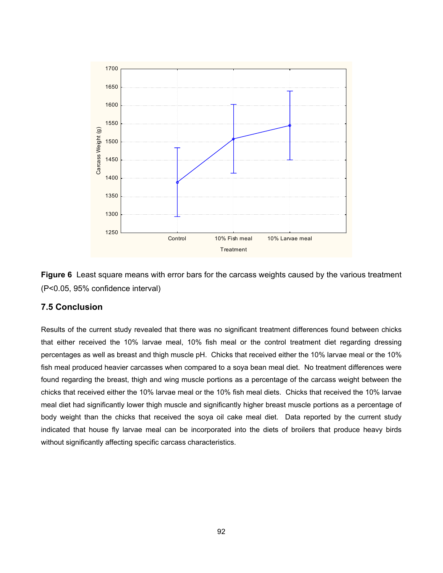

**Figure 6** Least square means with error bars for the carcass weights caused by the various treatment (P<0.05, 95% confidence interval)

## **7.5 Conclusion**

Results of the current study revealed that there was no significant treatment differences found between chicks that either received the 10% larvae meal, 10% fish meal or the control treatment diet regarding dressing percentages as well as breast and thigh muscle pH. Chicks that received either the 10% larvae meal or the 10% fish meal produced heavier carcasses when compared to a soya bean meal diet. No treatment differences were found regarding the breast, thigh and wing muscle portions as a percentage of the carcass weight between the chicks that received either the 10% larvae meal or the 10% fish meal diets. Chicks that received the 10% larvae meal diet had significantly lower thigh muscle and significantly higher breast muscle portions as a percentage of body weight than the chicks that received the soya oil cake meal diet. Data reported by the current study indicated that house fly larvae meal can be incorporated into the diets of broilers that produce heavy birds without significantly affecting specific carcass characteristics.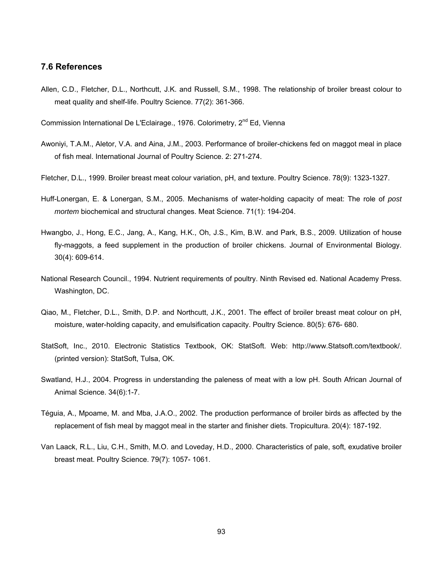## **7.6 References**

Allen, C.D., Fletcher, D.L., Northcutt, J.K. and Russell, S.M., 1998. The relationship of broiler breast colour to meat quality and shelf-life. Poultry Science. 77(2): 361-366.

Commission International De L'Eclairage., 1976. Colorimetry,  $2^{nd}$  Ed, Vienna

- Awoniyi, T.A.M., Aletor, V.A. and Aina, J.M., 2003. Performance of broiler-chickens fed on maggot meal in place of fish meal. International Journal of Poultry Science. 2: 271-274.
- Fletcher, D.L., 1999. Broiler breast meat colour variation, pH, and texture. Poultry Science. 78(9): 1323-1327.
- Huff-Lonergan, E. & Lonergan, S.M., 2005. Mechanisms of water-holding capacity of meat: The role of *post mortem* biochemical and structural changes. Meat Science. 71(1): 194-204.
- Hwangbo, J., Hong, E.C., Jang, A., Kang, H.K., Oh, J.S., Kim, B.W. and Park, B.S., 2009. Utilization of house fly-maggots, a feed supplement in the production of broiler chickens. Journal of Environmental Biology. 30(4): 609-614.
- National Research Council., 1994. Nutrient requirements of poultry. Ninth Revised ed. National Academy Press. Washington, DC.
- Qiao, M., Fletcher, D.L., Smith, D.P. and Northcutt, J.K., 2001. The effect of broiler breast meat colour on pH, moisture, water-holding capacity, and emulsification capacity. Poultry Science. 80(5): 676- 680.
- StatSoft, Inc., 2010. Electronic Statistics Textbook, OK: StatSoft. Web: http://www.Statsoft.com/textbook/. (printed version): StatSoft, Tulsa, OK.
- Swatland, H.J., 2004. Progress in understanding the paleness of meat with a low pH. South African Journal of Animal Science. 34(6):1-7.
- Téguia, A., Mpoame, M. and Mba, J.A.O., 2002. The production performance of broiler birds as affected by the replacement of fish meal by maggot meal in the starter and finisher diets. Tropicultura. 20(4): 187-192.
- Van Laack, R.L., Liu, C.H., Smith, M.O. and Loveday, H.D., 2000. Characteristics of pale, soft, exudative broiler breast meat. Poultry Science. 79(7): 1057- 1061.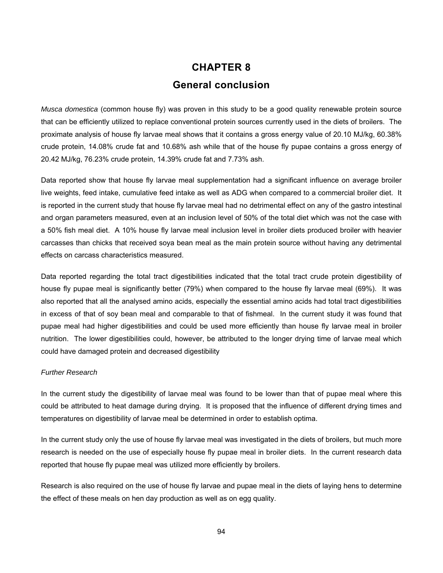# **CHAPTER 8 General conclusion**

*Musca domestica* (common house fly) was proven in this study to be a good quality renewable protein source that can be efficiently utilized to replace conventional protein sources currently used in the diets of broilers. The proximate analysis of house fly larvae meal shows that it contains a gross energy value of 20.10 MJ/kg, 60.38% crude protein, 14.08% crude fat and 10.68% ash while that of the house fly pupae contains a gross energy of 20.42 MJ/kg, 76.23% crude protein, 14.39% crude fat and 7.73% ash.

Data reported show that house fly larvae meal supplementation had a significant influence on average broiler live weights, feed intake, cumulative feed intake as well as ADG when compared to a commercial broiler diet. It is reported in the current study that house fly larvae meal had no detrimental effect on any of the gastro intestinal and organ parameters measured, even at an inclusion level of 50% of the total diet which was not the case with a 50% fish meal diet. A 10% house fly larvae meal inclusion level in broiler diets produced broiler with heavier carcasses than chicks that received soya bean meal as the main protein source without having any detrimental effects on carcass characteristics measured.

Data reported regarding the total tract digestibilities indicated that the total tract crude protein digestibility of house fly pupae meal is significantly better (79%) when compared to the house fly larvae meal (69%). It was also reported that all the analysed amino acids, especially the essential amino acids had total tract digestibilities in excess of that of soy bean meal and comparable to that of fishmeal. In the current study it was found that pupae meal had higher digestibilities and could be used more efficiently than house fly larvae meal in broiler nutrition. The lower digestibilities could, however, be attributed to the longer drying time of larvae meal which could have damaged protein and decreased digestibility

## *Further Research*

In the current study the digestibility of larvae meal was found to be lower than that of pupae meal where this could be attributed to heat damage during drying. It is proposed that the influence of different drying times and temperatures on digestibility of larvae meal be determined in order to establish optima.

In the current study only the use of house fly larvae meal was investigated in the diets of broilers, but much more research is needed on the use of especially house fly pupae meal in broiler diets. In the current research data reported that house fly pupae meal was utilized more efficiently by broilers.

Research is also required on the use of house fly larvae and pupae meal in the diets of laying hens to determine the effect of these meals on hen day production as well as on egg quality.